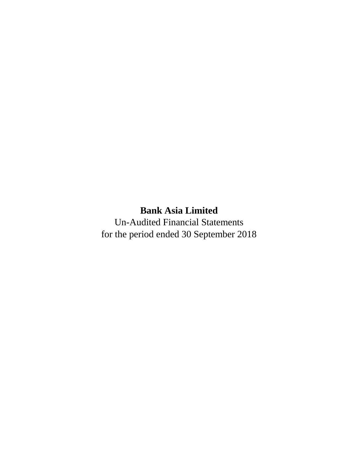Un-Audited Financial Statements for the period ended 30 September 2018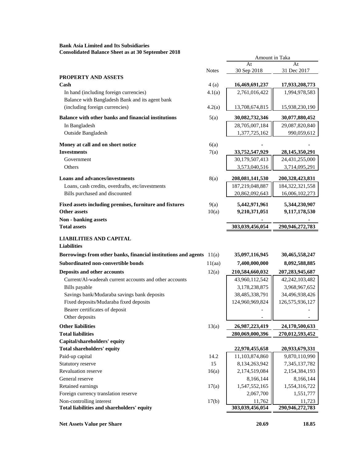**Bank Asia Limited and Its Subsidiaries Consolidated Balance Sheet as at 30 September 2018**

|                                                                      |              | Amount in Taka                  |                                |  |  |
|----------------------------------------------------------------------|--------------|---------------------------------|--------------------------------|--|--|
|                                                                      | <b>Notes</b> | At<br>30 Sep 2018               | At<br>31 Dec 2017              |  |  |
| PROPERTY AND ASSETS                                                  |              |                                 |                                |  |  |
| Cash                                                                 | 4(a)         | 16,469,691,237                  | 17,933,208,773                 |  |  |
| In hand (including foreign currencies)                               | 4.1(a)       | 2,761,016,422                   | 1,994,978,583                  |  |  |
| Balance with Bangladesh Bank and its agent bank                      |              |                                 |                                |  |  |
| (including foreign currencies)                                       | 4.2(a)       | 13,708,674,815                  | 15,938,230,190                 |  |  |
| Balance with other banks and financial institutions                  | 5(a)         | 30,082,732,346                  | 30,077,880,452                 |  |  |
| In Bangladesh                                                        |              | 28,705,007,184                  | 29,087,820,840                 |  |  |
| Outside Bangladesh                                                   |              | 1,377,725,162                   | 990,059,612                    |  |  |
| Money at call and on short notice                                    | 6(a)         |                                 |                                |  |  |
| <b>Investments</b>                                                   | 7(a)         | 33,752,547,929                  | 28, 145, 350, 291              |  |  |
| Government                                                           |              | 30,179,507,413                  | 24,431,255,000                 |  |  |
| Others                                                               |              | 3,573,040,516                   | 3,714,095,291                  |  |  |
| <b>Loans and advances/investments</b>                                | 8(a)         | 208,081,141,530                 | 200,328,423,831                |  |  |
| Loans, cash credits, overdrafts, etc/investments                     |              | 187,219,048,887                 | 184, 322, 321, 558             |  |  |
| Bills purchased and discounted                                       |              | 20,862,092,643                  | 16,006,102,273                 |  |  |
| Fixed assets including premises, furniture and fixtures              | 9(a)         | 5,442,971,961                   | 5,344,230,907                  |  |  |
| <b>Other assets</b>                                                  | 10(a)        | 9,210,371,051                   | 9,117,178,530                  |  |  |
| Non - banking assets                                                 |              |                                 |                                |  |  |
| <b>Total assets</b>                                                  |              | 303,039,456,054                 | 290,946,272,783                |  |  |
| <b>LIABILITIES AND CAPITAL</b>                                       |              |                                 |                                |  |  |
| <b>Liabilities</b>                                                   |              |                                 |                                |  |  |
| Borrowings from other banks, financial institutions and agents 11(a) |              | 35,097,116,945                  | 30,465,558,247                 |  |  |
| Subordinated non-convertible bonds                                   | 11(aa)       | 7,400,000,000                   | 8,092,588,885                  |  |  |
| Deposits and other accounts                                          | 12(a)        | 210,584,660,032                 | 207, 283, 945, 687             |  |  |
| Current/Al-wadeeah current accounts and other accounts               |              | 43,960,112,542                  | 42, 242, 103, 482              |  |  |
| <b>Bills</b> payable                                                 |              | 3,178,238,875                   | 3,968,967,652                  |  |  |
| Savings bank/Mudaraba savings bank deposits                          |              | 38,485,338,791                  | 34,496,938,426                 |  |  |
| Fixed deposits/Mudaraba fixed deposits                               |              | 124,960,969,824                 | 126,575,936,127                |  |  |
| Bearer certificates of deposit                                       |              |                                 |                                |  |  |
| Other deposits                                                       |              | $\overline{\phantom{0}}$        |                                |  |  |
| <b>Other liabilities</b>                                             | 13(a)        | 26,987,223,419                  | 24,170,500,633                 |  |  |
| <b>Total liabilities</b>                                             |              | 280,069,000,396                 | 270,012,593,452                |  |  |
| Capital/shareholders' equity                                         |              |                                 |                                |  |  |
| <b>Total shareholders' equity</b><br>Paid-up capital                 |              | 22,970,455,658                  | 20,933,679,331                 |  |  |
| Statutory reserve                                                    | 14.2<br>15   | 11,103,874,860<br>8,134,263,942 | 9,870,110,990<br>7,345,137,782 |  |  |
| Revaluation reserve                                                  | 16(a)        | 2,174,519,084                   | 2,154,384,193                  |  |  |
| General reserve                                                      |              | 8,166,144                       | 8,166,144                      |  |  |
| Retained earnings                                                    | 17(a)        | 1,547,552,165                   | 1,554,316,722                  |  |  |
| Foreign currency translation reserve                                 |              | 2,067,700                       | 1,551,777                      |  |  |
| Non-controlling interest                                             | 17(b)        | 11,762                          | 11,723                         |  |  |
| Total liabilities and shareholders' equity                           |              | 303,039,456,054                 | 290,946,272,783                |  |  |
|                                                                      |              |                                 |                                |  |  |

**Net Assets Value per Share 20.69** 18.85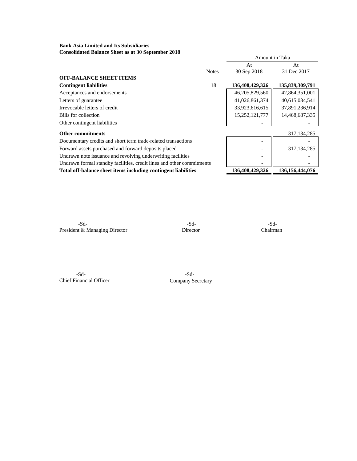**Bank Asia Limited and Its Subsidiaries Consolidated Balance Sheet as at 30 September 2018**

|                                                                       |              | Amount in Taka  |                    |
|-----------------------------------------------------------------------|--------------|-----------------|--------------------|
|                                                                       |              | At              | At                 |
|                                                                       | <b>Notes</b> | 30 Sep 2018     | 31 Dec 2017        |
| <b>OFF-BALANCE SHEET ITEMS</b>                                        |              |                 |                    |
| <b>Contingent liabilities</b>                                         | 18           | 136,408,429,326 | 135,839,309,791    |
| Acceptances and endorsements                                          |              | 46,205,829,560  | 42,864,351,001     |
| Letters of guarantee                                                  |              | 41,026,861,374  | 40,615,034,541     |
| Irrevocable letters of credit                                         |              | 33,923,616,615  | 37,891,236,914     |
| Bills for collection                                                  |              | 15,252,121,777  | 14,468,687,335     |
| Other contingent liabilities                                          |              |                 |                    |
| <b>Other commitments</b>                                              |              |                 | 317, 134, 285      |
| Documentary credits and short term trade-related transactions         |              |                 |                    |
| Forward assets purchased and forward deposits placed                  |              |                 | 317, 134, 285      |
| Undrawn note issuance and revolving underwriting facilities           |              |                 |                    |
| Undrawn formal standby facilities, credit lines and other commitments |              |                 |                    |
| Total off-balance sheet items including contingent liabilities        |              | 136,408,429,326 | 136, 156, 444, 076 |
|                                                                       |              |                 |                    |

-Sd- -Sd- -Sd-President & Managing Director Director Director Chairman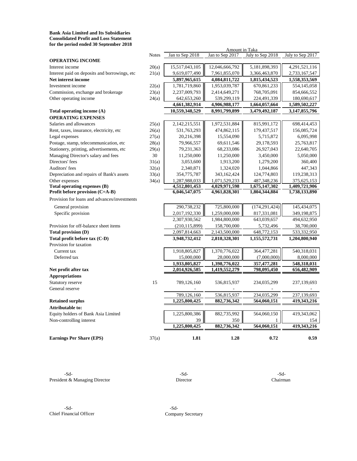**Bank Asia Limited and Its Subsidiaries Consolidated Profit and Loss Statement for the period ended 30 September 2018**

|                                               |              |                 | Amount in Taka  |                  |                  |
|-----------------------------------------------|--------------|-----------------|-----------------|------------------|------------------|
|                                               | <b>Notes</b> | Jan to Sep 2018 | Jan to Sep 2017 | July to Sep 2018 | July to Sep 2017 |
| <b>OPERATING INCOME</b>                       |              |                 |                 |                  |                  |
| Interest income                               | 20(a)        | 15,517,043,105  | 12,046,666,792  | 5,181,898,393    | 4,291,521,116    |
| Interest paid on deposits and borrowings, etc | 21(a)        | 9,619,077,490   | 7,961,855,070   | 3,366,463,870    | 2,733,167,547    |
| Net interest income                           |              | 5,897,965,615   | 4,084,811,722   | 1,815,434,523    | 1,558,353,569    |
| Investment income                             | 22(a)        | 1,781,719,860   | 1,953,039,787   | 670,861,233      | 554,145,058      |
| Commission, exchange and brokerage            | 23(a)        | 2,237,009,793   | 2,414,649,271   | 768,705,091      | 854,666,552      |
| Other operating income                        | 24(a)        | 642, 653, 260   | 539,299,119     | 224,491,339      | 180,690,617      |
|                                               |              | 4,661,382,914   | 4,906,988,177   | 1,664,057,664    | 1,589,502,227    |
| Total operating income (A)                    |              | 10,559,348,529  | 8,991,799,899   | 3,479,492,187    | 3,147,855,796    |
| <b>OPERATING EXPENSES</b>                     |              |                 |                 |                  |                  |
| Salaries and allowances                       | 25(a)        | 2,142,215,551   | 1,972,531,884   | 815,991,172      | 698,414,453      |
| Rent, taxes, insurance, electricity, etc      | 26(a)        | 531,763,293     | 474,862,115     | 179,437,517      | 156,085,724      |
| Legal expenses                                | 27(a)        | 20,216,398      | 15,554,090      | 5,715,872        | 6,095,998        |
| Postage, stamp, telecommunication, etc        | 28(a)        | 79,966,557      | 69,611,546      | 29,178,593       | 25,763,817       |
| Stationery, printing, advertisements, etc     | 29(a)        | 79,231,363      | 68,233,086      | 26,927,043       | 22,640,705       |
| Managing Director's salary and fees           | 30           | 11,250,000      | 11,250,000      | 3,450,000        | 5,050,000        |
| Directors' fees                               | 31(a)        | 3,053,600       | 1,913,200       | 1,279,200        | 360,400          |
| Auditors' fees                                | 32(a)        | 2,340,871       | 1,324,020       | 1,044,866        | 447,343          |
| Depreciation and repairs of Bank's assets     | 33(a)        | 354,775,787     | 343,162,424     | 124,774,803      | 119,238,313      |
| Other expenses                                | 34(a)        | 1,287,988,033   | 1,071,529,233   | 487, 348, 236    | 375,625,153      |
| Total operating expenses (B)                  |              | 4,512,801,453   | 4,029,971,598   | 1,675,147,302    | 1,409,721,906    |
| Profit before provision (C=A-B)               |              | 6,046,547,075   | 4,961,828,301   | 1,804,344,884    | 1,738,133,890    |
| Provision for loans and advances/investments  |              |                 |                 |                  |                  |
| General provision                             |              | 290,738,232     | 725,800,000     | (174, 291, 424)  | 145,434,075      |
| Specific provision                            |              | 2,017,192,330   | 1,259,000,000   | 817,331,081      | 349,198,875      |
|                                               |              | 2,307,930,562   | 1,984,800,000   | 643,039,657      | 494,632,950      |
| Provision for off-balance sheet items         |              | (210, 115, 899) | 158,700,000     | 5,732,496        | 38,700,000       |
| <b>Total provision (D)</b>                    |              | 2,097,814,663   | 2,143,500,000   | 648,772,153      | 533,332,950      |
| Total profit before tax (C-D)                 |              | 3,948,732,412   | 2,818,328,301   | 1,155,572,731    | 1,204,800,940    |
| Provision for taxation                        |              |                 |                 |                  |                  |
| Current tax                                   |              | 1,918,805,827   | 1,370,776,022   | 364,477,281      | 540,318,031      |
| Deferred tax                                  |              | 15,000,000      | 28,000,000      | (7,000,000)      | 8,000,000        |
|                                               |              | 1,933,805,827   | 1,398,776,022   | 357,477,281      | 548,318,031      |
| Net profit after tax                          |              | 2,014,926,585   | 1,419,552,279   | 798,095,450      | 656,482,909      |
| <b>Appropriations</b>                         |              |                 |                 |                  |                  |
| Statutory reserve                             | 15           | 789,126,160     | 536,815,937     | 234,035,299      | 237,139,693      |
| General reserve                               |              |                 |                 |                  |                  |
|                                               |              | 789,126,160     | 536,815,937     | 234,035,299      | 237,139,693      |
| <b>Retained surplus</b>                       |              | 1,225,800,425   | 882,736,342     | 564,060,151      | 419,343,216      |
| Attributable to:                              |              |                 |                 |                  |                  |
| Equity holders of Bank Asia Limited           |              | 1,225,800,386   | 882,735,992     | 564,060,150      | 419,343,062      |
| Non-controlling interest                      |              | 39              | 350             |                  | 154              |
|                                               |              | 1,225,800,425   | 882,736,342     | 564,060,151      | 419,343,216      |
| <b>Earnings Per Share (EPS)</b>               | 37(a)        | 1.81            | 1.28            | 0.72             | 0.59             |

-Sd- -Sd- -Sd-President & Managing Director Director Director Chairman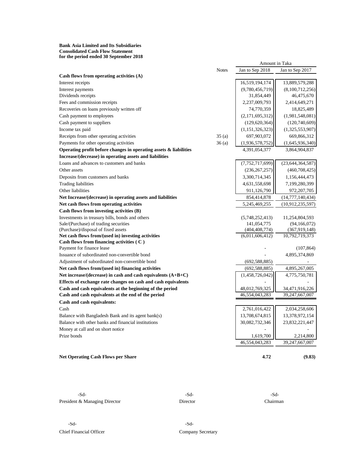#### **Bank Asia Limited and Its Subsidiaries Consolidated Cash Flow Statement for the period ended 30 September 2018**

|                                                                      |              | Amount in Taka     |                     |
|----------------------------------------------------------------------|--------------|--------------------|---------------------|
|                                                                      | <b>Notes</b> | Jan to Sep 2018    | Jan to Sep 2017     |
| Cash flows from operating activities (A)                             |              |                    |                     |
| Interest receipts                                                    |              | 16,519,194,174     | 13,889,579,288      |
| Interest payments                                                    |              | (9,780,456,719)    | (8,100,712,256)     |
| Dividends receipts                                                   |              | 31,854,449         | 46,475,670          |
| Fees and commission receipts                                         |              | 2,237,009,793      | 2,414,649,271       |
| Recoveries on loans previously written off                           |              | 74,770,359         | 18,825,489          |
| Cash payment to employees                                            |              | (2,171,695,312)    | (1,981,548,081)     |
| Cash payment to suppliers                                            |              | (129, 620, 364)    | (120,740,609)       |
| Income tax paid                                                      |              | (1, 151, 326, 323) | (1,325,553,907)     |
| Receipts from other operating activities                             | 35(a)        | 697,903,072        | 669,866,312         |
| Payments for other operating activities                              | 36(a)        | (1,936,578,752)    | (1,645,936,340)     |
| Operating profit before changes in operating assets $\&$ liabilities |              | 4,391,054,377      | 3,864,904,837       |
| Increase/(decrease) in operating assets and liabilities              |              |                    |                     |
| Loans and advances to customers and banks                            |              | (7, 752, 717, 699) | (23, 644, 364, 587) |
| Other assets                                                         |              | (236, 267, 257)    | (460, 708, 425)     |
| Deposits from customers and banks                                    |              | 3,300,714,345      | 1,156,444,473       |
| Trading liabilities                                                  |              | 4,631,558,698      | 7,199,280,399       |
| Other liabilities                                                    |              | 911,126,790        | 972,207,705         |
| Net Increase/(decrease) in operating assets and liabilities          |              | 854,414,878        | (14,777,140,434)    |
| Net cash flows from operating activities                             |              | 5,245,469,255      | (10,912,235,597)    |
| Cash flows from investing activities (B)                             |              |                    |                     |
| Investments in treasury bills, bonds and others                      |              | (5,748,252,413)    | 11,254,804,593      |
| Sale/(Purchase) of trading securities                                |              | 141,054,775        | (94, 166, 072)      |
| (Purchase)/disposal of fixed assets                                  |              | (404, 408, 774)    | (367, 919, 148)     |
| Net cash flows from/(used in) investing activities                   |              | (6,011,606,412)    | 10,792,719,373      |
| Cash flows from financing activities (C)                             |              |                    |                     |
| Payment for finance lease                                            |              |                    | (107, 864)          |
| Issuance of subordinated non-convertible bond                        |              |                    | 4,895,374,869       |
| Adjustment of subordinated non-convertible bond                      |              | (692, 588, 885)    |                     |
| Net cash flows from/(used in) financing activities                   |              | (692, 588, 885)    | 4,895,267,005       |
| Net increase/(decrease) in cash and cash equivalents $(A+B+C)$       |              | (1,458,726,042)    | 4,775,750,781       |
| Effects of exchange rate changes on cash and cash equivalents        |              |                    |                     |
| Cash and cash equivalents at the beginning of the period             |              | 48,012,769,325     | 34,471,916,226      |
| Cash and cash equivalents at the end of the period                   |              | 46,554,043,283     | 39,247,667,007      |
| Cash and cash equivalents:                                           |              |                    |                     |
| Cash                                                                 |              | 2,761,016,422      | 2,034,258,606       |
| Balance with Bangladesh Bank and its agent bank(s)                   |              | 13,708,674,815     | 13,378,972,154      |
| Balance with other banks and financial institutions                  |              | 30,082,732,346     | 23,832,221,447      |
| Money at call and on short notice                                    |              |                    |                     |
| Prize bonds                                                          |              | 1,619,700          | 2,214,800           |
|                                                                      |              | 46,554,043,283     | 39,247,667,007      |
|                                                                      |              |                    |                     |

Net Operating Cash Flows per Share **4.72** (9.83)

-Sd-<br>-Sd- -Sd-President & Managing Director Director Director Chairman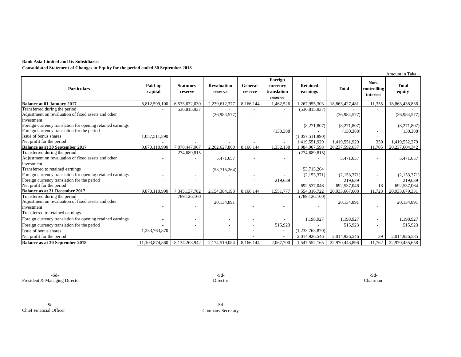#### **Bank Asia Limited and Its Subsidiaries**

**Consolidated Statement of Changes in Equity for the period ended 30 September 2018**

|                                                            |                    |                             |                               |                    |                                               |                             |                |                                 | Amount in Taka         |
|------------------------------------------------------------|--------------------|-----------------------------|-------------------------------|--------------------|-----------------------------------------------|-----------------------------|----------------|---------------------------------|------------------------|
| <b>Particulars</b>                                         | Paid-up<br>capital | <b>Statutory</b><br>reserve | <b>Revaluation</b><br>reserve | General<br>reserve | Foreign<br>currency<br>translation<br>reserve | <b>Retained</b><br>earnings | <b>Total</b>   | Non-<br>controlling<br>interest | <b>Total</b><br>equity |
| Balance at 01 January 2017                                 | 8,812,599,100      | 6,533,632,030               | 2,239,612,377                 | 8.166.144          | 1,462,526                                     | 1,267,955,303               | 18,863,427,481 | 11,355                          | 18,863,438,836         |
| Transferred during the period                              |                    | 536,815,937                 |                               |                    |                                               | (536, 815, 937)             |                |                                 |                        |
| Adjustment on revaluation of fixed assets and other        |                    |                             | (36,984,577)                  |                    |                                               |                             | (36,984,577)   |                                 | (36,984,577)           |
| investment                                                 |                    |                             |                               |                    |                                               |                             |                |                                 |                        |
| Foreign currency translation for opening retained earnings |                    |                             |                               |                    |                                               | (8,271,807)                 | (8,271,807)    |                                 | (8,271,807)            |
| Foreign currency translation for the period                |                    |                             |                               |                    | (130, 388)                                    |                             | (130, 388)     |                                 | (130, 388)             |
| Issue of bonus shares                                      | 1,057,511,890      |                             |                               |                    |                                               | (1,057,511,890)             |                |                                 |                        |
| Net profit for the period                                  |                    |                             |                               |                    |                                               | 1,419,551,929               | 1,419,551,929  | 350                             | 1,419,552,279          |
| <b>Balance as at 30 September 2017</b>                     | 9,870,110,990      | 7,070,447,967               | 2,202,627,800                 | 8.166.144          | 1.332.138                                     | 1,084,907,598               | 20,237,592,637 | 1.705                           | 20,237,604,342         |
| Transferred during the period                              |                    | 274,689,815                 |                               |                    |                                               | (274, 689, 815)             |                |                                 |                        |
| Adjustment on revaluation of fixed assets and other        |                    |                             | 5,471,657                     |                    |                                               |                             | 5,471,657      |                                 | 5,471,657              |
| investment                                                 |                    |                             |                               |                    |                                               |                             |                |                                 |                        |
| Transferred to retained earnings                           |                    |                             | (53,715,264)                  |                    |                                               | 53,715,264                  |                |                                 |                        |
| Foreign currency translation for opening retained earnings |                    |                             |                               |                    |                                               | (2,153,371)                 | (2,153,371)    |                                 | (2,153,371)            |
| Foreign currency translation for the period                |                    |                             |                               |                    | 219,639                                       |                             | 219,639        |                                 | 219,639                |
| Net profit for the period                                  |                    |                             |                               |                    |                                               | 692,537,046                 | 692,537,046    | 18                              | 692,537,064            |
| Balance as at 31 December 2017                             | 9,870,110,990      | 7,345,137,782               | 2,154,384,193                 | 8,166,144          | 1,551,777                                     | 1,554,316,722               | 20,933,667,608 | 11,723                          | 20,933,679,331         |
| Transferred during the period                              |                    | 789,126,160                 |                               |                    |                                               | (789, 126, 160)             |                |                                 |                        |
| Adjustment on revaluation of fixed assets and other        |                    |                             | 20,134,891                    |                    |                                               |                             | 20,134,891     |                                 | 20,134,891             |
| investment                                                 |                    |                             |                               |                    |                                               |                             |                |                                 |                        |
| Transferred to retained earnings                           |                    |                             |                               |                    |                                               |                             |                |                                 |                        |
| Foreign currency translation for opening retained earnings |                    |                             |                               |                    |                                               | 1,198,927                   | 1,198,927      |                                 | 1.198.927              |
| Foreign currency translation for the period                |                    |                             |                               |                    | 515,923                                       |                             | 515,923        |                                 | 515,923                |
| Issue of bonus shares                                      | 1,233,763,870      |                             |                               |                    | $\overline{\phantom{a}}$                      | (1,233,763,870)             |                |                                 |                        |
| Net profit for the period                                  |                    |                             |                               |                    |                                               | 2,014,926,546               | 2,014,926,546  | 39                              | 2,014,926,585          |
| <b>Balance as at 30 September 2018</b>                     | 11.103.874.860     | 8,134,263,942               | 2.174.519.084                 | 8.166.144          | 2.067.700                                     | 1,547,552,165               | 22,970,443,896 | 11.762                          | 22,970,455,658         |

-Sd- -Sd- -Sd-President & Managing Director Chairman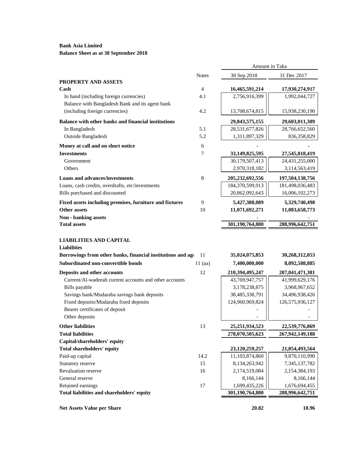# **Bank Asia Limited Balance Sheet as at 30 September 2018**

|                                                                                    |              | Amount in Taka                   |                                  |
|------------------------------------------------------------------------------------|--------------|----------------------------------|----------------------------------|
|                                                                                    | <b>Notes</b> | 30 Sep 2018                      | 31 Dec 2017                      |
| PROPERTY AND ASSETS                                                                |              |                                  |                                  |
| Cash                                                                               | 4            | 16,465,591,214                   | 17,930,274,917                   |
| In hand (including foreign currencies)                                             | 4.1          | 2,756,916,399                    | 1,992,044,727                    |
| Balance with Bangladesh Bank and its agent bank                                    |              |                                  |                                  |
| (including foreign currencies)                                                     | 4.2          | 13,708,674,815                   | 15,938,230,190                   |
| <b>Balance with other banks and financial institutions</b>                         |              | 29,843,575,155                   | 29,603,011,389                   |
| In Bangladesh                                                                      | 5.1          | 28,531,677,826                   | 28,766,652,560                   |
| Outside Bangladesh                                                                 | 5.2          | 1,311,897,329                    | 836, 358, 829                    |
| Money at call and on short notice                                                  | 6            |                                  |                                  |
| <b>Investments</b>                                                                 | 7            | 33,149,825,595                   | 27,545,818,419                   |
| Government                                                                         |              | 30,179,507,413                   | 24,431,255,000                   |
| Others                                                                             |              | 2,970,318,182                    | 3,114,563,419                    |
| <b>Loans and advances/investments</b>                                              | 8            | 205,232,692,556                  | 197,504,138,756                  |
| Loans, cash credits, overdrafts, etc/investments                                   |              | 184,370,599,913                  | 181,498,036,483                  |
| Bills purchased and discounted                                                     |              | 20,862,092,643                   | 16,006,102,273                   |
| Fixed assets including premises, furniture and fixtures                            | 9            | 5,427,388,089                    | 5,329,740,498                    |
| Other assets                                                                       | 10           | 11,071,692,271                   | 11,083,658,773                   |
| <b>Non - banking assets</b>                                                        |              |                                  |                                  |
| <b>Total assets</b>                                                                |              | 301,190,764,880                  | 288,996,642,751                  |
|                                                                                    |              |                                  |                                  |
| LIABILITIES AND CAPITAL<br><b>Liabilities</b>                                      |              |                                  |                                  |
| Borrowings from other banks, financial institutions and ago                        | 11           | 35,024,075,853                   | 30,268,312,053                   |
| Subordinated non-convertible bonds                                                 | $11$ (aa)    | 7,400,000,000                    | 8,092,588,885                    |
|                                                                                    |              |                                  |                                  |
| Deposits and other accounts                                                        | 12           | 210,394,495,247                  | 207,041,471,381                  |
| Current/Al-wadeeah current accounts and other accounts                             |              | 43,769,947,757                   | 41,999,629,176                   |
| Bills payable<br>Savings bank/Mudaraba savings bank deposits                       |              | 3,178,238,875<br>38,485,338,791  | 3,968,967,652<br>34,496,938,426  |
| Fixed deposits/Mudaraba fixed deposits                                             |              | 124,960,969,824                  | 126,575,936,127                  |
| Bearer certificates of deposit                                                     |              |                                  |                                  |
| Other deposits                                                                     |              |                                  |                                  |
| <b>Other liabilities</b>                                                           | 13           | 25, 251, 934, 523                | 22,539,776,869                   |
| <b>Total liabilities</b>                                                           |              | 278,070,505,623                  | 267,942,149,188                  |
| Capital/shareholders' equity                                                       |              |                                  |                                  |
| Total shareholders' equity                                                         |              | 23,120,259,257                   | 21,054,493,564                   |
| Paid-up capital                                                                    | 14.2         | 11,103,874,860                   | 9,870,110,990                    |
| Statutory reserve                                                                  | 15           | 8,134,263,942                    | 7,345,137,782                    |
| Revaluation reserve                                                                |              | 2,174,519,084                    | 2,154,384,193                    |
|                                                                                    | 16           |                                  |                                  |
|                                                                                    |              | 8,166,144                        | 8,166,144                        |
| General reserve<br>Retained earnings<br>Total liabilities and shareholders' equity | 17           | 1,699,435,226<br>301,190,764,880 | 1,676,694,455<br>288,996,642,751 |

**Net Assets Value per Share 20.82** 18.96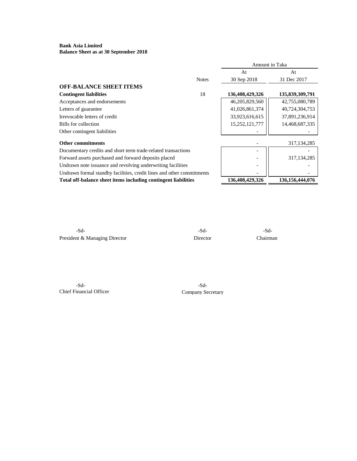#### **Bank Asia Limited Balance Sheet as at 30 September 2018**

| At<br>At<br>30 Sep 2018<br>31 Dec 2017<br><b>Notes</b><br>18<br>136,408,429,326<br>135,839,309,791<br>46,205,829,560<br>42,755,080,789<br>41,026,861,374<br>40,724,304,753<br>33,923,616,615<br>37,891,236,914<br>15,252,121,777<br>14,468,687,335<br>317, 134, 285<br>Documentary credits and short term trade-related transactions<br>317, 134, 285<br>Undrawn note issuance and revolving underwriting facilities<br>Undrawn formal standby facilities, credit lines and other commitments<br>Total off-balance sheet items including contingent liabilities<br>136,408,429,326<br>136, 156, 444, 076 |                                                      | Amount in Taka |  |  |
|----------------------------------------------------------------------------------------------------------------------------------------------------------------------------------------------------------------------------------------------------------------------------------------------------------------------------------------------------------------------------------------------------------------------------------------------------------------------------------------------------------------------------------------------------------------------------------------------------------|------------------------------------------------------|----------------|--|--|
|                                                                                                                                                                                                                                                                                                                                                                                                                                                                                                                                                                                                          |                                                      |                |  |  |
|                                                                                                                                                                                                                                                                                                                                                                                                                                                                                                                                                                                                          |                                                      |                |  |  |
|                                                                                                                                                                                                                                                                                                                                                                                                                                                                                                                                                                                                          | <b>OFF-BALANCE SHEET ITEMS</b>                       |                |  |  |
|                                                                                                                                                                                                                                                                                                                                                                                                                                                                                                                                                                                                          | <b>Contingent liabilities</b>                        |                |  |  |
|                                                                                                                                                                                                                                                                                                                                                                                                                                                                                                                                                                                                          | Acceptances and endorsements                         |                |  |  |
|                                                                                                                                                                                                                                                                                                                                                                                                                                                                                                                                                                                                          | Letters of guarantee                                 |                |  |  |
|                                                                                                                                                                                                                                                                                                                                                                                                                                                                                                                                                                                                          | Irrevocable letters of credit                        |                |  |  |
|                                                                                                                                                                                                                                                                                                                                                                                                                                                                                                                                                                                                          | Bills for collection                                 |                |  |  |
|                                                                                                                                                                                                                                                                                                                                                                                                                                                                                                                                                                                                          | Other contingent liabilities                         |                |  |  |
|                                                                                                                                                                                                                                                                                                                                                                                                                                                                                                                                                                                                          | <b>Other commitments</b>                             |                |  |  |
|                                                                                                                                                                                                                                                                                                                                                                                                                                                                                                                                                                                                          |                                                      |                |  |  |
|                                                                                                                                                                                                                                                                                                                                                                                                                                                                                                                                                                                                          | Forward assets purchased and forward deposits placed |                |  |  |
|                                                                                                                                                                                                                                                                                                                                                                                                                                                                                                                                                                                                          |                                                      |                |  |  |
|                                                                                                                                                                                                                                                                                                                                                                                                                                                                                                                                                                                                          |                                                      |                |  |  |
|                                                                                                                                                                                                                                                                                                                                                                                                                                                                                                                                                                                                          |                                                      |                |  |  |

-Sd- -Sd- -Sd-President & Managing Director Director Director Chairman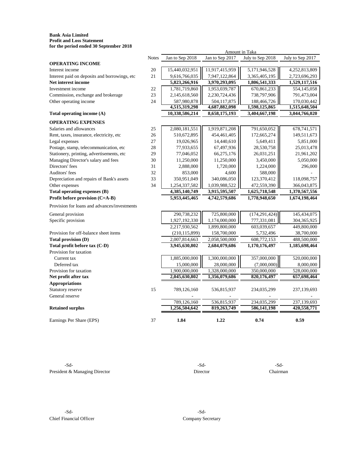#### **Bank Asia Limited Profit and Loss Statement for the period ended 30 September 2018**

|                                               | <b>Notes</b> | Jan to Sep 2018 | Jan to Sep 2017 | July to Sep 2018 | July to Sep 2017 |
|-----------------------------------------------|--------------|-----------------|-----------------|------------------|------------------|
| <b>OPERATING INCOME</b>                       |              |                 |                 |                  |                  |
| Interest income                               | 20           | 15,440,032,951  | 11,917,415,959  | 5,171,946,528    | 4,252,813,809    |
| Interest paid on deposits and borrowings, etc | 21           | 9,616,766,035   | 7,947,122,864   | 3,365,405,195    | 2,723,696,293    |
| Net interest income                           |              | 5,823,266,916   | 3,970,293,095   | 1,806,541,333    | 1,529,117,516    |
| Investment income                             | 22           | 1,781,719,860   | 1,953,039,787   | 670,861,233      | 554,145,058      |
| Commission, exchange and brokerage            | 23           | 2,145,618,560   | 2,230,724,436   | 738,797,906      | 791,473,004      |
| Other operating income                        | 24           | 587,980,878     | 504,117,875     | 188,466,726      | 170,030,442      |
|                                               |              | 4,515,319,298   | 4,687,882,098   | 1,598,125,865    | 1,515,648,504    |
| Total operating income (A)                    |              | 10,338,586,214  | 8,658,175,193   | 3,404,667,198    | 3,044,766,020    |
| <b>OPERATING EXPENSES</b>                     |              |                 |                 |                  |                  |
| Salaries and allowances                       | 25           | 2,080,181,551   | 1,919,871,208   | 791,650,052      | 678, 741, 571    |
| Rent, taxes, insurance, electricity, etc      | 26           | 510,672,895     | 454,461,405     | 172,665,274      | 149,511,673      |
| Legal expenses                                | 27           | 19,026,965      | 14,440,610      | 5,649,411        | 5,851,000        |
| Postage, stamp, telecommunication, etc        | 28           | 77,933,655      | 67,497,936      | 28,530,758       | 25,013,478       |
| Stationery, printing, advertisements, etc     | 29           | 77,046,052      | 66,275,176      | 26,031,251       | 21,961,202       |
| Managing Director's salary and fees           | 30           | 11,250,000      | 11,250,000      | 3,450,000        | 5,050,000        |
| Directors' fees                               | 31           | 2,888,000       | 1,720,000       | 1,224,000        | 296,000          |
| Auditors' fees                                | 32           | 853,000         | 4,600           | 588,000          |                  |
| Depreciation and repairs of Bank's assets     | 33           | 350,951,049     | 340,086,050     | 123,370,412      | 118,098,757      |
| Other expenses                                | 34           | 1,254,337,582   | 1,039,988,522   | 472,559,390      | 366,043,875      |
| Total operating expenses (B)                  |              | 4,385,140,749   | 3,915,595,507   | 1,625,718,548    | 1,370,567,556    |
| Profit before provision (C=A-B)               |              | 5,953,445,465   | 4,742,579,686   | 1,778,948,650    | 1,674,198,464    |
| Provision for loans and advances/investments  |              |                 |                 |                  |                  |
| General provision                             |              | 290,738,232     | 725,800,000     | (174, 291, 424)  | 145,434,075      |
| Specific provision                            |              | 1,927,192,330   | 1,174,000,000   | 777,331,081      | 304,365,925      |
|                                               |              | 2,217,930,562   | 1,899,800,000   | 603,039,657      | 449,800,000      |
| Provision for off-balance sheet items         |              | (210, 115, 899) | 158,700,000     | 5,732,496        | 38,700,000       |
| Total provision (D)                           |              | 2,007,814,663   | 2,058,500,000   | 608,772,153      | 488,500,000      |
| Total profit before tax (C-D)                 |              | 3,945,630,802   | 2,684,079,686   | 1,170,176,497    | 1,185,698,464    |
| Provision for taxation                        |              |                 |                 |                  |                  |
| Current tax                                   |              | 1,885,000,000   | 1,300,000,000   | 357,000,000      | 520,000,000      |
| Deferred tax                                  |              | 15,000,000      | 28,000,000      | (7,000,000)      | 8,000,000        |
| Provision for taxation                        |              | 1,900,000,000   | 1,328,000,000   | 350,000,000      | 528,000,000      |
| Net profit after tax                          |              | 2,045,630,802   | 1,356,079,686   | 820,176,497      | 657,698,464      |
| <b>Appropriations</b>                         |              |                 |                 |                  |                  |
| Statutory reserve                             | 15           | 789,126,160     | 536,815,937     | 234,035,299      | 237,139,693      |
| General reserve                               |              |                 |                 |                  |                  |
|                                               |              | 789,126,160     | 536,815,937     | 234,035,299      | 237,139,693      |
| <b>Retained surplus</b>                       |              | 1,256,504,642   | 819,263,749     | 586,141,198      | 420,558,771      |
| Earnings Per Share (EPS)                      | 37           | 1.84            | 1.22            | 0.74             | 0.59             |

Amount in Taka

-Sd-<br>-Sd-<br>-Sd-President & Managing Director Director Director Chairman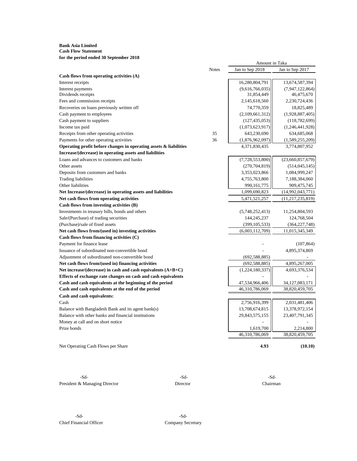#### **Bank Asia Limited Cash Flow Statement for the period ended 30 September 2018**

|                                                                      |              | Amount in Taka  |                     |  |
|----------------------------------------------------------------------|--------------|-----------------|---------------------|--|
|                                                                      | <b>Notes</b> | Jan to Sep 2018 | Jan to Sep 2017     |  |
| Cash flows from operating activities (A)                             |              |                 |                     |  |
| Interest receipts                                                    |              | 16,280,804,791  | 13,674,587,394      |  |
| Interest payments                                                    |              | (9,616,766,035) | (7,947,122,864)     |  |
| Dividends receipts                                                   |              | 31,854,449      | 46,475,670          |  |
| Fees and commission receipts                                         |              | 2,145,618,560   | 2,230,724,436       |  |
| Recoveries on loans previously written off                           |              | 74,770,359      | 18,825,489          |  |
| Cash payment to employees                                            |              | (2,109,661,312) | (1,928,887,405)     |  |
| Cash payment to suppliers                                            |              | (127, 435, 053) | (118, 782, 699)     |  |
| Income tax paid                                                      |              | (1,073,623,917) | (1,246,441,928)     |  |
| Receipts from other operating activities                             | 35           | 643,230,690     | 634,685,068         |  |
| Payments for other operating activities                              | 36           | (1,876,962,097) | (1,589,255,209)     |  |
| Operating profit before changes in operating assets $\&$ liabilities |              | 4,371,830,435   | 3,774,807,952       |  |
| Increase/(decrease) in operating assets and liabilities              |              |                 |                     |  |
| Loans and advances to customers and banks                            |              | (7,728,553,800) | (23,660,857,679)    |  |
| Other assets                                                         |              | (270, 704, 819) | (514, 045, 145)     |  |
| Deposits from customers and banks                                    |              | 3,353,023,866   | 1,084,999,247       |  |
| <b>Trading liabilities</b>                                           |              | 4,755,763,800   | 7,188,384,060       |  |
| Other liabilities                                                    |              | 990,161,775     | 909,475,745         |  |
| Net Increase/(decrease) in operating assets and liabilities          |              | 1,099,690,823   | (14,992,043,771)    |  |
| Net cash flows from operating activities                             |              | 5,471,521,257   | (11, 217, 235, 819) |  |
| Cash flows from investing activities (B)                             |              |                 |                     |  |
| Investments in treasury bills, bonds and others                      |              | (5,748,252,413) | 11,254,804,593      |  |
| Sale/(Purchase) of trading securities                                |              | 144,245,237     | 124,768,504         |  |
| (Purchase)/sale of fixed assets                                      |              | (399, 105, 533) | (364, 227, 748)     |  |
| Net cash flows from/(used in) investing activities                   |              | (6,003,112,709) | 11,015,345,349      |  |
| Cash flows from financing activities $(C)$                           |              |                 |                     |  |
| Payment for finance lease                                            |              |                 | (107, 864)          |  |
| Issuance of subordinated non-convertible bond                        |              |                 | 4,895,374,869       |  |
| Adjustment of subordinated non-convertible bond                      |              | (692, 588, 885) |                     |  |
| Net cash flows from/(used in) financing activities                   |              | (692, 588, 885) | 4,895,267,005       |  |
| Net increase/(decrease) in cash and cash equivalents $(A+B+C)$       |              | (1,224,180,337) | 4,693,376,534       |  |
| Effects of exchange rate changes on cash and cash equivalents        |              |                 |                     |  |
| Cash and cash equivalents at the beginning of the period             |              | 47,534,966,406  | 34, 127, 083, 171   |  |
| Cash and cash equivalents at the end of the period                   |              | 46,310,786,069  | 38,820,459,705      |  |
| Cash and cash equivalents:                                           |              |                 |                     |  |
| Cash                                                                 |              | 2,756,916,399   | 2,031,481,406       |  |
| Balance with Bangladesh Bank and its agent bank(s)                   |              | 13,708,674,815  | 13,378,972,154      |  |
| Balance with other banks and financial institutions                  |              | 29,843,575,155  | 23,407,791,345      |  |
| Money at call and on short notice                                    |              |                 |                     |  |
| Prize bonds                                                          |              | 1,619,700       | 2,214,800           |  |
|                                                                      |              | 46,310,786,069  | 38,820,459,705      |  |
|                                                                      |              |                 |                     |  |
| Net Operating Cash Flows per Share                                   |              | 4.93            | (10.10)             |  |
|                                                                      |              |                 |                     |  |

-Sd- -Sd- -Sd-President & Managing Director Director Director Chairman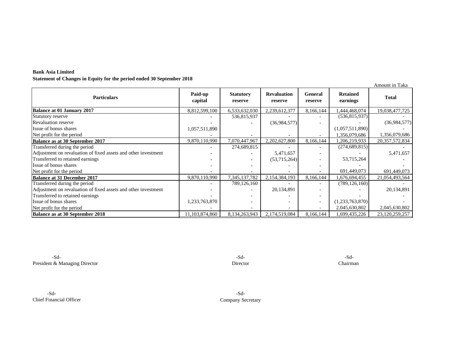| <b>Bank Asia Limited</b>                                              |  |
|-----------------------------------------------------------------------|--|
| Statement of Changes in Equity for the period ended 30 September 2018 |  |

|                                                                |                    |                             |                               |                           |                             | Amount in Taka |
|----------------------------------------------------------------|--------------------|-----------------------------|-------------------------------|---------------------------|-----------------------------|----------------|
| <b>Particulars</b>                                             | Paid-up<br>capital | <b>Statutory</b><br>reserve | <b>Revaluation</b><br>reserve | <b>General</b><br>reserve | <b>Retained</b><br>earnings | <b>Total</b>   |
| <b>Balance at 01 January 2017</b>                              | 8,812,599,100      | 6,533,632,030               | 2,239,612,377                 | 8,166,144                 | 444,468,074                 | 19,038,477,725 |
| Statutory reserve                                              |                    | 536,815,937                 |                               |                           | (536, 815, 937)             |                |
| <b>Revaluation reserve</b>                                     |                    |                             | (36,984,577)                  |                           |                             | (36,984,577)   |
| Issue of bonus shares                                          | 1,057,511,890      |                             |                               |                           | (1,057,511,890)             |                |
| Net profit for the period                                      |                    |                             |                               |                           | 1,356,079,686               | 1,356,079,686  |
| Balance as at 30 September 2017                                | 9,870,110,990      | 7,070,447,967               | 2,202,627,800                 | 8,166,144                 | 1,206,219,933               | 20,357,572,834 |
| Transferred during the period                                  |                    | 274,689,815                 |                               |                           | (274, 689, 815)             |                |
| Adjustment on revaluation of fixed assets and other investment |                    |                             | 5,471,657                     |                           |                             | 5,471,657      |
| Transferred to retained earnings                               |                    |                             | (53,715,264)                  |                           | 53,715,264                  |                |
| Issue of bonus shares                                          |                    |                             |                               |                           |                             |                |
| Net profit for the period                                      |                    |                             |                               |                           | 691,449,073                 | 691,449,073    |
| <b>Balance at 31 December 2017</b>                             | 9,870,110,990      | 7,345,137,782               | 2,154,384,193                 | 8,166,144                 | .676,694,455                | 21,054,493,564 |
| Transferred during the period                                  |                    | 789,126,160                 |                               |                           | (789, 126, 160)             |                |
| Adjustment on revaluation of fixed assets and other investment |                    |                             | 20,134,891                    |                           |                             | 20,134,891     |
| Transferred to retained earnings                               |                    |                             |                               |                           |                             |                |
| Issue of bonus shares                                          | 1,233,763,870      |                             |                               | $\overline{\phantom{a}}$  | (1,233,763,870)             |                |
| Net profit for the period                                      |                    |                             |                               |                           | 2,045,630,802               | 2,045,630,802  |
| <b>Balance as at 30 September 2018</b>                         | 11,103,874,860     | 8,134,263,943               | 2,174,519,084                 | 8,166,144                 | ,699,435,226                | 23,120,259,257 |

-Sd- -Sd- -Sd-President & Managing Director Chairman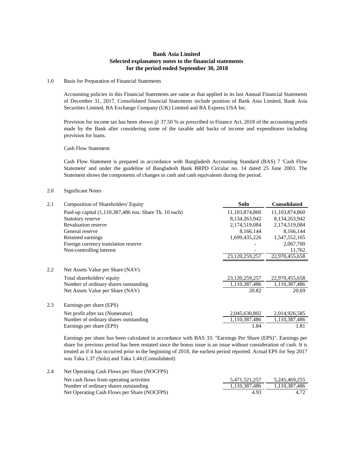# **Bank Asia Limited Selected explanatory notes to the financial statements for the period ended September 30, 2018**

#### 1.0 Basis for Preparation of Financial Statements

Accounting policies in this Financial Statements are same as that applied in its last Annual Financial Statements of December 31, 2017. Consolidated financial Statements include position of Bank Asia Limited, Bank Asia Securities Limited, BA Exchange Company (UK) Limited and BA Express USA Inc.

Provision for income tax has been shown @ 37.50 % as prescribed in Finance Act, 2018 of the accounting profit made by the Bank after considering some of the taxable add backs of income and expenditures including provision for loans.

Cash Flow Statement

Cash Flow Statement is prepared in accordance with Bangladesh Accounting Standard (BAS) 7 'Cash Flow Statement' and under the guideline of Bangladesh Bank BRPD Circular no. 14 dated 25 June 2003. The Statement shows the components of changes in cash and cash equivalents during the period.

#### 2.0 Significant Notes

| 2.1 | <b>Composition of Shareholders' Equity</b>             | Solo           | <b>Consolidated</b> |
|-----|--------------------------------------------------------|----------------|---------------------|
|     | Paid-up capital (1,110,387,486 nos. Share Tk. 10 each) | 11,103,874,860 | 11,103,874,860      |
|     | Statutory reserve                                      | 8,134,263,942  | 8,134,263,942       |
|     | <b>Revaluation reserve</b>                             | 2,174,519,084  | 2,174,519,084       |
|     | General reserve                                        | 8,166,144      | 8,166,144           |
|     | Retained earnings                                      | 1,699,435,226  | 1,547,552,165       |
|     | Foreign currency translation reserve                   |                | 2,067,700           |
|     | Non-controlling interest                               |                | 11,762              |
|     |                                                        | 23,120,259,257 | 22,970,455,658      |
| 2.2 | Net Assets Value per Share (NAV)                       |                |                     |
|     | Total shareholders' equity                             | 23,120,259,257 | 22,970,455,658      |
|     | Number of ordinary shares outstanding                  | 1,110,387,486  | 1,110,387,486       |
|     | Net Assets Value per Share (NAV)                       | 20.82          | 20.69               |
| 2.3 | Earnings per share (EPS)                               |                |                     |
|     | Net profit after tax (Numerator)                       | 2,045,630,802  | 2,014,926,585       |
|     | Number of ordinary shares outstanding                  | 1,110,387,486  | 1,110,387,486       |
|     | Earnings per share (EPS)                               | 1.84           | 1.81                |

Earnings per share has been calculated in accordance with BAS 33: "Earnings Per Share (EPS)". Earnings per share for previous period has been restated since the bonus issue is an issue without consideration of cash. It is treated as if it has occurred prior to the beginning of 2018, the earliest period reported. Actual EPS for Sep 2017 was Taka 1.37 (Solo) and Taka 1.44 (Consolidated)

2.4 Net Operating Cash Flows per Share (NOCFPS) Net cash flows from operating activities 5,471,521,257 5,245,469,255 Number of ordinary shares outstanding 1,110,387,486 1,110,387,486 Net Operating Cash Flows per Share (NOCFPS) 4.93 4.72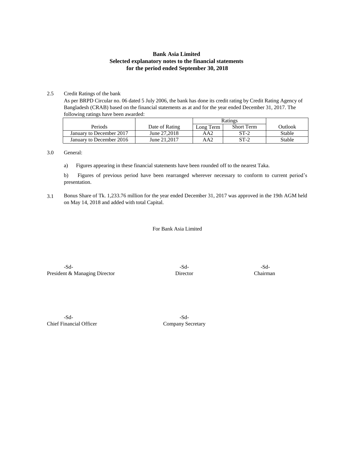# **Bank Asia Limited Selected explanatory notes to the financial statements for the period ended September 30, 2018**

#### 2.5 Credit Ratings of the bank

As per BRPD Circular no. 06 dated 5 July 2006, the bank has done its credit rating by Credit Rating Agency of Bangladesh (CRAB) based on the financial statements as at and for the year ended December 31, 2017. The following ratings have been awarded:

|                          |                | Ratings   |                   |         |
|--------------------------|----------------|-----------|-------------------|---------|
| Periods                  | Date of Rating | Long Term | <b>Short Term</b> | Outlook |
| January to December 2017 | June 27,2018   | AA2       | $ST-2$            | Stable  |
| January to December 2016 | June 21, 2017  | AA2       | $ST-2$            | Stable  |

#### 3.0 General:

a) Figures appearing in these financial statements have been rounded off to the nearest Taka.

b) Figures of previous period have been rearranged wherever necessary to conform to current period's presentation.

3.1 Bonus Share of Tk. 1,233.76 million for the year ended December 31, 2017 was approved in the 19th AGM held on May 14, 2018 and added with total Capital.

For Bank Asia Limited

-Sd- -Sd- -Sd-President & Managing Director Director Chairman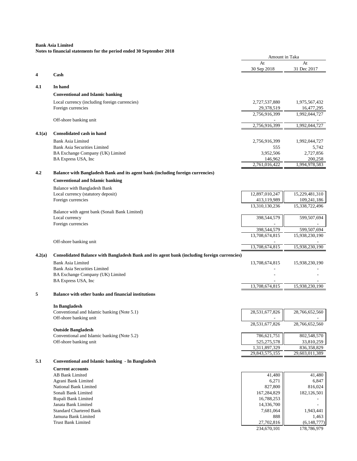|        | as to imancial statements for the period ended so sep                                       | Amount in Taka              |                             |
|--------|---------------------------------------------------------------------------------------------|-----------------------------|-----------------------------|
|        |                                                                                             | At                          | At                          |
| 4      | Cash                                                                                        | 30 Sep 2018                 | 31 Dec 2017                 |
|        |                                                                                             |                             |                             |
| 4.1    | In hand                                                                                     |                             |                             |
|        | <b>Conventional and Islamic banking</b>                                                     |                             |                             |
|        | Local currency (including foreign currencies)                                               | 2,727,537,880               | 1,975,567,432               |
|        | Foreign currencies                                                                          | 29,378,519<br>2,756,916,399 | 16,477,295<br>1,992,044,727 |
|        | Off-shore banking unit                                                                      |                             |                             |
|        |                                                                                             | 2,756,916,399               | 1,992,044,727               |
| 4.1(a) | <b>Consolidated cash in hand</b>                                                            |                             |                             |
|        | <b>Bank Asia Limited</b>                                                                    | 2,756,916,399               | 1,992,044,727               |
|        | <b>Bank Asia Securities Limited</b>                                                         | 555                         | 5,742                       |
|        | BA Exchange Company (UK) Limited<br>BA Express USA, Inc                                     | 3,952,506<br>146,962        | 2,727,856<br>200,258        |
|        |                                                                                             | 2,761,016,422               | 1,994,978,583               |
| 4.2    | <b>Balance with Bangladesh Bank and its agent bank (including foreign currencies)</b>       |                             |                             |
|        | <b>Conventional and Islamic banking</b>                                                     |                             |                             |
|        | Balance with Bangladesh Bank                                                                |                             |                             |
|        | Local currency (statutory deposit)                                                          | 12,897,010,247              | 15,229,481,310              |
|        | Foreign currencies                                                                          | 413,119,989                 | 109,241,186                 |
|        |                                                                                             | 13,310,130,236              | 15,338,722,496              |
|        | Balance with agent bank (Sonali Bank Limited)<br>Local currency                             | 398,544,579                 | 599,507,694                 |
|        | Foreign currencies                                                                          |                             |                             |
|        |                                                                                             | 398,544,579                 | 599,507,694                 |
|        |                                                                                             | 13,708,674,815              | 15,938,230,190              |
|        | Off-shore banking unit                                                                      | 13,708,674,815              | 15,938,230,190              |
| 4.2(a) | Consolidated Balance with Bangladesh Bank and its agent bank (including foreign currencies) |                             |                             |
|        | <b>Bank Asia Limited</b>                                                                    | 13,708,674,815              | 15,938,230,190              |
|        | <b>Bank Asia Securities Limited</b>                                                         |                             |                             |
|        | BA Exchange Company (UK) Limited                                                            |                             |                             |
|        | BA Express USA, Inc.                                                                        |                             |                             |
|        |                                                                                             | 13,708,674,815              | 15,938,230,190              |
| 5      | Balance with other banks and financial institutions                                         |                             |                             |
|        | In Bangladesh                                                                               |                             |                             |
|        | Conventional and Islamic banking (Note 5.1)                                                 | 28,531,677,826              | 28,766,652,560              |
|        | Off-shore banking unit                                                                      |                             |                             |
|        | <b>Outside Bangladesh</b>                                                                   | 28,531,677,826              | 28,766,652,560              |
|        | Conventional and Islamic banking (Note 5.2)                                                 | 786,621,751                 | 802,548,570                 |
|        | Off-shore banking unit                                                                      | 525, 275, 578               | 33,810,259                  |
|        |                                                                                             | 1,311,897,329               | 836,358,829                 |
|        |                                                                                             | 29,843,575,155              | 29,603,011,389              |
| 5.1    | <b>Conventional and Islamic banking - In Bangladesh</b>                                     |                             |                             |
|        | <b>Current accounts</b><br><b>AB Bank Limited</b>                                           | 41,480                      | 41,480                      |
|        | Agrani Bank Limited                                                                         | 6,271                       | 6,847                       |
|        | National Bank Limited                                                                       | 827,800                     | 816,024                     |
|        | Sonali Bank Limited                                                                         | 167,284,829                 | 182,126,501                 |
|        | Rupali Bank Limited                                                                         | 16,788,253                  |                             |
|        | Janata Bank Limited<br><b>Standard Chartered Bank</b>                                       | 14,336,700<br>7,681,064     | 1,943,441                   |
|        | Jamuna Bank Limited                                                                         | 888                         | 1,463                       |
|        | <b>Trust Bank Limited</b>                                                                   | 27,702,816                  | (6,148,777)                 |
|        |                                                                                             | 234,670,101                 | 178,786,979                 |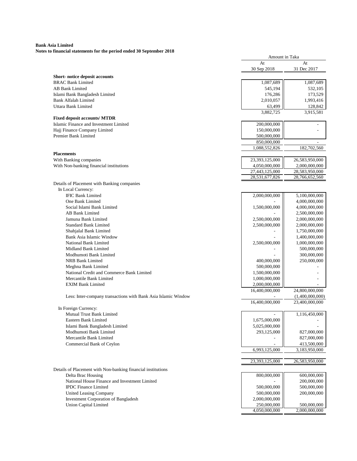| as to mightigh statements for the period ended so bep          | Amount in Taka               |                              |
|----------------------------------------------------------------|------------------------------|------------------------------|
|                                                                | At                           | At                           |
|                                                                | 30 Sep 2018                  | 31 Dec 2017                  |
| Short-notice deposit accounts                                  |                              |                              |
| <b>BRAC Bank Limited</b>                                       | 1,087,689                    | 1,087,689                    |
| <b>AB Bank Limited</b>                                         | 545,194                      | 532,105                      |
| Islami Bank Bangladesh Limited                                 | 176,286                      | 173,529                      |
| <b>Bank Alfalah Limited</b>                                    | 2,010,057                    | 1,993,416                    |
| Uttara Bank Limited                                            | 63,499<br>3,882,725          | 128,842<br>3,915,581         |
| <b>Fixed deposit accounts/ MTDR</b>                            |                              |                              |
| Islamic Finance and Investment Limited                         | 200,000,000                  |                              |
| Hajj Finance Company Limited                                   | 150,000,000                  |                              |
| Premier Bank Limited                                           | 500,000,000                  |                              |
|                                                                | 850,000,000                  |                              |
| <b>Placements</b>                                              | 1,088,552,826                | 182,702,560                  |
| With Banking companies                                         | 23,393,125,000               | 26,583,950,000               |
| With Non-banking financial institutions                        | 4,050,000,000                | 2,000,000,000                |
|                                                                | 27,443,125,000               | 28,583,950,000               |
|                                                                | 28,531,677,826               | 28,766,652,560               |
| Details of Placement with Banking companies                    |                              |                              |
| In Local Currency:                                             |                              |                              |
| <b>IFIC Bank Limited</b>                                       | 2,000,000,000                | 5,100,000,000                |
| One Bank Limited                                               |                              | 4,000,000,000                |
| Social Islami Bank Limited                                     | 1,500,000,000                | 4,000,000,000                |
| AB Bank Limited                                                |                              | 2,500,000,000                |
| Jamuna Bank Limited                                            | 2,500,000,000                | 2,000,000,000                |
| <b>Standard Bank Limited</b>                                   | 2,500,000,000                | 2,000,000,000                |
| Shahjalal Bank Limited                                         |                              | 1,750,000,000                |
| Bank Asia Islamic Window<br>National Bank Limited              |                              | 1,400,000,000                |
| Midland Bank Limited                                           | 2,500,000,000                | 1,000,000,000                |
| Modhumoti Bank Limited                                         |                              | 500,000,000<br>300,000,000   |
| NRB Bank Limited                                               | 400,000,000                  | 250,000,000                  |
| Meghna Bank Limited                                            | 500,000,000                  |                              |
| National Credit and Commerce Bank Limited                      | 1,500,000,000                |                              |
| Mercantile Bank Limited                                        | 1,000,000,000                |                              |
| <b>EXIM Bank Limited</b>                                       | 2,000,000,000                |                              |
|                                                                | 16,400,000,000               | 24,800,000,000               |
| Less: Inter-company transactions with Bank Asia Islamic Window |                              | (1,400,000,000)              |
|                                                                | 16,400,000,000               | 23,400,000,000               |
| In Foreign Currency:<br>Mutual Trust Bank Limited              |                              | 1,116,450,000                |
| Eastern Bank Limited                                           | 1,675,000,000                |                              |
| Islami Bank Bangladesh Limited                                 | 5,025,000,000                |                              |
| Modhumoti Bank Limited                                         | 293,125,000                  | 827,000,000                  |
| Mercantile Bank Limited                                        |                              | 827,000,000                  |
| Commercial Bank of Ceylon                                      |                              | 413,500,000                  |
|                                                                | 6,993,125,000                | 3,183,950,000                |
|                                                                |                              |                              |
|                                                                | 23,393,125,000               | 26,583,950,000               |
| Details of Placement with Non-banking financial institutions   |                              |                              |
| Delta Brac Housing                                             | 800,000,000                  | 600,000,000                  |
| National House Finance and Investment Limited                  |                              | 200,000,000                  |
| <b>IPDC</b> Finance Limited                                    | 500,000,000                  | 500,000,000                  |
| <b>United Leasing Company</b>                                  | 500,000,000                  | 200,000,000                  |
| <b>Investment Corporation of Bangladesh</b>                    | 2,000,000,000<br>250,000,000 |                              |
| <b>Union Capital Limited</b>                                   | 4,050,000,000                | 500,000,000<br>2,000,000,000 |
|                                                                |                              |                              |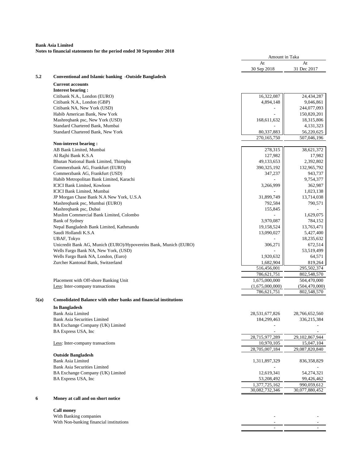**Notes to financial statements for the period ended 30 September 2018**

|      |                                                                         | At                       | At                     |
|------|-------------------------------------------------------------------------|--------------------------|------------------------|
|      |                                                                         | 30 Sep 2018              | 31 Dec 2017            |
| 5.2  | <b>Conventional and Islamic banking -Outside Bangladesh</b>             |                          |                        |
|      | <b>Current accounts</b>                                                 |                          |                        |
|      | <b>Interest bearing:</b>                                                |                          |                        |
|      | Citibank N.A., London (EURO)                                            | 16,322,087               | 24,434,287             |
|      | Citibank N.A., London (GBP)                                             | 4,894,148                | 9,046,861              |
|      | Citibank NA, New York (USD)                                             |                          | 244,077,093            |
|      | Habib American Bank, New York                                           |                          | 150,820,201            |
|      | Mashreqbank psc, New York (USD)                                         | 168,611,632              | 18,315,806             |
|      | Standard Chartered Bank, Mumbai                                         |                          | 4,131,323              |
|      | Standard Chartered Bank, New York                                       | 80,337,883               | 56,220,625             |
|      |                                                                         | 270.165.750              | 507,046,196            |
|      | Non-interest bearing:                                                   |                          |                        |
|      | AB Bank Limited, Mumbai                                                 | 278,315                  | 38,621,372             |
|      | Al Rajhi Bank K.S.A                                                     | 127,982                  | 17,982                 |
|      | Bhutan National Bank Limited, Thimphu                                   | 49,133,653               | 2,392,802              |
|      | Commerzbank AG, Frankfurt (EURO)                                        | 390,325,192              | 132,965,792            |
|      | Commerzbank AG, Frankfurt (USD)                                         | 347,237                  | 943,737                |
|      | Habib Metropolitan Bank Limited, Karachi                                |                          | 9,754,377              |
|      | <b>ICICI Bank Limited, Kowloon</b>                                      | 3,266,999                | 362,987                |
|      | <b>ICICI Bank Limited, Mumbai</b>                                       |                          | 1,023,138              |
|      | JP Morgan Chase Bank N.A New York, U.S.A                                | 31,899,749               | 13,714,038             |
|      | Mashreqbank psc, Mumbai (EURO)                                          | 792,584                  | 790,571                |
|      | Mashreqbank psc, Dubai                                                  | 155,845                  |                        |
|      | Muslim Commercial Bank Limited, Colombo                                 |                          | 1,629,075              |
|      | Bank of Sydney                                                          | 3,970,087                | 784,152                |
|      | Nepal Bangladesh Bank Limited, Kathmandu                                | 19,158,524               | 13,763,471             |
|      | Saudi Hollandi K.S.A                                                    | 13,090,027               | 5,427,400              |
|      | UBAF, Tokyo                                                             |                          | 18,235,632             |
|      | Unicredit Bank AG, Munich (EURO)/Hypovereins Bank, Munich (EURO)        | 306,271                  | 672,514                |
|      | Wells Fargo Bank NA, New York, (USD)                                    |                          | 53,519,499             |
|      | Wells Fargo Bank NA, London, (Euro)                                     | 1,920,632                | 64,571                 |
|      | Zurcher Kantonal Bank, Switzerland                                      | 1,682,904<br>516,456,001 | 819,264<br>295,502,374 |
|      |                                                                         | 786,621,751              | 802,548,570            |
|      | Placement with Off-shore Banking Unit                                   | 1,675,000,000            | 504,470,000            |
|      | Less: Inter-company transactions                                        | (1,675,000,000)          | (504, 470, 000)        |
|      |                                                                         | 786,621,751              | 802.548.570            |
|      |                                                                         |                          |                        |
| 5(a) | <b>Consolidated Balance with other banks and financial institutions</b> |                          |                        |
|      | In Bangladesh                                                           |                          |                        |
|      | <b>Bank Asia Limited</b>                                                | 28,531,677,826           | 28,766,652,560         |
|      | <b>Bank Asia Securities Limited</b>                                     | 184,299,463              | 336,215,384            |
|      | BA Exchange Company (UK) Limited                                        |                          |                        |
|      | BA Express USA, Inc                                                     |                          |                        |
|      |                                                                         | 28,715,977,289           | 29, 102, 867, 944      |
|      | Less: Inter-company transactions                                        | 10,970,105               | 15,047,104             |
|      |                                                                         | 28,705,007,184           | 29,087,820,840         |
|      | <b>Outside Bangladesh</b>                                               |                          |                        |
|      | <b>Bank Asia Limited</b>                                                | 1,311,897,329            | 836, 358, 829          |
|      | <b>Bank Asia Securities Limited</b>                                     |                          |                        |
|      | BA Exchange Company (UK) Limited                                        | 12,619,341               | 54,274,321             |
|      | BA Express USA, Inc                                                     | 53,208,492               | 99,426,462             |
|      |                                                                         | 1,377,725,162            | 990,059,612            |
|      |                                                                         | 30,082,732,346           | 30,077,880,452         |
| 6    | Money at call and on short notice                                       |                          |                        |
|      |                                                                         |                          |                        |
|      | <b>Call money</b>                                                       |                          |                        |

With Banking companies (Note 6.1) - - With Non-banking financial institutions (Note 6.2) - -

- - - - - - - - - - - - - - - - - - -

Amount in Taka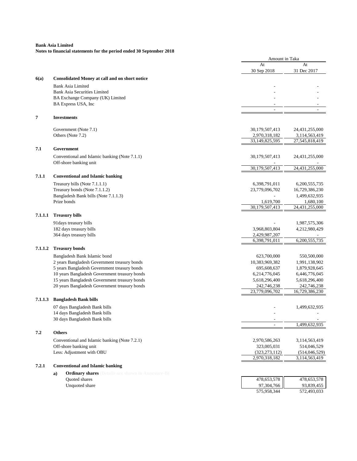|         |                                                                | Amount in Taka                  |                                 |
|---------|----------------------------------------------------------------|---------------------------------|---------------------------------|
|         |                                                                | At<br>30 Sep 2018               | At<br>31 Dec 2017               |
| 6(a)    | <b>Consolidated Money at call and on short notice</b>          |                                 |                                 |
|         | <b>Bank Asia Limited</b>                                       |                                 |                                 |
|         | <b>Bank Asia Securities Limited</b>                            |                                 |                                 |
|         | BA Exchange Company (UK) Limited                               |                                 |                                 |
|         | BA Express USA, Inc                                            |                                 |                                 |
|         |                                                                | $\overline{\phantom{a}}$        |                                 |
| 7       | <b>Investments</b>                                             |                                 |                                 |
|         |                                                                |                                 |                                 |
|         | Government (Note 7.1)<br>Others (Note 7.2)                     | 30,179,507,413<br>2,970,318,182 | 24,431,255,000<br>3,114,563,419 |
|         |                                                                | 33,149,825,595                  | 27,545,818,419                  |
|         |                                                                |                                 |                                 |
| 7.1     | Government                                                     |                                 |                                 |
|         | Conventional and Islamic banking (Note 7.1.1)                  | 30,179,507,413                  | 24,431,255,000                  |
|         | Off-shore banking unit                                         |                                 |                                 |
|         |                                                                | 30,179,507,413                  | 24,431,255,000                  |
| 7.1.1   | <b>Conventional and Islamic banking</b>                        |                                 |                                 |
|         | Treasury bills (Note 7.1.1.1)                                  | 6,398,791,011                   | 6,200,555,735                   |
|         | Treasury bonds (Note 7.1.1.2)                                  | 23,779,096,702                  | 16,729,386,230                  |
|         | Bangladesh Bank bills (Note 7.1.1.3)                           |                                 | 1,499,632,935                   |
|         | Prize bonds                                                    | 1,619,700                       | 1,680,100                       |
|         |                                                                | 30,179,507,413                  | 24,431,255,000                  |
| 7.1.1.1 | <b>Treasury bills</b>                                          |                                 |                                 |
|         | 91 days treasury bills                                         |                                 | 1,987,575,306                   |
|         | 182 days treasury bills                                        | 3,968,803,804                   | 4,212,980,429                   |
|         | 364 days treasury bills                                        | 2,429,987,207                   |                                 |
|         |                                                                | 6,398,791,011                   | 6,200,555,735                   |
| 7.1.1.2 | <b>Treasury bonds</b>                                          |                                 |                                 |
|         | Bangladesh Bank Islamic bond                                   | 623,700,000                     |                                 |
|         | 2 years Bangladesh Government treasury bonds                   | 10,383,969,382                  | 550,500,000<br>1,991,138,902    |
|         | 5 years Bangladesh Government treasury bonds                   | 695,608,637                     | 1,879,928,645                   |
|         | 10 years Bangladesh Government treasury bonds                  | 6,214,776,045                   | 6,446,776,045                   |
|         | 15 years Bangladesh Government treasury bonds                  | 5,618,296,400                   | 5,618,296,400                   |
|         | 20 years Bangladesh Government treasury bonds                  | 242,746,238                     | 242,746,238                     |
|         |                                                                | 23,779,096,702                  | 16,729,386,230                  |
| 7.1.1.3 | <b>Bangladesh Bank bills</b>                                   |                                 |                                 |
|         | 07 days Bangladesh Bank bills                                  |                                 | 1,499,632,935                   |
|         | 14 days Bangladesh Bank bills                                  |                                 |                                 |
|         | 30 days Bangladesh Bank bills                                  | $\overline{\phantom{a}}$        |                                 |
|         |                                                                |                                 | 1.499.632.935                   |
| 7.2     | <b>Others</b>                                                  |                                 |                                 |
|         | Conventional and Islamic banking (Note 7.2.1)                  | 2,970,586,263                   | 3,114,563,419                   |
|         | Off-shore banking unit                                         | 323,005,031                     | 514,046,529                     |
|         | Less: Adjustment with OBU                                      | (323, 273, 112)                 | (514,046,529)                   |
|         |                                                                | 2,970,318,182                   | 3,114,563,419                   |
| 7.2.1   | <b>Conventional and Islamic banking</b>                        |                                 |                                 |
|         | <b>Ordinary shares</b> (Details are shown in Annexure-B)<br>a) |                                 |                                 |
|         | Quoted shares                                                  | 478,653,578                     | 478,653,578                     |
|         | Unquoted share                                                 | 97,304,766                      | 93,839,455                      |

|             | .           |
|-------------|-------------|
| 97,304,766  | 93,839,455  |
| 575,958,344 | 572,493,033 |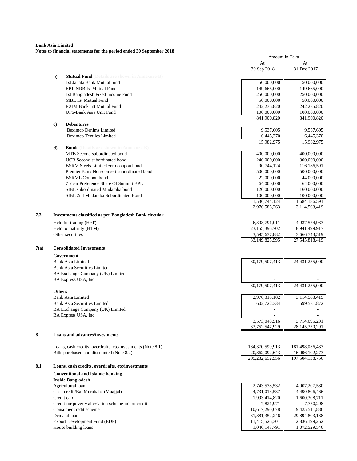#### **Bank Asia Limited Notes to financial statements for the period ended 30 September 2018**

|      |               |                                                                 | At              | At                      |
|------|---------------|-----------------------------------------------------------------|-----------------|-------------------------|
|      |               |                                                                 | 30 Sep 2018     | 31 Dec 2017             |
|      | b)            | <b>Mutual Fund</b> (Details are shown in Annexure-B)            |                 |                         |
|      |               | 1st Janata Bank Mutual fund                                     | 50,000,000      | 50,000,000              |
|      |               | <b>EBL NRB Ist Mutual Fund</b>                                  | 149,665,000     | 149,665,000             |
|      |               | 1st Bangladesh Fixed Income Fund                                | 250,000,000     | 250,000,000             |
|      |               | <b>MBL 1st Mutual Fund</b>                                      | 50,000,000      | 50,000,000              |
|      |               | <b>EXIM Bank 1st Mutual Fund</b>                                | 242,235,820     | 242,235,820             |
|      |               | UFS-Bank Asia Unit Fund                                         | 100,000,000     | 100,000,000             |
|      |               |                                                                 | 841,900,820     | 841,900,820             |
|      | c)            | <b>Debentures</b>                                               |                 |                         |
|      |               | <b>Beximco Denims Limited</b>                                   | 9,537,605       | 9,537,605               |
|      |               | <b>Beximco Textiles Limited</b>                                 | 6,445,370       | 6,445,370<br>15,982,975 |
|      | d)            | <b>Bonds</b> (Details are shown in Annexure-B)                  | 15,982,975      |                         |
|      |               | MTB Second subordinated bond                                    | 400,000,000     | 400,000,000             |
|      |               | <b>UCB</b> Second subordinated bond                             | 240,000,000     | 300,000,000             |
|      |               | BSRM Steels Limited zero coupon bond                            | 90,744,124      | 116,186,591             |
|      |               | Premier Bank Non-convert subordinated bond                      | 500,000,000     | 500,000,000             |
|      |               | <b>BSRML Coupon bond</b>                                        | 22,000,000      | 44,000,000              |
|      |               | 7 Year Preference Share Of Summit BPL                           | 64,000,000      | 64,000,000              |
|      |               | SIBL subordinated Mudaraba bond                                 | 120,000,000     | 160,000,000             |
|      |               | SIBL 2nd Mudaraba Subordinated Bond                             | 100,000,000     | 100,000,000             |
|      |               |                                                                 | 1,536,744,124   | 1,684,186,591           |
|      |               |                                                                 | 2,970,586,263   | 3,114,563,419           |
| 7.3  |               | <b>Investments classified as per Bangladesh Bank circular</b>   |                 |                         |
|      |               | Held for trading (HFT)                                          | 6,398,791,011   | 4,937,574,983           |
|      |               | Held to maturity (HTM)                                          | 23,155,396,702  | 18,941,499,917          |
|      |               | Other securities                                                | 3,595,637,882   | 3,666,743,519           |
|      |               |                                                                 | 33,149,825,595  | 27,545,818,419          |
| 7(a) |               | <b>Consolidated Investments</b>                                 |                 |                         |
|      |               |                                                                 |                 |                         |
|      |               | Government                                                      |                 |                         |
|      |               | <b>Bank Asia Limited</b><br><b>Bank Asia Securities Limited</b> | 30,179,507,413  | 24,431,255,000          |
|      |               | BA Exchange Company (UK) Limited                                |                 |                         |
|      |               | BA Express USA, Inc                                             |                 |                         |
|      |               |                                                                 | 30,179,507,413  | 24,431,255,000          |
|      | <b>Others</b> |                                                                 |                 |                         |
|      |               | Bank Asia Limited                                               | 2,970,318,182   | 3,114,563,419           |
|      |               | <b>Bank Asia Securities Limited</b>                             | 602,722,334     | 599,531,872             |
|      |               | BA Exchange Company (UK) Limited                                |                 |                         |
|      |               | BA Express USA, Inc                                             |                 |                         |
|      |               |                                                                 | 3,573,040,516   | 3,714,095,291           |
|      |               |                                                                 | 33,752,547,929  | 28,145,350,291          |
| 8    |               | Loans and advances/investments                                  |                 |                         |
|      |               |                                                                 |                 |                         |
|      |               | Loans, cash credits, overdrafts, etc/investments (Note 8.1)     | 184,370,599,913 | 181,498,036,483         |
|      |               | Bills purchased and discounted (Note 8.2)                       | 20,862,092,643  | 16,006,102,273          |
|      |               |                                                                 | 205,232,692,556 | 197,504,138,756         |
| 8.1  |               | Loans, cash credits, overdrafts, etc/investments                |                 |                         |
|      |               | <b>Conventional and Islamic banking</b>                         |                 |                         |
|      |               | <b>Inside Bangladesh</b>                                        |                 |                         |
|      |               | Agricultural loan                                               | 2,743,538,532   | 4,007,207,580           |
|      |               | Cash credit/Bai Murabaha (Muajjal)                              | 4,731,013,537   | 4,490,806,466           |
|      |               | Credit card                                                     | 1,993,414,820   | 1,600,308,711           |
|      |               | Credit for poverty alleviation scheme-micro credit              | 7,821,971       | 7,750,298               |
|      |               | Consumer credit scheme                                          | 10,617,290,678  | 9,425,511,886           |
|      |               | Demand loan                                                     | 31,881,352,246  | 29,894,803,188          |
|      |               | Export Development Fund (EDF)                                   | 11,415,526,301  | 12,836,199,262          |

Amount in Taka

House building loans 1,072,529,546 1,040,148,791 | 1,072,529,546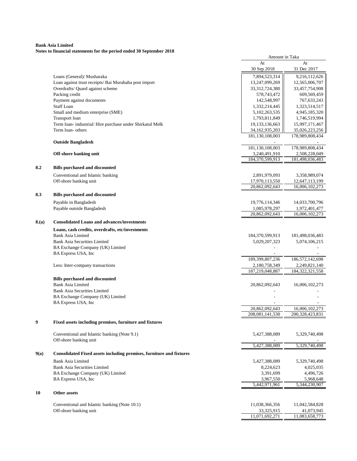|      | гонз ю пішніця запешення гог ти регіон списа зо эср                                       | Amount in Taka                      |                                  |
|------|-------------------------------------------------------------------------------------------|-------------------------------------|----------------------------------|
|      |                                                                                           | At<br>30 Sep 2018                   | At<br>31 Dec 2017                |
|      |                                                                                           |                                     |                                  |
|      | Loans (General)/ Musharaka                                                                | 7,894,523,314                       | 9,216,112,626                    |
|      | Loan against trust receipts/ Bai Murabaha post import<br>Overdrafts/ Quard against scheme | 13,247,099,269<br>33, 312, 724, 380 | 12,565,006,707<br>33,457,754,908 |
|      | Packing credit                                                                            | 578,743,472                         | 609,569,459                      |
|      | Payment against documents                                                                 | 142,548,997                         | 767, 633, 243                    |
|      | <b>Staff Loan</b>                                                                         | 1,332,214,445                       | 1,323,514,517                    |
|      | Small and medium enterprise (SME)                                                         | 5,102,263,535                       | 4,945,185,320                    |
|      | Transport loan                                                                            | 1,793,811,849                       | 1,746,519,994                    |
|      | Term loan- industrial/Hire purchase under Shirkatul Melk                                  | 19,133,136,663                      | 15,997,171,467                   |
|      | Term loan- others                                                                         | 34,162,935,203                      | 35,026,223,256                   |
|      |                                                                                           | 181,130,108,003                     | 178,989,808,434                  |
|      | <b>Outside Bangladesh</b>                                                                 |                                     |                                  |
|      |                                                                                           | 181,130,108,003                     | 178,989,808,434                  |
|      | Off-shore banking unit                                                                    | 3,240,491,910                       | 2,508,228,049                    |
|      |                                                                                           | 184,370,599,913                     | 181,498,036,483                  |
| 8.2  | <b>Bills purchased and discounted</b>                                                     |                                     |                                  |
|      | Conventional and Islamic banking                                                          | 2,891,979,093                       | 3,358,989,074                    |
|      | Off-shore banking unit                                                                    | 17,970,113,550                      | 12,647,113,199                   |
|      |                                                                                           | 20,862,092,643                      | 16,006,102,273                   |
| 8.3  | <b>Bills purchased and discounted</b>                                                     |                                     |                                  |
|      | Payable in Bangladesh                                                                     | 19,776,114,346                      | 14,033,700,796                   |
|      | Payable outside Bangladesh                                                                | 1,085,978,297                       | 1,972,401,477                    |
|      |                                                                                           | 20,862,092,643                      | 16,006,102,273                   |
| 8(a) | <b>Consolidated Loans and advances/investments</b>                                        |                                     |                                  |
|      | Loans, cash credits, overdrafts, etc/investments                                          |                                     |                                  |
|      | <b>Bank Asia Limited</b>                                                                  | 184,370,599,913                     | 181,498,036,483                  |
|      | <b>Bank Asia Securities Limited</b>                                                       | 5,029,207,323                       | 5,074,106,215                    |
|      | BA Exchange Company (UK) Limited                                                          |                                     |                                  |
|      | BA Express USA, Inc                                                                       |                                     |                                  |
|      |                                                                                           | 189, 399, 807, 236                  | 186,572,142,698                  |
|      | Less: Inter-company transactions                                                          | 2,180,758,349                       | 2,249,821,140                    |
|      |                                                                                           | 187,219,048,887                     | 184, 322, 321, 558               |
|      | <b>Bills purchased and discounted</b>                                                     |                                     |                                  |
|      | <b>Bank Asia Limited</b>                                                                  | 20,862,092,643                      | 16,006,102,273                   |
|      | <b>Bank Asia Securities Limited</b>                                                       |                                     |                                  |
|      | BA Exchange Company (UK) Limited                                                          |                                     |                                  |
|      | BA Express USA, Inc                                                                       | 20,862,092,643                      | 16,006,102,273                   |
|      |                                                                                           | 208,081,141,530                     | 200,328,423,831                  |
| 9    | Fixed assets including premises, furniture and fixtures                                   |                                     |                                  |
|      |                                                                                           |                                     |                                  |
|      | Conventional and Islamic banking (Note 9.1)                                               | 5,427,388,089                       | 5,329,740,498                    |
|      | Off-shore banking unit                                                                    |                                     |                                  |
|      |                                                                                           | 5,427,388,089                       | 5,329,740,498                    |
| 9(a) | Consolidated Fixed assets including premises, furniture and fixtures                      |                                     |                                  |
|      | Bank Asia Limited                                                                         | 5,427,388,089                       | 5,329,740,498                    |
|      | <b>Bank Asia Securities Limited</b>                                                       | 8,224,623                           | 4,025,035                        |
|      | BA Exchange Company (UK) Limited                                                          | 3,391,699                           | 4,496,726                        |
|      | BA Express USA, Inc                                                                       | 3,967,550                           | 5,968,648                        |
|      |                                                                                           | 5,442,971,961                       | 5,344,230,907                    |
| 10   | Other assets                                                                              |                                     |                                  |
|      | Conventional and Islamic banking (Note 10.1)                                              | 11,038,366,356                      | 11,042,584,828                   |
|      | Off-shore banking unit                                                                    | 33,325,915                          | 41,073,945                       |
|      |                                                                                           | 11,071,692,271                      | 11,083,658,773                   |
|      |                                                                                           |                                     |                                  |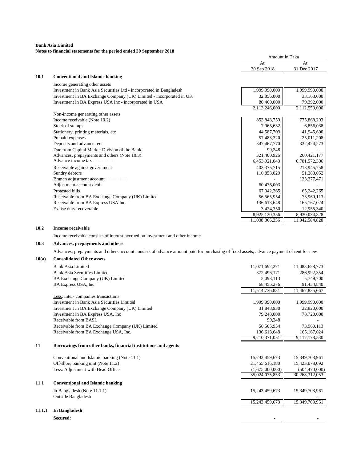#### **Bank Asia Limited Notes to financial statements for the period ended 30 September 2018**

| At<br>30 Sep 2018<br>10.1<br><b>Conventional and Islamic banking</b>                 | At<br>31 Dec 2017<br>1,999,990,000 |
|--------------------------------------------------------------------------------------|------------------------------------|
|                                                                                      |                                    |
|                                                                                      |                                    |
|                                                                                      |                                    |
| Income generating other assets                                                       |                                    |
| 1,999,990,000<br>Investment in Bank Asia Securities Ltd - incorporated in Bangladesh |                                    |
| Investment in BA Exchange Company (UK) Limited - incorporated in UK<br>32,856,000    | 33,168,000                         |
| Investment in BA Express USA Inc - incorporated in USA<br>80,400,000                 | 79,392,000                         |
| 2,113,246,000                                                                        | 2,112,550,000                      |
| Non-income generating other assets                                                   |                                    |
| 853, 843, 759<br>Income receivable (Note 10.2)                                       | 775,868,203                        |
| Stock of stamps<br>7,965,632                                                         | 6,856,038                          |
| Stationery, printing materials, etc.<br>44,587,703                                   | 41,945,600                         |
| Prepaid expenses<br>57,483,320                                                       | 25,011,208                         |
| Deposits and advance rent<br>347,467,770                                             | 332,424,273                        |
| Due from Capital Market Division of the Bank<br>99,248                               |                                    |
| Advances, prepayments and others (Note 10.3)<br>321,400,926                          | 260, 421, 177                      |
| <b>Advance income tax</b> (Note 10.4)<br>6,453,921,043                               | 6,781,572,306                      |
| 403,375,715<br>Receivable against government                                         | 213,945,758                        |
| 110,853,020<br>Sundry debtors                                                        | 51,288,052                         |
| <b>Branch adjustment account</b> (Note 10.5)                                         | 123, 377, 471                      |
| 60,476,003<br>Adjustment account debit                                               |                                    |
| Protested bills<br>67,042,265                                                        | 65,242,265                         |
| Receivable from BA Exchange Company (UK) Limited<br>56,565,954                       | 73,960,113                         |
| Receivable from BA Express USA Inc<br>136,613,648                                    | 165, 167, 024                      |
| Excise duty recoverable<br>3,424,350                                                 | 12,955,340                         |
| 8,925,120,356                                                                        | 8,930,034,828                      |
| 11,038,366,356                                                                       | 11,042,584,828                     |

#### **10.2 Income receivable**

Income receivable consists of interest accrued on investment and other income.

# **10.3 Advances, prepayments and others**

Advances, prepayments and others account consists of advance amount paid for purchasing of fixed assets, advance payment of rent for new

# **10(a) Consolidated Other assets**

|        | Bank Asia Limited                                              | 11,071,692,271  | 11,083,658,773  |
|--------|----------------------------------------------------------------|-----------------|-----------------|
|        | <b>Bank Asia Securities Limited</b>                            | 372,496,171     | 286,992,354     |
|        | BA Exchange Company (UK) Limited                               | 2,093,113       | 5,749,700       |
|        | BA Express USA, Inc.                                           | 68,455,276      | 91,434,840      |
|        |                                                                | 11,514,736,831  | 11,467,835,667  |
|        | Less: Inter-companies transactions                             |                 |                 |
|        | Investment in Bank Asia Securities Limited                     | 1,999,990,000   | 1,999,990,000   |
|        | Investment in BA Exchange Company (UK) Limited                 | 31,848,930      | 32,820,000      |
|        | Investment in BA Express USA, Inc.                             | 79,248,000      | 78,720,000      |
|        | Receivable from BASL                                           | 99,248          |                 |
|        | Receivable from BA Exchange Company (UK) Limited               | 56,565,954      | 73,960,113      |
|        | Receivable from BA Exchange USA, Inc.                          | 136,613,648     | 165, 167, 024   |
|        |                                                                | 9,210,371,051   | 9,117,178,530   |
| 11     | Borrowings from other banks, financial institutions and agents |                 |                 |
|        | Conventional and Islamic banking (Note 11.1)                   | 15,243,459,673  | 15,349,703,961  |
|        | Off-shore banking unit (Note 11.2)                             | 21,455,616,180  | 15,423,078,092  |
|        | Less: Adjustment with Head Office                              | (1,675,000,000) | (504, 470, 000) |
|        |                                                                | 35,024,075,853  | 30,268,312,053  |
| 11.1   | <b>Conventional and Islamic banking</b>                        |                 |                 |
|        | In Bangladesh (Note $11.1.1$ )                                 | 15,243,459,673  | 15,349,703,961  |
|        | <b>Outside Bangladesh</b>                                      |                 |                 |
|        |                                                                | 15,243,459,673  | 15,349,703,961  |
| 11.1.1 | In Bangladesh                                                  |                 |                 |
|        | Secured:                                                       |                 |                 |
|        |                                                                |                 |                 |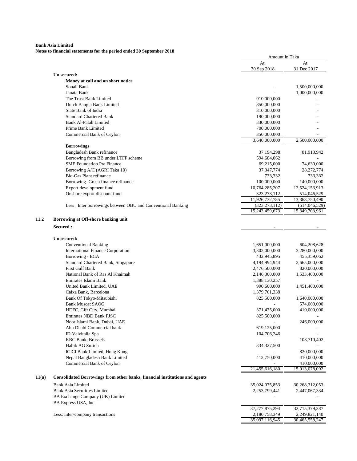|       |                                                                             | Amount in Taka  |                                 |
|-------|-----------------------------------------------------------------------------|-----------------|---------------------------------|
|       |                                                                             | At              | At                              |
|       |                                                                             | 30 Sep 2018     | 31 Dec 2017                     |
|       | Un secured:                                                                 |                 |                                 |
|       | Money at call and on short notice<br>Sonali Bank                            |                 | 1,500,000,000                   |
|       | Janata Bank                                                                 |                 | 1,000,000,000                   |
|       | The Trust Bank Limited                                                      | 910,000,000     |                                 |
|       | Dutch Bangla Bank Limited                                                   | 850,000,000     |                                 |
|       | State Bank of India                                                         | 310,000,000     |                                 |
|       | <b>Standard Chartered Bank</b>                                              | 190,000,000     |                                 |
|       | Bank Al-Falah Limited                                                       | 330,000,000     |                                 |
|       | Prime Bank Limited                                                          | 700,000,000     |                                 |
|       | Commercial Bank of Ceylon                                                   | 350,000,000     |                                 |
|       |                                                                             | 3,640,000,000   | 2,500,000,000                   |
|       | <b>Borrowings</b>                                                           |                 |                                 |
|       | Bangladesh Bank refinance                                                   | 37, 194, 298    | 81,913,942                      |
|       | Borrowing from BB under LTFF scheme                                         | 594,684,062     |                                 |
|       | <b>SME Foundation Pre Finance</b>                                           | 69,215,000      | 74,630,000                      |
|       | Borrowing A/C (AGRI Taka 10)                                                | 37, 347, 774    | 28,272,774                      |
|       | <b>Bio-Gas Plant refinance</b>                                              | 733,332         | 733,332                         |
|       | Borrowing- Green finance refinance                                          | 100,000,000     | 140,000,000                     |
|       | Export development fund                                                     | 10,764,285,207  | 12,524,153,913                  |
|       | Onshore export discount fund                                                | 323, 273, 112   | 514,046,529                     |
|       |                                                                             | 11,926,732,785  | 13,363,750,490                  |
|       | Less: Inter borrowings between OBU and Conventional Banking                 | (323, 273, 112) | (514, 046, 529)                 |
|       |                                                                             | 15,243,459,673  | 15,349,703,961                  |
| 11.2  | Borrowing at Off-shore banking unit                                         |                 |                                 |
|       | Secured :                                                                   |                 |                                 |
|       |                                                                             |                 |                                 |
|       | Un secured:                                                                 |                 |                                 |
|       | <b>Conventional Banking</b>                                                 | 1,651,000,000   | 604,208,628                     |
|       | <b>International Finance Corporation</b>                                    | 3,302,000,000   | 3,280,000,000                   |
|       | Borrowing - ECA                                                             | 432,945,895     | 455,359,062                     |
|       | Standard Chartered Bank, Singapore                                          | 4,194,994,944   | 2,665,000,000                   |
|       | First Gulf Bank                                                             | 2,476,500,000   | 820,000,000                     |
|       | National Bank of Ras Al Khaimah                                             | 2,146,300,000   | 1,533,400,000                   |
|       | Emirates Islami Bank                                                        | 1,388,130,257   |                                 |
|       | United Bank Limited, UAE                                                    | 990,600,000     | 1,451,400,000                   |
|       | Caixa Bank, Barcelona                                                       | 1,379,761,338   |                                 |
|       | Bank Of Tokyo-Mitsubishi                                                    | 825,500,000     | 1,640,000,000                   |
|       | <b>Bank Muscat SAOG</b>                                                     | 371,475,000     | 574,000,000                     |
|       | HDFC, Gift City, Mumbai                                                     |                 | 410,000,000                     |
|       | <b>Emirates NBD Bank PJSC</b><br>Noor Islami Bank, Dubai, UAE               | 825,500,000     | 246,000,000                     |
|       | Abu Dhabi Commercial bank                                                   | 619,125,000     |                                 |
|       | ID-Valvitalia Spa                                                           | 104,706,246     |                                 |
|       | <b>KBC Bank</b> , Brussels                                                  |                 | 103,710,402                     |
|       | Habib AG Zurich                                                             | 334,327,500     |                                 |
|       | ICICI Bank Limited, Hong Kong                                               |                 | 820,000,000                     |
|       | Nepal Bangladesh Bank Limited                                               | 412,750,000     | 410,000,000                     |
|       | Commercial Bank of Ceylon                                                   |                 | 410,000,000                     |
|       |                                                                             | 21,455,616,180  | 15,013,078,092                  |
| 11(a) | Consolidated Borrowings from other banks, financial institutions and agents |                 |                                 |
|       |                                                                             |                 |                                 |
|       | <b>Bank Asia Limited</b>                                                    | 35,024,075,853  | 30,268,312,053                  |
|       | Bank Asia Securities Limited                                                | 2,253,799,441   | 2,447,067,334                   |
|       | BA Exchange Company (UK) Limited                                            |                 |                                 |
|       | BA Express USA, Inc                                                         | 37,277,875,294  |                                 |
|       | Less: Inter-company transactions                                            | 2,180,758,349   | 32,715,379,387                  |
|       |                                                                             | 35,097,116,945  | 2,249,821,140<br>30,465,558,247 |
|       |                                                                             |                 |                                 |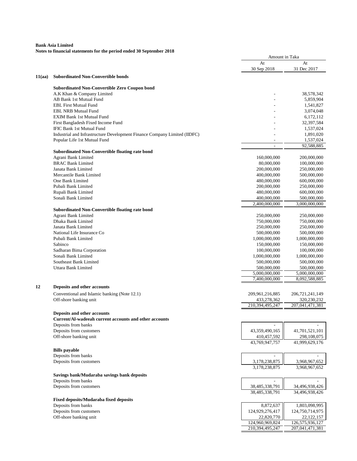|        | roles to miancial statements for the period ended so sep                  | Amount in Taka                 |                                |
|--------|---------------------------------------------------------------------------|--------------------------------|--------------------------------|
|        |                                                                           | At<br>30 Sep 2018              | At<br>31 Dec 2017              |
| 11(aa) | <b>Subordinated Non-Convertible bonds</b>                                 |                                |                                |
|        | <b>Subordinated Non-Convertible Zero Coupon bond</b>                      |                                |                                |
|        | A.K Khan & Company Limited                                                |                                | 38,578,342                     |
|        | AB Bank 1st Mutual Fund                                                   |                                | 5,859,904                      |
|        | <b>EBL First Mutual Fund</b>                                              |                                | 1,541,827                      |
|        | <b>EBL NRB Mutual Fund</b>                                                |                                | 3,074,048                      |
|        | <b>EXIM Bank 1st Mutual Fund</b>                                          |                                | 6,172,112                      |
|        | First Bangladesh Fixed Income Fund                                        |                                | 32,397,584                     |
|        | <b>IFIC Bank 1st Mutual Fund</b>                                          |                                | 1,537,024                      |
|        | Industrial and Infrastructure Development Finance Company Limited (IIDFC) |                                | 1,891,020                      |
|        | Popular Life 1st Mutual Fund                                              |                                | 1,537,024<br>92,588,885        |
|        | <b>Subordinated Non-Convertible floating rate bond</b>                    |                                |                                |
|        | Agrani Bank Limited                                                       | 160,000,000                    | 200,000,000                    |
|        | <b>BRAC Bank Limited</b>                                                  | 80,000,000                     | 100,000,000                    |
|        | Janata Bank Limited                                                       | 200,000,000                    | 250,000,000                    |
|        | Mercantile Bank Limited                                                   | 400,000,000                    | 500,000,000                    |
|        | One Bank Limited                                                          | 480,000,000                    | 600,000,000                    |
|        | Pubali Bank Limited                                                       | 200,000,000                    | 250,000,000                    |
|        | Rupali Bank Limited                                                       | 480,000,000                    | 600,000,000                    |
|        | Sonali Bank Limited                                                       | 400,000,000                    | 500,000,000                    |
|        | <b>Subordinated Non-Convertible floating rate bond</b>                    | 2,400,000,000                  | 3,000,000,000                  |
|        | Agrani Bank Limited                                                       | 250,000,000                    | 250,000,000                    |
|        | Dhaka Bank Limited                                                        | 750,000,000                    | 750,000,000                    |
|        | Janata Bank Limited                                                       | 250,000,000                    | 250,000,000                    |
|        | National Life Insurance Co                                                | 500,000,000                    | 500,000,000                    |
|        | Pubali Bank Limited                                                       | 1,000,000,000                  | 1,000,000,000                  |
|        | Sabinco                                                                   | 150,000,000                    | 150,000,000                    |
|        | Sadharan Bima Corporation                                                 | 100,000,000                    | 100,000,000                    |
|        | Sonali Bank Limited                                                       | 1,000,000,000                  | 1,000,000,000                  |
|        | Southeast Bank Limited                                                    | 500,000,000                    | 500,000,000                    |
|        | Uttara Bank Limited                                                       | 500,000,000                    | 500,000,000                    |
|        |                                                                           | 5,000,000,000<br>7,400,000,000 | 5,000,000,000<br>8,092,588,885 |
| 12     | Deposits and other accounts                                               |                                |                                |
|        | Conventional and Islamic banking (Note 12.1)                              | 209, 961, 216, 885             | 206, 721, 241, 149             |
|        | Off-shore banking unit                                                    | 433,278,362                    | 320,230,232                    |
|        |                                                                           | 210,394,495,247                | 207,041,471,381                |
|        | Deposits and other accounts                                               |                                |                                |
|        | Current/Al-wadeeah current accounts and other accounts                    |                                |                                |
|        | Deposits from banks                                                       |                                |                                |
|        | Deposits from customers<br>Off-shore banking unit                         | 43,359,490,165<br>410,457,592  | 41,701,521,101<br>298,108,075  |
|        |                                                                           | 43,769,947,757                 | 41,999,629,176                 |
|        | <b>Bills</b> payable                                                      |                                |                                |
|        | Deposits from banks                                                       |                                |                                |
|        | Deposits from customers                                                   | 3,178,238,875                  | 3,968,967,652                  |
|        | Savings bank/Mudaraba savings bank deposits                               | 3,178,238,875                  | 3,968,967,652                  |
|        | Deposits from banks                                                       |                                |                                |
|        | Deposits from customers                                                   | 38,485,338,791                 | 34,496,938,426                 |
|        |                                                                           | 38,485,338,791                 | 34,496,938,426                 |
|        | Fixed deposits/Mudaraba fixed deposits                                    |                                |                                |
|        | Deposits from banks                                                       | 8,872,637                      | 1,803,098,995                  |
|        | Deposits from customers                                                   | 124,929,276,417                | 124,750,714,975                |
|        | Off-shore banking unit                                                    | 22,820,770                     | 22, 122, 157                   |
|        |                                                                           | 124,960,969,824                | 126,575,936,127                |
|        |                                                                           | 210,394,495,247                | 207,041,471,381                |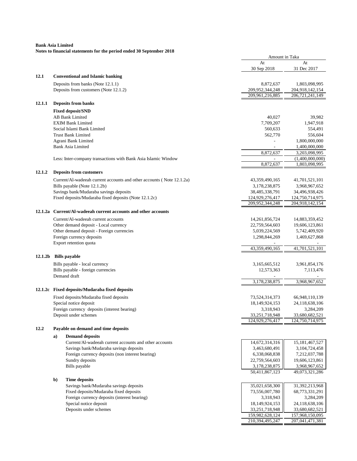|                     |              |                                                                       | Amount in Taka                   |                                   |
|---------------------|--------------|-----------------------------------------------------------------------|----------------------------------|-----------------------------------|
|                     |              |                                                                       | At                               | At                                |
|                     |              |                                                                       | 30 Sep 2018                      | 31 Dec 2017                       |
| 12.1                |              | <b>Conventional and Islamic banking</b>                               |                                  |                                   |
|                     |              | Deposits from banks (Note 12.1.1)                                     | 8,872,637                        | 1,803,098,995                     |
|                     |              | Deposits from customers (Note 12.1.2)                                 | 209,952,344,248                  | 204,918,142,154                   |
|                     |              |                                                                       | 209,961,216,885                  | 206,721,241,149                   |
| 12.1.1              |              | <b>Deposits from banks</b>                                            |                                  |                                   |
|                     |              | <b>Fixed deposit/SND</b>                                              |                                  |                                   |
|                     |              | <b>AB Bank Limited</b>                                                | 40,027                           | 39,982                            |
|                     |              | <b>EXIM Bank Limited</b>                                              | 7,709,207                        | 1,947,918                         |
|                     |              | Social Islami Bank Limited                                            | 560.633                          | 554,491                           |
|                     |              | <b>Trust Bank Limited</b>                                             | 562,770                          | 556,604                           |
|                     |              | Agrani Bank Limited                                                   |                                  | 1,800,000,000                     |
|                     |              | <b>Bank Asia Limited</b>                                              |                                  | 1,400,000,000                     |
|                     |              |                                                                       | 8,872,637                        | 3,203,098,995                     |
|                     |              | Less: Inter-company transactions with Bank Asia Islamic Window        | 8,872,637                        | (1,400,000,000)<br>1,803,098,995  |
|                     |              |                                                                       |                                  |                                   |
| 12.1.2              |              | <b>Deposits from customers</b>                                        |                                  |                                   |
|                     |              | Current/Al-wadeeah current accounts and other accounts (Note 12.1.2a) | 43,359,490,165                   | 41,701,521,101                    |
|                     |              | Bills payable (Note 12.1.2b)                                          | 3,178,238,875                    | 3,968,967,652                     |
|                     |              | Savings bank/Mudaraba savings deposits                                | 38,485,338,791                   | 34,496,938,426                    |
|                     |              | Fixed deposits/Mudaraba fixed deposits (Note 12.1.2c)                 | 124,929,276,417                  | 124,750,714,975                   |
|                     |              |                                                                       | 209,952,344,248                  | 204,918,142,154                   |
| 12.1.2a             |              | Current/Al-wadeeah current accounts and other accounts                |                                  |                                   |
|                     |              | Current/Al-wadeeah current accounts                                   | 14,261,856,724                   | 14,883,359,452                    |
|                     |              | Other demand deposit - Local currency                                 | 22,759,564,603                   | 19,606,123,861                    |
|                     |              | Other demand deposit - Foreign currencies                             | 5,039,224,569                    | 5,742,409,920                     |
|                     |              | Foreign currency deposits                                             | 1,298,844,269                    | 1,469,627,868                     |
|                     |              | Export retention quota                                                | 43,359,490,165                   | 41,701,521,101                    |
|                     |              |                                                                       |                                  |                                   |
| 12.1.2 <sub>b</sub> |              | <b>Bills</b> payable                                                  |                                  |                                   |
|                     |              | Bills payable - local currency                                        | 3,165,665,512                    | 3,961,854,176                     |
|                     |              | Bills payable - foreign currencies                                    | 12,573,363                       | 7,113,476                         |
|                     |              | Demand draft                                                          |                                  |                                   |
|                     |              |                                                                       | 3,178,238,875                    | 3,968,967,652                     |
|                     |              | 12.1.2c Fixed deposits/Mudaraba fixed deposits                        |                                  |                                   |
|                     |              | Fixed deposits/Mudaraba fixed deposits                                | 73,524,314,373                   | 66,948,110,139                    |
|                     |              | Special notice deposit                                                | 18,149,924,153                   | 24,118,638,106                    |
|                     |              | Foreign currency deposits (interest bearing)                          | 3,318,943                        | 3,284,209                         |
|                     |              | Deposit under schemes                                                 | 33,251,718,948                   | 33,680,682,521                    |
|                     |              |                                                                       | 124,929,276,417                  | 124,750,714,975                   |
| 12.2                |              | Payable on demand and time deposits                                   |                                  |                                   |
|                     | a)           | <b>Demand deposits</b>                                                |                                  |                                   |
|                     |              | Current/Al-wadeeah current accounts and other accounts                | 14,672,314,316                   | 15, 181, 467, 527                 |
|                     |              | Savings bank/Mudaraba savings deposits                                | 3,463,680,491                    | 3,104,724,458                     |
|                     |              | Foreign currency deposits (non interest bearing)                      | 6,338,068,838                    | 7,212,037,788                     |
|                     |              | Sundry deposits                                                       | 22,759,564,603                   | 19,606,123,861                    |
|                     |              | Bills payable                                                         | 3,178,238,875                    | 3,968,967,652                     |
|                     |              |                                                                       | 50,411,867,123                   | 49,073,321,286                    |
|                     | $\mathbf{b}$ | <b>Time deposits</b>                                                  |                                  |                                   |
|                     |              | Savings bank/Mudaraba savings deposits                                | 35,021,658,300                   | 31,392,213,968                    |
|                     |              | Fixed deposits/Mudaraba fixed deposits                                | 73,556,007,780                   | 68,773,331,291                    |
|                     |              | Foreign currency deposits (interest bearing)                          | 3,318,943                        | 3,284,209                         |
|                     |              | Special notice deposit<br>Deposits under schemes                      | 18,149,924,153<br>33,251,718,948 | 24,118,638,106                    |
|                     |              |                                                                       | 159,982,628,124                  | 33,680,682,521<br>157,968,150,095 |
|                     |              |                                                                       | 210,394,495,247                  | 207,041,471,381                   |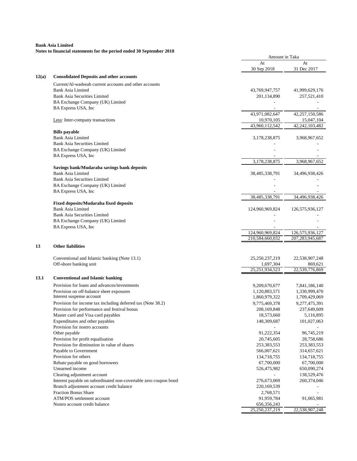| At<br>At<br>30 Sep 2018<br>31 Dec 2017<br><b>Consolidated Deposits and other accounts</b><br>12(a)<br>Current/Al-wadeeah current accounts and other accounts<br><b>Bank Asia Limited</b><br>43,769,947,757<br>41,999,629,176<br><b>Bank Asia Securities Limited</b><br>201,134,890<br>257,521,410<br>BA Exchange Company (UK) Limited<br>BA Express USA, Inc<br>43,971,082,647<br>42,257,150,586<br>10,970,105<br>Less: Inter-company transactions<br>15,047,104<br>43,960,112,542<br>42,242,103,482<br><b>Bills</b> payable<br><b>Bank Asia Limited</b><br>3,178,238,875<br>3,968,967,652<br><b>Bank Asia Securities Limited</b><br>BA Exchange Company (UK) Limited<br>BA Express USA, Inc<br>3,178,238,875<br>3,968,967,652<br>Savings bank/Mudaraba savings bank deposits<br><b>Bank Asia Limited</b><br>38,485,338,791<br>34,496,938,426<br><b>Bank Asia Securities Limited</b><br>BA Exchange Company (UK) Limited<br>BA Express USA, Inc<br>38,485,338,791<br>34,496,938,426<br><b>Fixed deposits/Mudaraba fixed deposits</b><br>Bank Asia Limited<br>124,960,969,824<br>126,575,936,127<br><b>Bank Asia Securities Limited</b><br>BA Exchange Company (UK) Limited<br>BA Express USA, Inc<br>124,960,969,824<br>126,575,936,127<br>210,584,660,032<br>207, 283, 945, 687<br><b>Other liabilities</b><br>13<br>Conventional and Islamic banking (Note 13.1)<br>25,250,237,219<br>22,538,907,248<br>Off-shore banking unit<br>1,697,304<br>869,621<br>25,251,934,523<br>22,539,776,869<br>13.1<br><b>Conventional and Islamic banking</b><br>Provision for loans and advances/investments<br>9,209,670,677<br>7,841,186,140<br>Provision on off-balance sheet exposures<br>1,120,883,571<br>1,330,999,470<br>Interest suspense account<br>1,860,979,322<br>1,709,429,069<br>Provision for income tax including deferred tax (Note 38.2)<br>9,775,469,378<br>9,277,475,391<br>Provision for performance and festival bonus<br>237,649,609<br>208,169,848<br>Master card and Visa card payables<br>18,573,660<br>5,116,895<br>Expenditures and other payables<br>148,309,687<br>101,027,063<br>Provision for nostro accounts<br>91,222,354<br>96,745,219<br>Other payable<br>Provision for profit equalisation<br>20,745,605<br>28,758,686<br>Provision for diminution in value of shares<br>253,383,553<br>253,383,553<br>Payable to Government<br>566,007,621<br>314,657,621<br>Provision for others<br>134,718,755<br>134,718,755<br>Rebate payable on good borrowers<br>67,700,000<br>67,700,000<br>Unearned income<br>650,090,274<br>526,475,982<br>Clearing adjustment account<br>138,529,476<br>276,673,069<br>Interest payable on subordinated non-covertable zero coupon bond<br>260,374,046<br>Branch adjustment account credit balance<br>220, 169, 539<br><b>Fraction Bonus Share</b><br>2,768,571<br>ATM/POS settlement account<br>91,959,784<br>91,065,981<br>Nostro account credit balance<br>656,356,243<br>25,250,237,219<br>22,538,907,248 |  | Amount in Taka |  |
|------------------------------------------------------------------------------------------------------------------------------------------------------------------------------------------------------------------------------------------------------------------------------------------------------------------------------------------------------------------------------------------------------------------------------------------------------------------------------------------------------------------------------------------------------------------------------------------------------------------------------------------------------------------------------------------------------------------------------------------------------------------------------------------------------------------------------------------------------------------------------------------------------------------------------------------------------------------------------------------------------------------------------------------------------------------------------------------------------------------------------------------------------------------------------------------------------------------------------------------------------------------------------------------------------------------------------------------------------------------------------------------------------------------------------------------------------------------------------------------------------------------------------------------------------------------------------------------------------------------------------------------------------------------------------------------------------------------------------------------------------------------------------------------------------------------------------------------------------------------------------------------------------------------------------------------------------------------------------------------------------------------------------------------------------------------------------------------------------------------------------------------------------------------------------------------------------------------------------------------------------------------------------------------------------------------------------------------------------------------------------------------------------------------------------------------------------------------------------------------------------------------------------------------------------------------------------------------------------------------------------------------------------------------------------------------------------------------------------------------------------------------------------------------------------------------------------------------------------------------------------------------------------------------------------------------------------------------|--|----------------|--|
|                                                                                                                                                                                                                                                                                                                                                                                                                                                                                                                                                                                                                                                                                                                                                                                                                                                                                                                                                                                                                                                                                                                                                                                                                                                                                                                                                                                                                                                                                                                                                                                                                                                                                                                                                                                                                                                                                                                                                                                                                                                                                                                                                                                                                                                                                                                                                                                                                                                                                                                                                                                                                                                                                                                                                                                                                                                                                                                                                                  |  |                |  |
|                                                                                                                                                                                                                                                                                                                                                                                                                                                                                                                                                                                                                                                                                                                                                                                                                                                                                                                                                                                                                                                                                                                                                                                                                                                                                                                                                                                                                                                                                                                                                                                                                                                                                                                                                                                                                                                                                                                                                                                                                                                                                                                                                                                                                                                                                                                                                                                                                                                                                                                                                                                                                                                                                                                                                                                                                                                                                                                                                                  |  |                |  |
|                                                                                                                                                                                                                                                                                                                                                                                                                                                                                                                                                                                                                                                                                                                                                                                                                                                                                                                                                                                                                                                                                                                                                                                                                                                                                                                                                                                                                                                                                                                                                                                                                                                                                                                                                                                                                                                                                                                                                                                                                                                                                                                                                                                                                                                                                                                                                                                                                                                                                                                                                                                                                                                                                                                                                                                                                                                                                                                                                                  |  |                |  |
|                                                                                                                                                                                                                                                                                                                                                                                                                                                                                                                                                                                                                                                                                                                                                                                                                                                                                                                                                                                                                                                                                                                                                                                                                                                                                                                                                                                                                                                                                                                                                                                                                                                                                                                                                                                                                                                                                                                                                                                                                                                                                                                                                                                                                                                                                                                                                                                                                                                                                                                                                                                                                                                                                                                                                                                                                                                                                                                                                                  |  |                |  |
|                                                                                                                                                                                                                                                                                                                                                                                                                                                                                                                                                                                                                                                                                                                                                                                                                                                                                                                                                                                                                                                                                                                                                                                                                                                                                                                                                                                                                                                                                                                                                                                                                                                                                                                                                                                                                                                                                                                                                                                                                                                                                                                                                                                                                                                                                                                                                                                                                                                                                                                                                                                                                                                                                                                                                                                                                                                                                                                                                                  |  |                |  |
|                                                                                                                                                                                                                                                                                                                                                                                                                                                                                                                                                                                                                                                                                                                                                                                                                                                                                                                                                                                                                                                                                                                                                                                                                                                                                                                                                                                                                                                                                                                                                                                                                                                                                                                                                                                                                                                                                                                                                                                                                                                                                                                                                                                                                                                                                                                                                                                                                                                                                                                                                                                                                                                                                                                                                                                                                                                                                                                                                                  |  |                |  |
|                                                                                                                                                                                                                                                                                                                                                                                                                                                                                                                                                                                                                                                                                                                                                                                                                                                                                                                                                                                                                                                                                                                                                                                                                                                                                                                                                                                                                                                                                                                                                                                                                                                                                                                                                                                                                                                                                                                                                                                                                                                                                                                                                                                                                                                                                                                                                                                                                                                                                                                                                                                                                                                                                                                                                                                                                                                                                                                                                                  |  |                |  |
|                                                                                                                                                                                                                                                                                                                                                                                                                                                                                                                                                                                                                                                                                                                                                                                                                                                                                                                                                                                                                                                                                                                                                                                                                                                                                                                                                                                                                                                                                                                                                                                                                                                                                                                                                                                                                                                                                                                                                                                                                                                                                                                                                                                                                                                                                                                                                                                                                                                                                                                                                                                                                                                                                                                                                                                                                                                                                                                                                                  |  |                |  |
|                                                                                                                                                                                                                                                                                                                                                                                                                                                                                                                                                                                                                                                                                                                                                                                                                                                                                                                                                                                                                                                                                                                                                                                                                                                                                                                                                                                                                                                                                                                                                                                                                                                                                                                                                                                                                                                                                                                                                                                                                                                                                                                                                                                                                                                                                                                                                                                                                                                                                                                                                                                                                                                                                                                                                                                                                                                                                                                                                                  |  |                |  |
|                                                                                                                                                                                                                                                                                                                                                                                                                                                                                                                                                                                                                                                                                                                                                                                                                                                                                                                                                                                                                                                                                                                                                                                                                                                                                                                                                                                                                                                                                                                                                                                                                                                                                                                                                                                                                                                                                                                                                                                                                                                                                                                                                                                                                                                                                                                                                                                                                                                                                                                                                                                                                                                                                                                                                                                                                                                                                                                                                                  |  |                |  |
|                                                                                                                                                                                                                                                                                                                                                                                                                                                                                                                                                                                                                                                                                                                                                                                                                                                                                                                                                                                                                                                                                                                                                                                                                                                                                                                                                                                                                                                                                                                                                                                                                                                                                                                                                                                                                                                                                                                                                                                                                                                                                                                                                                                                                                                                                                                                                                                                                                                                                                                                                                                                                                                                                                                                                                                                                                                                                                                                                                  |  |                |  |
|                                                                                                                                                                                                                                                                                                                                                                                                                                                                                                                                                                                                                                                                                                                                                                                                                                                                                                                                                                                                                                                                                                                                                                                                                                                                                                                                                                                                                                                                                                                                                                                                                                                                                                                                                                                                                                                                                                                                                                                                                                                                                                                                                                                                                                                                                                                                                                                                                                                                                                                                                                                                                                                                                                                                                                                                                                                                                                                                                                  |  |                |  |
|                                                                                                                                                                                                                                                                                                                                                                                                                                                                                                                                                                                                                                                                                                                                                                                                                                                                                                                                                                                                                                                                                                                                                                                                                                                                                                                                                                                                                                                                                                                                                                                                                                                                                                                                                                                                                                                                                                                                                                                                                                                                                                                                                                                                                                                                                                                                                                                                                                                                                                                                                                                                                                                                                                                                                                                                                                                                                                                                                                  |  |                |  |
|                                                                                                                                                                                                                                                                                                                                                                                                                                                                                                                                                                                                                                                                                                                                                                                                                                                                                                                                                                                                                                                                                                                                                                                                                                                                                                                                                                                                                                                                                                                                                                                                                                                                                                                                                                                                                                                                                                                                                                                                                                                                                                                                                                                                                                                                                                                                                                                                                                                                                                                                                                                                                                                                                                                                                                                                                                                                                                                                                                  |  |                |  |
|                                                                                                                                                                                                                                                                                                                                                                                                                                                                                                                                                                                                                                                                                                                                                                                                                                                                                                                                                                                                                                                                                                                                                                                                                                                                                                                                                                                                                                                                                                                                                                                                                                                                                                                                                                                                                                                                                                                                                                                                                                                                                                                                                                                                                                                                                                                                                                                                                                                                                                                                                                                                                                                                                                                                                                                                                                                                                                                                                                  |  |                |  |
|                                                                                                                                                                                                                                                                                                                                                                                                                                                                                                                                                                                                                                                                                                                                                                                                                                                                                                                                                                                                                                                                                                                                                                                                                                                                                                                                                                                                                                                                                                                                                                                                                                                                                                                                                                                                                                                                                                                                                                                                                                                                                                                                                                                                                                                                                                                                                                                                                                                                                                                                                                                                                                                                                                                                                                                                                                                                                                                                                                  |  |                |  |
|                                                                                                                                                                                                                                                                                                                                                                                                                                                                                                                                                                                                                                                                                                                                                                                                                                                                                                                                                                                                                                                                                                                                                                                                                                                                                                                                                                                                                                                                                                                                                                                                                                                                                                                                                                                                                                                                                                                                                                                                                                                                                                                                                                                                                                                                                                                                                                                                                                                                                                                                                                                                                                                                                                                                                                                                                                                                                                                                                                  |  |                |  |
|                                                                                                                                                                                                                                                                                                                                                                                                                                                                                                                                                                                                                                                                                                                                                                                                                                                                                                                                                                                                                                                                                                                                                                                                                                                                                                                                                                                                                                                                                                                                                                                                                                                                                                                                                                                                                                                                                                                                                                                                                                                                                                                                                                                                                                                                                                                                                                                                                                                                                                                                                                                                                                                                                                                                                                                                                                                                                                                                                                  |  |                |  |
|                                                                                                                                                                                                                                                                                                                                                                                                                                                                                                                                                                                                                                                                                                                                                                                                                                                                                                                                                                                                                                                                                                                                                                                                                                                                                                                                                                                                                                                                                                                                                                                                                                                                                                                                                                                                                                                                                                                                                                                                                                                                                                                                                                                                                                                                                                                                                                                                                                                                                                                                                                                                                                                                                                                                                                                                                                                                                                                                                                  |  |                |  |
|                                                                                                                                                                                                                                                                                                                                                                                                                                                                                                                                                                                                                                                                                                                                                                                                                                                                                                                                                                                                                                                                                                                                                                                                                                                                                                                                                                                                                                                                                                                                                                                                                                                                                                                                                                                                                                                                                                                                                                                                                                                                                                                                                                                                                                                                                                                                                                                                                                                                                                                                                                                                                                                                                                                                                                                                                                                                                                                                                                  |  |                |  |
|                                                                                                                                                                                                                                                                                                                                                                                                                                                                                                                                                                                                                                                                                                                                                                                                                                                                                                                                                                                                                                                                                                                                                                                                                                                                                                                                                                                                                                                                                                                                                                                                                                                                                                                                                                                                                                                                                                                                                                                                                                                                                                                                                                                                                                                                                                                                                                                                                                                                                                                                                                                                                                                                                                                                                                                                                                                                                                                                                                  |  |                |  |
|                                                                                                                                                                                                                                                                                                                                                                                                                                                                                                                                                                                                                                                                                                                                                                                                                                                                                                                                                                                                                                                                                                                                                                                                                                                                                                                                                                                                                                                                                                                                                                                                                                                                                                                                                                                                                                                                                                                                                                                                                                                                                                                                                                                                                                                                                                                                                                                                                                                                                                                                                                                                                                                                                                                                                                                                                                                                                                                                                                  |  |                |  |
|                                                                                                                                                                                                                                                                                                                                                                                                                                                                                                                                                                                                                                                                                                                                                                                                                                                                                                                                                                                                                                                                                                                                                                                                                                                                                                                                                                                                                                                                                                                                                                                                                                                                                                                                                                                                                                                                                                                                                                                                                                                                                                                                                                                                                                                                                                                                                                                                                                                                                                                                                                                                                                                                                                                                                                                                                                                                                                                                                                  |  |                |  |
|                                                                                                                                                                                                                                                                                                                                                                                                                                                                                                                                                                                                                                                                                                                                                                                                                                                                                                                                                                                                                                                                                                                                                                                                                                                                                                                                                                                                                                                                                                                                                                                                                                                                                                                                                                                                                                                                                                                                                                                                                                                                                                                                                                                                                                                                                                                                                                                                                                                                                                                                                                                                                                                                                                                                                                                                                                                                                                                                                                  |  |                |  |
|                                                                                                                                                                                                                                                                                                                                                                                                                                                                                                                                                                                                                                                                                                                                                                                                                                                                                                                                                                                                                                                                                                                                                                                                                                                                                                                                                                                                                                                                                                                                                                                                                                                                                                                                                                                                                                                                                                                                                                                                                                                                                                                                                                                                                                                                                                                                                                                                                                                                                                                                                                                                                                                                                                                                                                                                                                                                                                                                                                  |  |                |  |
|                                                                                                                                                                                                                                                                                                                                                                                                                                                                                                                                                                                                                                                                                                                                                                                                                                                                                                                                                                                                                                                                                                                                                                                                                                                                                                                                                                                                                                                                                                                                                                                                                                                                                                                                                                                                                                                                                                                                                                                                                                                                                                                                                                                                                                                                                                                                                                                                                                                                                                                                                                                                                                                                                                                                                                                                                                                                                                                                                                  |  |                |  |
|                                                                                                                                                                                                                                                                                                                                                                                                                                                                                                                                                                                                                                                                                                                                                                                                                                                                                                                                                                                                                                                                                                                                                                                                                                                                                                                                                                                                                                                                                                                                                                                                                                                                                                                                                                                                                                                                                                                                                                                                                                                                                                                                                                                                                                                                                                                                                                                                                                                                                                                                                                                                                                                                                                                                                                                                                                                                                                                                                                  |  |                |  |
|                                                                                                                                                                                                                                                                                                                                                                                                                                                                                                                                                                                                                                                                                                                                                                                                                                                                                                                                                                                                                                                                                                                                                                                                                                                                                                                                                                                                                                                                                                                                                                                                                                                                                                                                                                                                                                                                                                                                                                                                                                                                                                                                                                                                                                                                                                                                                                                                                                                                                                                                                                                                                                                                                                                                                                                                                                                                                                                                                                  |  |                |  |
|                                                                                                                                                                                                                                                                                                                                                                                                                                                                                                                                                                                                                                                                                                                                                                                                                                                                                                                                                                                                                                                                                                                                                                                                                                                                                                                                                                                                                                                                                                                                                                                                                                                                                                                                                                                                                                                                                                                                                                                                                                                                                                                                                                                                                                                                                                                                                                                                                                                                                                                                                                                                                                                                                                                                                                                                                                                                                                                                                                  |  |                |  |
|                                                                                                                                                                                                                                                                                                                                                                                                                                                                                                                                                                                                                                                                                                                                                                                                                                                                                                                                                                                                                                                                                                                                                                                                                                                                                                                                                                                                                                                                                                                                                                                                                                                                                                                                                                                                                                                                                                                                                                                                                                                                                                                                                                                                                                                                                                                                                                                                                                                                                                                                                                                                                                                                                                                                                                                                                                                                                                                                                                  |  |                |  |
|                                                                                                                                                                                                                                                                                                                                                                                                                                                                                                                                                                                                                                                                                                                                                                                                                                                                                                                                                                                                                                                                                                                                                                                                                                                                                                                                                                                                                                                                                                                                                                                                                                                                                                                                                                                                                                                                                                                                                                                                                                                                                                                                                                                                                                                                                                                                                                                                                                                                                                                                                                                                                                                                                                                                                                                                                                                                                                                                                                  |  |                |  |
|                                                                                                                                                                                                                                                                                                                                                                                                                                                                                                                                                                                                                                                                                                                                                                                                                                                                                                                                                                                                                                                                                                                                                                                                                                                                                                                                                                                                                                                                                                                                                                                                                                                                                                                                                                                                                                                                                                                                                                                                                                                                                                                                                                                                                                                                                                                                                                                                                                                                                                                                                                                                                                                                                                                                                                                                                                                                                                                                                                  |  |                |  |
|                                                                                                                                                                                                                                                                                                                                                                                                                                                                                                                                                                                                                                                                                                                                                                                                                                                                                                                                                                                                                                                                                                                                                                                                                                                                                                                                                                                                                                                                                                                                                                                                                                                                                                                                                                                                                                                                                                                                                                                                                                                                                                                                                                                                                                                                                                                                                                                                                                                                                                                                                                                                                                                                                                                                                                                                                                                                                                                                                                  |  |                |  |
|                                                                                                                                                                                                                                                                                                                                                                                                                                                                                                                                                                                                                                                                                                                                                                                                                                                                                                                                                                                                                                                                                                                                                                                                                                                                                                                                                                                                                                                                                                                                                                                                                                                                                                                                                                                                                                                                                                                                                                                                                                                                                                                                                                                                                                                                                                                                                                                                                                                                                                                                                                                                                                                                                                                                                                                                                                                                                                                                                                  |  |                |  |
|                                                                                                                                                                                                                                                                                                                                                                                                                                                                                                                                                                                                                                                                                                                                                                                                                                                                                                                                                                                                                                                                                                                                                                                                                                                                                                                                                                                                                                                                                                                                                                                                                                                                                                                                                                                                                                                                                                                                                                                                                                                                                                                                                                                                                                                                                                                                                                                                                                                                                                                                                                                                                                                                                                                                                                                                                                                                                                                                                                  |  |                |  |
|                                                                                                                                                                                                                                                                                                                                                                                                                                                                                                                                                                                                                                                                                                                                                                                                                                                                                                                                                                                                                                                                                                                                                                                                                                                                                                                                                                                                                                                                                                                                                                                                                                                                                                                                                                                                                                                                                                                                                                                                                                                                                                                                                                                                                                                                                                                                                                                                                                                                                                                                                                                                                                                                                                                                                                                                                                                                                                                                                                  |  |                |  |
|                                                                                                                                                                                                                                                                                                                                                                                                                                                                                                                                                                                                                                                                                                                                                                                                                                                                                                                                                                                                                                                                                                                                                                                                                                                                                                                                                                                                                                                                                                                                                                                                                                                                                                                                                                                                                                                                                                                                                                                                                                                                                                                                                                                                                                                                                                                                                                                                                                                                                                                                                                                                                                                                                                                                                                                                                                                                                                                                                                  |  |                |  |
|                                                                                                                                                                                                                                                                                                                                                                                                                                                                                                                                                                                                                                                                                                                                                                                                                                                                                                                                                                                                                                                                                                                                                                                                                                                                                                                                                                                                                                                                                                                                                                                                                                                                                                                                                                                                                                                                                                                                                                                                                                                                                                                                                                                                                                                                                                                                                                                                                                                                                                                                                                                                                                                                                                                                                                                                                                                                                                                                                                  |  |                |  |
|                                                                                                                                                                                                                                                                                                                                                                                                                                                                                                                                                                                                                                                                                                                                                                                                                                                                                                                                                                                                                                                                                                                                                                                                                                                                                                                                                                                                                                                                                                                                                                                                                                                                                                                                                                                                                                                                                                                                                                                                                                                                                                                                                                                                                                                                                                                                                                                                                                                                                                                                                                                                                                                                                                                                                                                                                                                                                                                                                                  |  |                |  |
|                                                                                                                                                                                                                                                                                                                                                                                                                                                                                                                                                                                                                                                                                                                                                                                                                                                                                                                                                                                                                                                                                                                                                                                                                                                                                                                                                                                                                                                                                                                                                                                                                                                                                                                                                                                                                                                                                                                                                                                                                                                                                                                                                                                                                                                                                                                                                                                                                                                                                                                                                                                                                                                                                                                                                                                                                                                                                                                                                                  |  |                |  |
|                                                                                                                                                                                                                                                                                                                                                                                                                                                                                                                                                                                                                                                                                                                                                                                                                                                                                                                                                                                                                                                                                                                                                                                                                                                                                                                                                                                                                                                                                                                                                                                                                                                                                                                                                                                                                                                                                                                                                                                                                                                                                                                                                                                                                                                                                                                                                                                                                                                                                                                                                                                                                                                                                                                                                                                                                                                                                                                                                                  |  |                |  |
|                                                                                                                                                                                                                                                                                                                                                                                                                                                                                                                                                                                                                                                                                                                                                                                                                                                                                                                                                                                                                                                                                                                                                                                                                                                                                                                                                                                                                                                                                                                                                                                                                                                                                                                                                                                                                                                                                                                                                                                                                                                                                                                                                                                                                                                                                                                                                                                                                                                                                                                                                                                                                                                                                                                                                                                                                                                                                                                                                                  |  |                |  |
|                                                                                                                                                                                                                                                                                                                                                                                                                                                                                                                                                                                                                                                                                                                                                                                                                                                                                                                                                                                                                                                                                                                                                                                                                                                                                                                                                                                                                                                                                                                                                                                                                                                                                                                                                                                                                                                                                                                                                                                                                                                                                                                                                                                                                                                                                                                                                                                                                                                                                                                                                                                                                                                                                                                                                                                                                                                                                                                                                                  |  |                |  |
|                                                                                                                                                                                                                                                                                                                                                                                                                                                                                                                                                                                                                                                                                                                                                                                                                                                                                                                                                                                                                                                                                                                                                                                                                                                                                                                                                                                                                                                                                                                                                                                                                                                                                                                                                                                                                                                                                                                                                                                                                                                                                                                                                                                                                                                                                                                                                                                                                                                                                                                                                                                                                                                                                                                                                                                                                                                                                                                                                                  |  |                |  |
|                                                                                                                                                                                                                                                                                                                                                                                                                                                                                                                                                                                                                                                                                                                                                                                                                                                                                                                                                                                                                                                                                                                                                                                                                                                                                                                                                                                                                                                                                                                                                                                                                                                                                                                                                                                                                                                                                                                                                                                                                                                                                                                                                                                                                                                                                                                                                                                                                                                                                                                                                                                                                                                                                                                                                                                                                                                                                                                                                                  |  |                |  |
|                                                                                                                                                                                                                                                                                                                                                                                                                                                                                                                                                                                                                                                                                                                                                                                                                                                                                                                                                                                                                                                                                                                                                                                                                                                                                                                                                                                                                                                                                                                                                                                                                                                                                                                                                                                                                                                                                                                                                                                                                                                                                                                                                                                                                                                                                                                                                                                                                                                                                                                                                                                                                                                                                                                                                                                                                                                                                                                                                                  |  |                |  |
|                                                                                                                                                                                                                                                                                                                                                                                                                                                                                                                                                                                                                                                                                                                                                                                                                                                                                                                                                                                                                                                                                                                                                                                                                                                                                                                                                                                                                                                                                                                                                                                                                                                                                                                                                                                                                                                                                                                                                                                                                                                                                                                                                                                                                                                                                                                                                                                                                                                                                                                                                                                                                                                                                                                                                                                                                                                                                                                                                                  |  |                |  |
|                                                                                                                                                                                                                                                                                                                                                                                                                                                                                                                                                                                                                                                                                                                                                                                                                                                                                                                                                                                                                                                                                                                                                                                                                                                                                                                                                                                                                                                                                                                                                                                                                                                                                                                                                                                                                                                                                                                                                                                                                                                                                                                                                                                                                                                                                                                                                                                                                                                                                                                                                                                                                                                                                                                                                                                                                                                                                                                                                                  |  |                |  |
|                                                                                                                                                                                                                                                                                                                                                                                                                                                                                                                                                                                                                                                                                                                                                                                                                                                                                                                                                                                                                                                                                                                                                                                                                                                                                                                                                                                                                                                                                                                                                                                                                                                                                                                                                                                                                                                                                                                                                                                                                                                                                                                                                                                                                                                                                                                                                                                                                                                                                                                                                                                                                                                                                                                                                                                                                                                                                                                                                                  |  |                |  |
|                                                                                                                                                                                                                                                                                                                                                                                                                                                                                                                                                                                                                                                                                                                                                                                                                                                                                                                                                                                                                                                                                                                                                                                                                                                                                                                                                                                                                                                                                                                                                                                                                                                                                                                                                                                                                                                                                                                                                                                                                                                                                                                                                                                                                                                                                                                                                                                                                                                                                                                                                                                                                                                                                                                                                                                                                                                                                                                                                                  |  |                |  |
|                                                                                                                                                                                                                                                                                                                                                                                                                                                                                                                                                                                                                                                                                                                                                                                                                                                                                                                                                                                                                                                                                                                                                                                                                                                                                                                                                                                                                                                                                                                                                                                                                                                                                                                                                                                                                                                                                                                                                                                                                                                                                                                                                                                                                                                                                                                                                                                                                                                                                                                                                                                                                                                                                                                                                                                                                                                                                                                                                                  |  |                |  |
|                                                                                                                                                                                                                                                                                                                                                                                                                                                                                                                                                                                                                                                                                                                                                                                                                                                                                                                                                                                                                                                                                                                                                                                                                                                                                                                                                                                                                                                                                                                                                                                                                                                                                                                                                                                                                                                                                                                                                                                                                                                                                                                                                                                                                                                                                                                                                                                                                                                                                                                                                                                                                                                                                                                                                                                                                                                                                                                                                                  |  |                |  |
|                                                                                                                                                                                                                                                                                                                                                                                                                                                                                                                                                                                                                                                                                                                                                                                                                                                                                                                                                                                                                                                                                                                                                                                                                                                                                                                                                                                                                                                                                                                                                                                                                                                                                                                                                                                                                                                                                                                                                                                                                                                                                                                                                                                                                                                                                                                                                                                                                                                                                                                                                                                                                                                                                                                                                                                                                                                                                                                                                                  |  |                |  |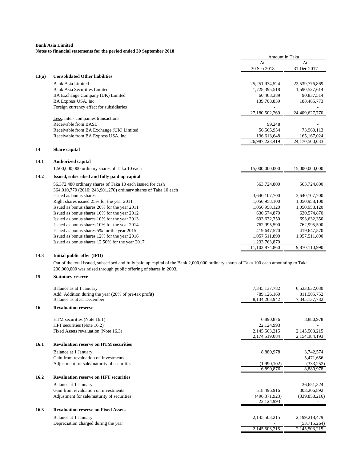# **Notes to financial statements for the period ended 30 September 2018**

| At<br>At<br>31 Dec 2017<br>30 Sep 2018<br><b>Consolidated Other liabilities</b><br>Bank Asia Limited<br>25, 251, 934, 524<br>22,539,776,869<br><b>Bank Asia Securities Limited</b><br>1,728,395,518<br>1,590,527,614<br>60,463,389<br>90,837,514<br>BA Exchange Company (UK) Limited<br>BA Express USA, Inc<br>139,708,839<br>188,485,773<br>Foreign currency effect for subsidiaries<br>27,180,502,269<br>24,409,627,770<br>Less: Inter-companies transactions<br>Receivable from BASL<br>99,248<br>Receivable from BA Exchange (UK) Limited<br>56,565,954<br>73,960,113<br>Receivable from BA Express USA, Inc.<br>136,613,648<br>165, 167, 024<br>26,987,223,419<br>24,170,500,633<br>Share capital<br><b>Authorized capital</b><br>15,000,000,000<br>15,000,000,000<br>1,500,000,000 ordinary shares of Taka 10 each<br>Issued, subscribed and fully paid up capital<br>56,372,480 ordinary shares of Taka 10 each issued for cash<br>563,724,800<br>563,724,800<br>364,010,770 (2010: 243,901,270) ordinary shares of Taka 10 each<br>issued as bonus shares<br>3,640,107,700<br>3,640,107,700<br>Right shares issued 25% for the year 2011<br>1,050,958,100<br>1,050,958,100<br>Issued as bonus shares 20% for the year 2011<br>1,050,958,120<br>1,050,958,120<br>Issued as bonus shares 10% for the year 2012<br>630,574,870<br>630,574,870<br>Issued as bonus shares 10% for the year 2013<br>693,632,350<br>693,632,350<br>Issued as bonus shares 10% for the year 2014<br>762,995,590<br>762,995,590<br>Issued as bonus shares 5% for the year 2015<br>419,647,570<br>419,647,570<br>Issued as bonus shares 12% for the year 2016<br>1,057,511,890<br>1,057,511,890<br>1,233,763,870<br>Issued as bonus shares 12.50% for the year 2017 |       | Amount in Taka |  |
|---------------------------------------------------------------------------------------------------------------------------------------------------------------------------------------------------------------------------------------------------------------------------------------------------------------------------------------------------------------------------------------------------------------------------------------------------------------------------------------------------------------------------------------------------------------------------------------------------------------------------------------------------------------------------------------------------------------------------------------------------------------------------------------------------------------------------------------------------------------------------------------------------------------------------------------------------------------------------------------------------------------------------------------------------------------------------------------------------------------------------------------------------------------------------------------------------------------------------------------------------------------------------------------------------------------------------------------------------------------------------------------------------------------------------------------------------------------------------------------------------------------------------------------------------------------------------------------------------------------------------------------------------------------------------------------------------------------------------------------------------|-------|----------------|--|
|                                                                                                                                                                                                                                                                                                                                                                                                                                                                                                                                                                                                                                                                                                                                                                                                                                                                                                                                                                                                                                                                                                                                                                                                                                                                                                                                                                                                                                                                                                                                                                                                                                                                                                                                                   |       |                |  |
|                                                                                                                                                                                                                                                                                                                                                                                                                                                                                                                                                                                                                                                                                                                                                                                                                                                                                                                                                                                                                                                                                                                                                                                                                                                                                                                                                                                                                                                                                                                                                                                                                                                                                                                                                   |       |                |  |
|                                                                                                                                                                                                                                                                                                                                                                                                                                                                                                                                                                                                                                                                                                                                                                                                                                                                                                                                                                                                                                                                                                                                                                                                                                                                                                                                                                                                                                                                                                                                                                                                                                                                                                                                                   | 13(a) |                |  |
|                                                                                                                                                                                                                                                                                                                                                                                                                                                                                                                                                                                                                                                                                                                                                                                                                                                                                                                                                                                                                                                                                                                                                                                                                                                                                                                                                                                                                                                                                                                                                                                                                                                                                                                                                   |       |                |  |
|                                                                                                                                                                                                                                                                                                                                                                                                                                                                                                                                                                                                                                                                                                                                                                                                                                                                                                                                                                                                                                                                                                                                                                                                                                                                                                                                                                                                                                                                                                                                                                                                                                                                                                                                                   |       |                |  |
|                                                                                                                                                                                                                                                                                                                                                                                                                                                                                                                                                                                                                                                                                                                                                                                                                                                                                                                                                                                                                                                                                                                                                                                                                                                                                                                                                                                                                                                                                                                                                                                                                                                                                                                                                   |       |                |  |
|                                                                                                                                                                                                                                                                                                                                                                                                                                                                                                                                                                                                                                                                                                                                                                                                                                                                                                                                                                                                                                                                                                                                                                                                                                                                                                                                                                                                                                                                                                                                                                                                                                                                                                                                                   |       |                |  |
|                                                                                                                                                                                                                                                                                                                                                                                                                                                                                                                                                                                                                                                                                                                                                                                                                                                                                                                                                                                                                                                                                                                                                                                                                                                                                                                                                                                                                                                                                                                                                                                                                                                                                                                                                   |       |                |  |
|                                                                                                                                                                                                                                                                                                                                                                                                                                                                                                                                                                                                                                                                                                                                                                                                                                                                                                                                                                                                                                                                                                                                                                                                                                                                                                                                                                                                                                                                                                                                                                                                                                                                                                                                                   |       |                |  |
|                                                                                                                                                                                                                                                                                                                                                                                                                                                                                                                                                                                                                                                                                                                                                                                                                                                                                                                                                                                                                                                                                                                                                                                                                                                                                                                                                                                                                                                                                                                                                                                                                                                                                                                                                   |       |                |  |
|                                                                                                                                                                                                                                                                                                                                                                                                                                                                                                                                                                                                                                                                                                                                                                                                                                                                                                                                                                                                                                                                                                                                                                                                                                                                                                                                                                                                                                                                                                                                                                                                                                                                                                                                                   |       |                |  |
|                                                                                                                                                                                                                                                                                                                                                                                                                                                                                                                                                                                                                                                                                                                                                                                                                                                                                                                                                                                                                                                                                                                                                                                                                                                                                                                                                                                                                                                                                                                                                                                                                                                                                                                                                   |       |                |  |
|                                                                                                                                                                                                                                                                                                                                                                                                                                                                                                                                                                                                                                                                                                                                                                                                                                                                                                                                                                                                                                                                                                                                                                                                                                                                                                                                                                                                                                                                                                                                                                                                                                                                                                                                                   |       |                |  |
|                                                                                                                                                                                                                                                                                                                                                                                                                                                                                                                                                                                                                                                                                                                                                                                                                                                                                                                                                                                                                                                                                                                                                                                                                                                                                                                                                                                                                                                                                                                                                                                                                                                                                                                                                   |       |                |  |
|                                                                                                                                                                                                                                                                                                                                                                                                                                                                                                                                                                                                                                                                                                                                                                                                                                                                                                                                                                                                                                                                                                                                                                                                                                                                                                                                                                                                                                                                                                                                                                                                                                                                                                                                                   | 14    |                |  |
|                                                                                                                                                                                                                                                                                                                                                                                                                                                                                                                                                                                                                                                                                                                                                                                                                                                                                                                                                                                                                                                                                                                                                                                                                                                                                                                                                                                                                                                                                                                                                                                                                                                                                                                                                   | 14.1  |                |  |
|                                                                                                                                                                                                                                                                                                                                                                                                                                                                                                                                                                                                                                                                                                                                                                                                                                                                                                                                                                                                                                                                                                                                                                                                                                                                                                                                                                                                                                                                                                                                                                                                                                                                                                                                                   |       |                |  |
|                                                                                                                                                                                                                                                                                                                                                                                                                                                                                                                                                                                                                                                                                                                                                                                                                                                                                                                                                                                                                                                                                                                                                                                                                                                                                                                                                                                                                                                                                                                                                                                                                                                                                                                                                   | 14.2  |                |  |
|                                                                                                                                                                                                                                                                                                                                                                                                                                                                                                                                                                                                                                                                                                                                                                                                                                                                                                                                                                                                                                                                                                                                                                                                                                                                                                                                                                                                                                                                                                                                                                                                                                                                                                                                                   |       |                |  |
|                                                                                                                                                                                                                                                                                                                                                                                                                                                                                                                                                                                                                                                                                                                                                                                                                                                                                                                                                                                                                                                                                                                                                                                                                                                                                                                                                                                                                                                                                                                                                                                                                                                                                                                                                   |       |                |  |
|                                                                                                                                                                                                                                                                                                                                                                                                                                                                                                                                                                                                                                                                                                                                                                                                                                                                                                                                                                                                                                                                                                                                                                                                                                                                                                                                                                                                                                                                                                                                                                                                                                                                                                                                                   |       |                |  |
|                                                                                                                                                                                                                                                                                                                                                                                                                                                                                                                                                                                                                                                                                                                                                                                                                                                                                                                                                                                                                                                                                                                                                                                                                                                                                                                                                                                                                                                                                                                                                                                                                                                                                                                                                   |       |                |  |
|                                                                                                                                                                                                                                                                                                                                                                                                                                                                                                                                                                                                                                                                                                                                                                                                                                                                                                                                                                                                                                                                                                                                                                                                                                                                                                                                                                                                                                                                                                                                                                                                                                                                                                                                                   |       |                |  |
|                                                                                                                                                                                                                                                                                                                                                                                                                                                                                                                                                                                                                                                                                                                                                                                                                                                                                                                                                                                                                                                                                                                                                                                                                                                                                                                                                                                                                                                                                                                                                                                                                                                                                                                                                   |       |                |  |
|                                                                                                                                                                                                                                                                                                                                                                                                                                                                                                                                                                                                                                                                                                                                                                                                                                                                                                                                                                                                                                                                                                                                                                                                                                                                                                                                                                                                                                                                                                                                                                                                                                                                                                                                                   |       |                |  |
|                                                                                                                                                                                                                                                                                                                                                                                                                                                                                                                                                                                                                                                                                                                                                                                                                                                                                                                                                                                                                                                                                                                                                                                                                                                                                                                                                                                                                                                                                                                                                                                                                                                                                                                                                   |       |                |  |
|                                                                                                                                                                                                                                                                                                                                                                                                                                                                                                                                                                                                                                                                                                                                                                                                                                                                                                                                                                                                                                                                                                                                                                                                                                                                                                                                                                                                                                                                                                                                                                                                                                                                                                                                                   |       |                |  |
|                                                                                                                                                                                                                                                                                                                                                                                                                                                                                                                                                                                                                                                                                                                                                                                                                                                                                                                                                                                                                                                                                                                                                                                                                                                                                                                                                                                                                                                                                                                                                                                                                                                                                                                                                   |       |                |  |
|                                                                                                                                                                                                                                                                                                                                                                                                                                                                                                                                                                                                                                                                                                                                                                                                                                                                                                                                                                                                                                                                                                                                                                                                                                                                                                                                                                                                                                                                                                                                                                                                                                                                                                                                                   |       |                |  |
| 9,870,110,990<br>11,103,874,860                                                                                                                                                                                                                                                                                                                                                                                                                                                                                                                                                                                                                                                                                                                                                                                                                                                                                                                                                                                                                                                                                                                                                                                                                                                                                                                                                                                                                                                                                                                                                                                                                                                                                                                   |       |                |  |

# **14.3 Initial public offer (IPO)**

Out of the total issued, subscribed and fully paid up capital of the Bank 2,000,000 ordinary shares of Taka 100 each amounting to Taka 200,000,000 was raised through public offering of shares in 2003.

#### **15 Statutory reserve**

|      | Balance as at 1 January                               | 7,345,137,782   | 6,533,632,030   |
|------|-------------------------------------------------------|-----------------|-----------------|
|      | Add: Addition during the year (20% of pre-tax profit) | 789,126,160     | 811, 505, 752   |
|      | Balance as at 31 December                             | 8,134,263,942   | 7,345,137,782   |
| 16   | <b>Revaluation reserve</b>                            |                 |                 |
|      | HTM securities (Note 16.1)                            | 6,890,876       | 8,880,978       |
|      | HFT securities (Note 16.2)                            | 22,124,993      |                 |
|      | Fixed Assets revaluation (Note 16.3)                  | 2,145,503,215   | 2,145,503,215   |
|      |                                                       | 2,174,519,084   | 2,154,384,193   |
| 16.1 | <b>Revaluation reserve on HTM securities</b>          |                 |                 |
|      | Balance at 1 January                                  | 8,880,978       | 3,742,574       |
|      | Gain from revaluation on investments                  |                 | 5,471,656       |
|      | Adjustment for sale/maturity of securities            | (1,990,102)     | (333, 252)      |
|      |                                                       | 6,890,876       | 8,880,978       |
| 16.2 | <b>Revaluation reserve on HFT securities</b>          |                 |                 |
|      | Balance at 1 January                                  |                 | 36,651,324      |
|      | Gain from revaluation on investments                  | 518,496,916     | 303,206,892     |
|      | Adjustment for sale/maturity of securities            | (496, 371, 923) | (339, 858, 216) |
|      |                                                       | 22,124,993      |                 |
| 16.3 | <b>Revaluation reserve on Fixed Assets</b>            |                 |                 |
|      | Balance at 1 January                                  | 2,145,503,215   | 2,199,218,479   |
|      | Depreciation charged during the year                  |                 | (53,715,264)    |
|      |                                                       | 2,145,503,215   | 2,145,503,215   |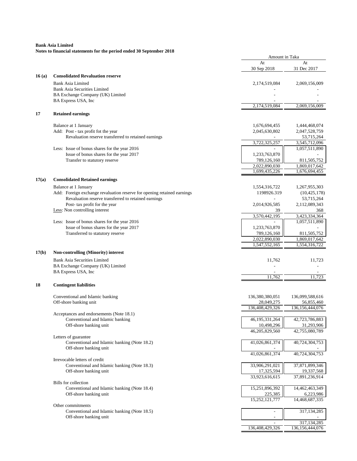| At<br>At<br>30 Sep 2018<br>31 Dec 2017<br><b>Consolidated Revaluation reserve</b><br>16(a)<br><b>Bank Asia Limited</b><br>2,069,156,009<br>2,174,519,084<br><b>Bank Asia Securities Limited</b><br>BA Exchange Company (UK) Limited<br>BA Express USA, Inc<br>2,174,519,084<br>2,069,156,009<br>17<br><b>Retained earnings</b><br>Balance at 1 January<br>1,676,694,455<br>1,444,468,074<br>Add: Post - tax profit fot the year<br>2,045,630,802<br>2,047,528,759<br>Revaluation reserve transferred to retained earnings<br>53,715,264<br>3,722,325,257<br>3,545,712,096<br>Less: Issue of bonus shares for the year 2016<br>1,057,511,890<br>Issue of bonus shares for the year 2017<br>1,233,763,870<br>Transfer to statutory reserve<br>789,126,160<br>811,505,752<br>2,022,890,030<br>1,869,017,642<br>1,699,435,226<br>1,676,694,455<br>17(a)<br><b>Consolidated Retained earnings</b><br>Balance at 1 January<br>1,554,316,722<br>1,267,955,303<br>Add: Foreign exchange revaluation reserve for opening retained earnings<br>1198926.319<br>(10, 425, 178)<br>Revaluation reserve transferred to retained earnings<br>53,715,264<br>Post- tax profit for the year<br>2,112,089,343<br>2,014,926,585<br>Less: Non controlling interest<br>39<br>368<br>3,570,442,195<br>3,423,334,364<br>1,057,511,890<br>Less: Issue of bonus shares for the year 2016<br>Issue of bonus shares for the year 2017<br>1,233,763,870<br>Transferred to statutory reserve<br>789,126,160<br>811,505,752<br>2,022,890,030<br>1,869,017,642<br>1,547,552,165<br>1,554,316,722<br>17(b)<br><b>Non-controlling (Minority) interest</b><br><b>Bank Asia Securities Limited</b><br>11,723<br>11,762<br>BA Exchange Company (UK) Limited<br>BA Express USA, Inc<br>11,762<br>11,723<br><b>Contingent liabilities</b><br>18<br>Conventional and Islamic banking<br>136,380,380,051<br>136,099,588,616<br>Off-shore banking unit<br>28,049,275<br>56,855,460<br>136,408,429,326<br>136, 156, 444, 076<br>Acceptances and endorsements (Note 18.1)<br>46,195,331,264<br>42,723,786,883<br>Conventional and Islamic banking<br>10,498,296<br>31,293,906<br>Off-shore banking unit<br>46,205,829,560<br>42,755,080,789<br>Letters of guarantee<br>Conventional and Islamic banking (Note 18.2)<br>41,026,861,374<br>40,724,304,753<br>Off-shore banking unit<br>41,026,861,374<br>40,724,304,753<br>Irrevocable letters of credit<br>33,906,291,021<br>37,871,899,346<br>Conventional and Islamic banking (Note 18.3)<br>Off-shore banking unit<br>17,325,594<br>19,337,568<br>33,923,616,615<br>37,891,236,914<br><b>Bills</b> for collection<br>15,251,896,392<br>14,462,463,349<br>Conventional and Islamic banking (Note 18.4)<br>225,385<br>Off-shore banking unit<br>6,223,986<br>15,252,121,777<br>14,468,687,335<br>Other commitments<br>317,134,285<br>Conventional and Islamic banking (Note 18.5)<br>Off-shore banking unit<br>317, 134, 285<br>136, 156, 444, 076<br>136,408,429,326 |  | Amount in Taka |  |
|---------------------------------------------------------------------------------------------------------------------------------------------------------------------------------------------------------------------------------------------------------------------------------------------------------------------------------------------------------------------------------------------------------------------------------------------------------------------------------------------------------------------------------------------------------------------------------------------------------------------------------------------------------------------------------------------------------------------------------------------------------------------------------------------------------------------------------------------------------------------------------------------------------------------------------------------------------------------------------------------------------------------------------------------------------------------------------------------------------------------------------------------------------------------------------------------------------------------------------------------------------------------------------------------------------------------------------------------------------------------------------------------------------------------------------------------------------------------------------------------------------------------------------------------------------------------------------------------------------------------------------------------------------------------------------------------------------------------------------------------------------------------------------------------------------------------------------------------------------------------------------------------------------------------------------------------------------------------------------------------------------------------------------------------------------------------------------------------------------------------------------------------------------------------------------------------------------------------------------------------------------------------------------------------------------------------------------------------------------------------------------------------------------------------------------------------------------------------------------------------------------------------------------------------------------------------------------------------------------------------------------------------------------------------------------------------------------------------------------------------------------------------------------------------------------------------------------------------------------------------------------------------------------------------------------------------------------------------------|--|----------------|--|
|                                                                                                                                                                                                                                                                                                                                                                                                                                                                                                                                                                                                                                                                                                                                                                                                                                                                                                                                                                                                                                                                                                                                                                                                                                                                                                                                                                                                                                                                                                                                                                                                                                                                                                                                                                                                                                                                                                                                                                                                                                                                                                                                                                                                                                                                                                                                                                                                                                                                                                                                                                                                                                                                                                                                                                                                                                                                                                                                                                           |  |                |  |
|                                                                                                                                                                                                                                                                                                                                                                                                                                                                                                                                                                                                                                                                                                                                                                                                                                                                                                                                                                                                                                                                                                                                                                                                                                                                                                                                                                                                                                                                                                                                                                                                                                                                                                                                                                                                                                                                                                                                                                                                                                                                                                                                                                                                                                                                                                                                                                                                                                                                                                                                                                                                                                                                                                                                                                                                                                                                                                                                                                           |  |                |  |
|                                                                                                                                                                                                                                                                                                                                                                                                                                                                                                                                                                                                                                                                                                                                                                                                                                                                                                                                                                                                                                                                                                                                                                                                                                                                                                                                                                                                                                                                                                                                                                                                                                                                                                                                                                                                                                                                                                                                                                                                                                                                                                                                                                                                                                                                                                                                                                                                                                                                                                                                                                                                                                                                                                                                                                                                                                                                                                                                                                           |  |                |  |
|                                                                                                                                                                                                                                                                                                                                                                                                                                                                                                                                                                                                                                                                                                                                                                                                                                                                                                                                                                                                                                                                                                                                                                                                                                                                                                                                                                                                                                                                                                                                                                                                                                                                                                                                                                                                                                                                                                                                                                                                                                                                                                                                                                                                                                                                                                                                                                                                                                                                                                                                                                                                                                                                                                                                                                                                                                                                                                                                                                           |  |                |  |
|                                                                                                                                                                                                                                                                                                                                                                                                                                                                                                                                                                                                                                                                                                                                                                                                                                                                                                                                                                                                                                                                                                                                                                                                                                                                                                                                                                                                                                                                                                                                                                                                                                                                                                                                                                                                                                                                                                                                                                                                                                                                                                                                                                                                                                                                                                                                                                                                                                                                                                                                                                                                                                                                                                                                                                                                                                                                                                                                                                           |  |                |  |
|                                                                                                                                                                                                                                                                                                                                                                                                                                                                                                                                                                                                                                                                                                                                                                                                                                                                                                                                                                                                                                                                                                                                                                                                                                                                                                                                                                                                                                                                                                                                                                                                                                                                                                                                                                                                                                                                                                                                                                                                                                                                                                                                                                                                                                                                                                                                                                                                                                                                                                                                                                                                                                                                                                                                                                                                                                                                                                                                                                           |  |                |  |
|                                                                                                                                                                                                                                                                                                                                                                                                                                                                                                                                                                                                                                                                                                                                                                                                                                                                                                                                                                                                                                                                                                                                                                                                                                                                                                                                                                                                                                                                                                                                                                                                                                                                                                                                                                                                                                                                                                                                                                                                                                                                                                                                                                                                                                                                                                                                                                                                                                                                                                                                                                                                                                                                                                                                                                                                                                                                                                                                                                           |  |                |  |
|                                                                                                                                                                                                                                                                                                                                                                                                                                                                                                                                                                                                                                                                                                                                                                                                                                                                                                                                                                                                                                                                                                                                                                                                                                                                                                                                                                                                                                                                                                                                                                                                                                                                                                                                                                                                                                                                                                                                                                                                                                                                                                                                                                                                                                                                                                                                                                                                                                                                                                                                                                                                                                                                                                                                                                                                                                                                                                                                                                           |  |                |  |
|                                                                                                                                                                                                                                                                                                                                                                                                                                                                                                                                                                                                                                                                                                                                                                                                                                                                                                                                                                                                                                                                                                                                                                                                                                                                                                                                                                                                                                                                                                                                                                                                                                                                                                                                                                                                                                                                                                                                                                                                                                                                                                                                                                                                                                                                                                                                                                                                                                                                                                                                                                                                                                                                                                                                                                                                                                                                                                                                                                           |  |                |  |
|                                                                                                                                                                                                                                                                                                                                                                                                                                                                                                                                                                                                                                                                                                                                                                                                                                                                                                                                                                                                                                                                                                                                                                                                                                                                                                                                                                                                                                                                                                                                                                                                                                                                                                                                                                                                                                                                                                                                                                                                                                                                                                                                                                                                                                                                                                                                                                                                                                                                                                                                                                                                                                                                                                                                                                                                                                                                                                                                                                           |  |                |  |
|                                                                                                                                                                                                                                                                                                                                                                                                                                                                                                                                                                                                                                                                                                                                                                                                                                                                                                                                                                                                                                                                                                                                                                                                                                                                                                                                                                                                                                                                                                                                                                                                                                                                                                                                                                                                                                                                                                                                                                                                                                                                                                                                                                                                                                                                                                                                                                                                                                                                                                                                                                                                                                                                                                                                                                                                                                                                                                                                                                           |  |                |  |
|                                                                                                                                                                                                                                                                                                                                                                                                                                                                                                                                                                                                                                                                                                                                                                                                                                                                                                                                                                                                                                                                                                                                                                                                                                                                                                                                                                                                                                                                                                                                                                                                                                                                                                                                                                                                                                                                                                                                                                                                                                                                                                                                                                                                                                                                                                                                                                                                                                                                                                                                                                                                                                                                                                                                                                                                                                                                                                                                                                           |  |                |  |
|                                                                                                                                                                                                                                                                                                                                                                                                                                                                                                                                                                                                                                                                                                                                                                                                                                                                                                                                                                                                                                                                                                                                                                                                                                                                                                                                                                                                                                                                                                                                                                                                                                                                                                                                                                                                                                                                                                                                                                                                                                                                                                                                                                                                                                                                                                                                                                                                                                                                                                                                                                                                                                                                                                                                                                                                                                                                                                                                                                           |  |                |  |
|                                                                                                                                                                                                                                                                                                                                                                                                                                                                                                                                                                                                                                                                                                                                                                                                                                                                                                                                                                                                                                                                                                                                                                                                                                                                                                                                                                                                                                                                                                                                                                                                                                                                                                                                                                                                                                                                                                                                                                                                                                                                                                                                                                                                                                                                                                                                                                                                                                                                                                                                                                                                                                                                                                                                                                                                                                                                                                                                                                           |  |                |  |
|                                                                                                                                                                                                                                                                                                                                                                                                                                                                                                                                                                                                                                                                                                                                                                                                                                                                                                                                                                                                                                                                                                                                                                                                                                                                                                                                                                                                                                                                                                                                                                                                                                                                                                                                                                                                                                                                                                                                                                                                                                                                                                                                                                                                                                                                                                                                                                                                                                                                                                                                                                                                                                                                                                                                                                                                                                                                                                                                                                           |  |                |  |
|                                                                                                                                                                                                                                                                                                                                                                                                                                                                                                                                                                                                                                                                                                                                                                                                                                                                                                                                                                                                                                                                                                                                                                                                                                                                                                                                                                                                                                                                                                                                                                                                                                                                                                                                                                                                                                                                                                                                                                                                                                                                                                                                                                                                                                                                                                                                                                                                                                                                                                                                                                                                                                                                                                                                                                                                                                                                                                                                                                           |  |                |  |
|                                                                                                                                                                                                                                                                                                                                                                                                                                                                                                                                                                                                                                                                                                                                                                                                                                                                                                                                                                                                                                                                                                                                                                                                                                                                                                                                                                                                                                                                                                                                                                                                                                                                                                                                                                                                                                                                                                                                                                                                                                                                                                                                                                                                                                                                                                                                                                                                                                                                                                                                                                                                                                                                                                                                                                                                                                                                                                                                                                           |  |                |  |
|                                                                                                                                                                                                                                                                                                                                                                                                                                                                                                                                                                                                                                                                                                                                                                                                                                                                                                                                                                                                                                                                                                                                                                                                                                                                                                                                                                                                                                                                                                                                                                                                                                                                                                                                                                                                                                                                                                                                                                                                                                                                                                                                                                                                                                                                                                                                                                                                                                                                                                                                                                                                                                                                                                                                                                                                                                                                                                                                                                           |  |                |  |
|                                                                                                                                                                                                                                                                                                                                                                                                                                                                                                                                                                                                                                                                                                                                                                                                                                                                                                                                                                                                                                                                                                                                                                                                                                                                                                                                                                                                                                                                                                                                                                                                                                                                                                                                                                                                                                                                                                                                                                                                                                                                                                                                                                                                                                                                                                                                                                                                                                                                                                                                                                                                                                                                                                                                                                                                                                                                                                                                                                           |  |                |  |
|                                                                                                                                                                                                                                                                                                                                                                                                                                                                                                                                                                                                                                                                                                                                                                                                                                                                                                                                                                                                                                                                                                                                                                                                                                                                                                                                                                                                                                                                                                                                                                                                                                                                                                                                                                                                                                                                                                                                                                                                                                                                                                                                                                                                                                                                                                                                                                                                                                                                                                                                                                                                                                                                                                                                                                                                                                                                                                                                                                           |  |                |  |
|                                                                                                                                                                                                                                                                                                                                                                                                                                                                                                                                                                                                                                                                                                                                                                                                                                                                                                                                                                                                                                                                                                                                                                                                                                                                                                                                                                                                                                                                                                                                                                                                                                                                                                                                                                                                                                                                                                                                                                                                                                                                                                                                                                                                                                                                                                                                                                                                                                                                                                                                                                                                                                                                                                                                                                                                                                                                                                                                                                           |  |                |  |
|                                                                                                                                                                                                                                                                                                                                                                                                                                                                                                                                                                                                                                                                                                                                                                                                                                                                                                                                                                                                                                                                                                                                                                                                                                                                                                                                                                                                                                                                                                                                                                                                                                                                                                                                                                                                                                                                                                                                                                                                                                                                                                                                                                                                                                                                                                                                                                                                                                                                                                                                                                                                                                                                                                                                                                                                                                                                                                                                                                           |  |                |  |
|                                                                                                                                                                                                                                                                                                                                                                                                                                                                                                                                                                                                                                                                                                                                                                                                                                                                                                                                                                                                                                                                                                                                                                                                                                                                                                                                                                                                                                                                                                                                                                                                                                                                                                                                                                                                                                                                                                                                                                                                                                                                                                                                                                                                                                                                                                                                                                                                                                                                                                                                                                                                                                                                                                                                                                                                                                                                                                                                                                           |  |                |  |
|                                                                                                                                                                                                                                                                                                                                                                                                                                                                                                                                                                                                                                                                                                                                                                                                                                                                                                                                                                                                                                                                                                                                                                                                                                                                                                                                                                                                                                                                                                                                                                                                                                                                                                                                                                                                                                                                                                                                                                                                                                                                                                                                                                                                                                                                                                                                                                                                                                                                                                                                                                                                                                                                                                                                                                                                                                                                                                                                                                           |  |                |  |
|                                                                                                                                                                                                                                                                                                                                                                                                                                                                                                                                                                                                                                                                                                                                                                                                                                                                                                                                                                                                                                                                                                                                                                                                                                                                                                                                                                                                                                                                                                                                                                                                                                                                                                                                                                                                                                                                                                                                                                                                                                                                                                                                                                                                                                                                                                                                                                                                                                                                                                                                                                                                                                                                                                                                                                                                                                                                                                                                                                           |  |                |  |
|                                                                                                                                                                                                                                                                                                                                                                                                                                                                                                                                                                                                                                                                                                                                                                                                                                                                                                                                                                                                                                                                                                                                                                                                                                                                                                                                                                                                                                                                                                                                                                                                                                                                                                                                                                                                                                                                                                                                                                                                                                                                                                                                                                                                                                                                                                                                                                                                                                                                                                                                                                                                                                                                                                                                                                                                                                                                                                                                                                           |  |                |  |
|                                                                                                                                                                                                                                                                                                                                                                                                                                                                                                                                                                                                                                                                                                                                                                                                                                                                                                                                                                                                                                                                                                                                                                                                                                                                                                                                                                                                                                                                                                                                                                                                                                                                                                                                                                                                                                                                                                                                                                                                                                                                                                                                                                                                                                                                                                                                                                                                                                                                                                                                                                                                                                                                                                                                                                                                                                                                                                                                                                           |  |                |  |
|                                                                                                                                                                                                                                                                                                                                                                                                                                                                                                                                                                                                                                                                                                                                                                                                                                                                                                                                                                                                                                                                                                                                                                                                                                                                                                                                                                                                                                                                                                                                                                                                                                                                                                                                                                                                                                                                                                                                                                                                                                                                                                                                                                                                                                                                                                                                                                                                                                                                                                                                                                                                                                                                                                                                                                                                                                                                                                                                                                           |  |                |  |
|                                                                                                                                                                                                                                                                                                                                                                                                                                                                                                                                                                                                                                                                                                                                                                                                                                                                                                                                                                                                                                                                                                                                                                                                                                                                                                                                                                                                                                                                                                                                                                                                                                                                                                                                                                                                                                                                                                                                                                                                                                                                                                                                                                                                                                                                                                                                                                                                                                                                                                                                                                                                                                                                                                                                                                                                                                                                                                                                                                           |  |                |  |
|                                                                                                                                                                                                                                                                                                                                                                                                                                                                                                                                                                                                                                                                                                                                                                                                                                                                                                                                                                                                                                                                                                                                                                                                                                                                                                                                                                                                                                                                                                                                                                                                                                                                                                                                                                                                                                                                                                                                                                                                                                                                                                                                                                                                                                                                                                                                                                                                                                                                                                                                                                                                                                                                                                                                                                                                                                                                                                                                                                           |  |                |  |
|                                                                                                                                                                                                                                                                                                                                                                                                                                                                                                                                                                                                                                                                                                                                                                                                                                                                                                                                                                                                                                                                                                                                                                                                                                                                                                                                                                                                                                                                                                                                                                                                                                                                                                                                                                                                                                                                                                                                                                                                                                                                                                                                                                                                                                                                                                                                                                                                                                                                                                                                                                                                                                                                                                                                                                                                                                                                                                                                                                           |  |                |  |
|                                                                                                                                                                                                                                                                                                                                                                                                                                                                                                                                                                                                                                                                                                                                                                                                                                                                                                                                                                                                                                                                                                                                                                                                                                                                                                                                                                                                                                                                                                                                                                                                                                                                                                                                                                                                                                                                                                                                                                                                                                                                                                                                                                                                                                                                                                                                                                                                                                                                                                                                                                                                                                                                                                                                                                                                                                                                                                                                                                           |  |                |  |
|                                                                                                                                                                                                                                                                                                                                                                                                                                                                                                                                                                                                                                                                                                                                                                                                                                                                                                                                                                                                                                                                                                                                                                                                                                                                                                                                                                                                                                                                                                                                                                                                                                                                                                                                                                                                                                                                                                                                                                                                                                                                                                                                                                                                                                                                                                                                                                                                                                                                                                                                                                                                                                                                                                                                                                                                                                                                                                                                                                           |  |                |  |
|                                                                                                                                                                                                                                                                                                                                                                                                                                                                                                                                                                                                                                                                                                                                                                                                                                                                                                                                                                                                                                                                                                                                                                                                                                                                                                                                                                                                                                                                                                                                                                                                                                                                                                                                                                                                                                                                                                                                                                                                                                                                                                                                                                                                                                                                                                                                                                                                                                                                                                                                                                                                                                                                                                                                                                                                                                                                                                                                                                           |  |                |  |
|                                                                                                                                                                                                                                                                                                                                                                                                                                                                                                                                                                                                                                                                                                                                                                                                                                                                                                                                                                                                                                                                                                                                                                                                                                                                                                                                                                                                                                                                                                                                                                                                                                                                                                                                                                                                                                                                                                                                                                                                                                                                                                                                                                                                                                                                                                                                                                                                                                                                                                                                                                                                                                                                                                                                                                                                                                                                                                                                                                           |  |                |  |
|                                                                                                                                                                                                                                                                                                                                                                                                                                                                                                                                                                                                                                                                                                                                                                                                                                                                                                                                                                                                                                                                                                                                                                                                                                                                                                                                                                                                                                                                                                                                                                                                                                                                                                                                                                                                                                                                                                                                                                                                                                                                                                                                                                                                                                                                                                                                                                                                                                                                                                                                                                                                                                                                                                                                                                                                                                                                                                                                                                           |  |                |  |
|                                                                                                                                                                                                                                                                                                                                                                                                                                                                                                                                                                                                                                                                                                                                                                                                                                                                                                                                                                                                                                                                                                                                                                                                                                                                                                                                                                                                                                                                                                                                                                                                                                                                                                                                                                                                                                                                                                                                                                                                                                                                                                                                                                                                                                                                                                                                                                                                                                                                                                                                                                                                                                                                                                                                                                                                                                                                                                                                                                           |  |                |  |
|                                                                                                                                                                                                                                                                                                                                                                                                                                                                                                                                                                                                                                                                                                                                                                                                                                                                                                                                                                                                                                                                                                                                                                                                                                                                                                                                                                                                                                                                                                                                                                                                                                                                                                                                                                                                                                                                                                                                                                                                                                                                                                                                                                                                                                                                                                                                                                                                                                                                                                                                                                                                                                                                                                                                                                                                                                                                                                                                                                           |  |                |  |
|                                                                                                                                                                                                                                                                                                                                                                                                                                                                                                                                                                                                                                                                                                                                                                                                                                                                                                                                                                                                                                                                                                                                                                                                                                                                                                                                                                                                                                                                                                                                                                                                                                                                                                                                                                                                                                                                                                                                                                                                                                                                                                                                                                                                                                                                                                                                                                                                                                                                                                                                                                                                                                                                                                                                                                                                                                                                                                                                                                           |  |                |  |
|                                                                                                                                                                                                                                                                                                                                                                                                                                                                                                                                                                                                                                                                                                                                                                                                                                                                                                                                                                                                                                                                                                                                                                                                                                                                                                                                                                                                                                                                                                                                                                                                                                                                                                                                                                                                                                                                                                                                                                                                                                                                                                                                                                                                                                                                                                                                                                                                                                                                                                                                                                                                                                                                                                                                                                                                                                                                                                                                                                           |  |                |  |
|                                                                                                                                                                                                                                                                                                                                                                                                                                                                                                                                                                                                                                                                                                                                                                                                                                                                                                                                                                                                                                                                                                                                                                                                                                                                                                                                                                                                                                                                                                                                                                                                                                                                                                                                                                                                                                                                                                                                                                                                                                                                                                                                                                                                                                                                                                                                                                                                                                                                                                                                                                                                                                                                                                                                                                                                                                                                                                                                                                           |  |                |  |
|                                                                                                                                                                                                                                                                                                                                                                                                                                                                                                                                                                                                                                                                                                                                                                                                                                                                                                                                                                                                                                                                                                                                                                                                                                                                                                                                                                                                                                                                                                                                                                                                                                                                                                                                                                                                                                                                                                                                                                                                                                                                                                                                                                                                                                                                                                                                                                                                                                                                                                                                                                                                                                                                                                                                                                                                                                                                                                                                                                           |  |                |  |
|                                                                                                                                                                                                                                                                                                                                                                                                                                                                                                                                                                                                                                                                                                                                                                                                                                                                                                                                                                                                                                                                                                                                                                                                                                                                                                                                                                                                                                                                                                                                                                                                                                                                                                                                                                                                                                                                                                                                                                                                                                                                                                                                                                                                                                                                                                                                                                                                                                                                                                                                                                                                                                                                                                                                                                                                                                                                                                                                                                           |  |                |  |
|                                                                                                                                                                                                                                                                                                                                                                                                                                                                                                                                                                                                                                                                                                                                                                                                                                                                                                                                                                                                                                                                                                                                                                                                                                                                                                                                                                                                                                                                                                                                                                                                                                                                                                                                                                                                                                                                                                                                                                                                                                                                                                                                                                                                                                                                                                                                                                                                                                                                                                                                                                                                                                                                                                                                                                                                                                                                                                                                                                           |  |                |  |
|                                                                                                                                                                                                                                                                                                                                                                                                                                                                                                                                                                                                                                                                                                                                                                                                                                                                                                                                                                                                                                                                                                                                                                                                                                                                                                                                                                                                                                                                                                                                                                                                                                                                                                                                                                                                                                                                                                                                                                                                                                                                                                                                                                                                                                                                                                                                                                                                                                                                                                                                                                                                                                                                                                                                                                                                                                                                                                                                                                           |  |                |  |
|                                                                                                                                                                                                                                                                                                                                                                                                                                                                                                                                                                                                                                                                                                                                                                                                                                                                                                                                                                                                                                                                                                                                                                                                                                                                                                                                                                                                                                                                                                                                                                                                                                                                                                                                                                                                                                                                                                                                                                                                                                                                                                                                                                                                                                                                                                                                                                                                                                                                                                                                                                                                                                                                                                                                                                                                                                                                                                                                                                           |  |                |  |
|                                                                                                                                                                                                                                                                                                                                                                                                                                                                                                                                                                                                                                                                                                                                                                                                                                                                                                                                                                                                                                                                                                                                                                                                                                                                                                                                                                                                                                                                                                                                                                                                                                                                                                                                                                                                                                                                                                                                                                                                                                                                                                                                                                                                                                                                                                                                                                                                                                                                                                                                                                                                                                                                                                                                                                                                                                                                                                                                                                           |  |                |  |
|                                                                                                                                                                                                                                                                                                                                                                                                                                                                                                                                                                                                                                                                                                                                                                                                                                                                                                                                                                                                                                                                                                                                                                                                                                                                                                                                                                                                                                                                                                                                                                                                                                                                                                                                                                                                                                                                                                                                                                                                                                                                                                                                                                                                                                                                                                                                                                                                                                                                                                                                                                                                                                                                                                                                                                                                                                                                                                                                                                           |  |                |  |
|                                                                                                                                                                                                                                                                                                                                                                                                                                                                                                                                                                                                                                                                                                                                                                                                                                                                                                                                                                                                                                                                                                                                                                                                                                                                                                                                                                                                                                                                                                                                                                                                                                                                                                                                                                                                                                                                                                                                                                                                                                                                                                                                                                                                                                                                                                                                                                                                                                                                                                                                                                                                                                                                                                                                                                                                                                                                                                                                                                           |  |                |  |
|                                                                                                                                                                                                                                                                                                                                                                                                                                                                                                                                                                                                                                                                                                                                                                                                                                                                                                                                                                                                                                                                                                                                                                                                                                                                                                                                                                                                                                                                                                                                                                                                                                                                                                                                                                                                                                                                                                                                                                                                                                                                                                                                                                                                                                                                                                                                                                                                                                                                                                                                                                                                                                                                                                                                                                                                                                                                                                                                                                           |  |                |  |
|                                                                                                                                                                                                                                                                                                                                                                                                                                                                                                                                                                                                                                                                                                                                                                                                                                                                                                                                                                                                                                                                                                                                                                                                                                                                                                                                                                                                                                                                                                                                                                                                                                                                                                                                                                                                                                                                                                                                                                                                                                                                                                                                                                                                                                                                                                                                                                                                                                                                                                                                                                                                                                                                                                                                                                                                                                                                                                                                                                           |  |                |  |
|                                                                                                                                                                                                                                                                                                                                                                                                                                                                                                                                                                                                                                                                                                                                                                                                                                                                                                                                                                                                                                                                                                                                                                                                                                                                                                                                                                                                                                                                                                                                                                                                                                                                                                                                                                                                                                                                                                                                                                                                                                                                                                                                                                                                                                                                                                                                                                                                                                                                                                                                                                                                                                                                                                                                                                                                                                                                                                                                                                           |  |                |  |
|                                                                                                                                                                                                                                                                                                                                                                                                                                                                                                                                                                                                                                                                                                                                                                                                                                                                                                                                                                                                                                                                                                                                                                                                                                                                                                                                                                                                                                                                                                                                                                                                                                                                                                                                                                                                                                                                                                                                                                                                                                                                                                                                                                                                                                                                                                                                                                                                                                                                                                                                                                                                                                                                                                                                                                                                                                                                                                                                                                           |  |                |  |
|                                                                                                                                                                                                                                                                                                                                                                                                                                                                                                                                                                                                                                                                                                                                                                                                                                                                                                                                                                                                                                                                                                                                                                                                                                                                                                                                                                                                                                                                                                                                                                                                                                                                                                                                                                                                                                                                                                                                                                                                                                                                                                                                                                                                                                                                                                                                                                                                                                                                                                                                                                                                                                                                                                                                                                                                                                                                                                                                                                           |  |                |  |
|                                                                                                                                                                                                                                                                                                                                                                                                                                                                                                                                                                                                                                                                                                                                                                                                                                                                                                                                                                                                                                                                                                                                                                                                                                                                                                                                                                                                                                                                                                                                                                                                                                                                                                                                                                                                                                                                                                                                                                                                                                                                                                                                                                                                                                                                                                                                                                                                                                                                                                                                                                                                                                                                                                                                                                                                                                                                                                                                                                           |  |                |  |
|                                                                                                                                                                                                                                                                                                                                                                                                                                                                                                                                                                                                                                                                                                                                                                                                                                                                                                                                                                                                                                                                                                                                                                                                                                                                                                                                                                                                                                                                                                                                                                                                                                                                                                                                                                                                                                                                                                                                                                                                                                                                                                                                                                                                                                                                                                                                                                                                                                                                                                                                                                                                                                                                                                                                                                                                                                                                                                                                                                           |  |                |  |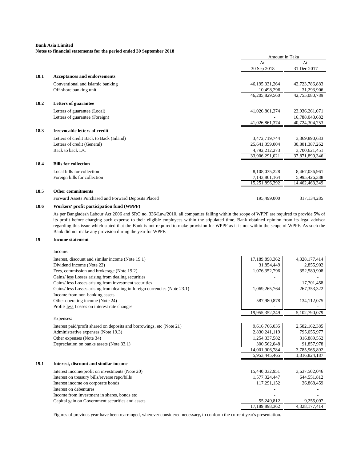**Notes to financial statements for the period ended 30 September 2018**

|      |                                                      | Amount in Taka |                |
|------|------------------------------------------------------|----------------|----------------|
|      |                                                      | At             | At             |
|      |                                                      | 30 Sep 2018    | 31 Dec 2017    |
| 18.1 | <b>Acceptances and endorsements</b>                  |                |                |
|      | Conventional and Islamic banking                     | 46,195,331,264 | 42,723,786,883 |
|      | Off-shore banking unit                               | 10,498,296     | 31,293,906     |
|      |                                                      | 46,205,829,560 | 42,755,080,789 |
| 18.2 | Letters of guarantee                                 |                |                |
|      | Letters of guarantee (Local)                         | 41,026,861,374 | 23,936,261,071 |
|      | Letters of guarantee (Foreign)                       |                | 16,788,043,682 |
|      |                                                      | 41,026,861,374 | 40,724,304,753 |
| 18.3 | <b>Irrevocable letters of credit</b>                 |                |                |
|      | Letters of credit Back to Back (Inland)              | 3,472,719,744  | 3,369,890,633  |
|      | Letters of credit (General)                          | 25,641,359,004 | 30,801,387,262 |
|      | Back to back $L/C$                                   | 4,792,212,273  | 3,700,621,451  |
|      |                                                      | 33,906,291,021 | 37,871,899,346 |
| 18.4 | <b>Bills for collection</b>                          |                |                |
|      | Local bills for collection                           | 8,108,035,228  | 8,467,036,961  |
|      | Foreign bills for collection                         | 7,143,861,164  | 5,995,426,388  |
|      |                                                      | 15,251,896,392 | 14,462,463,349 |
| 18.5 | <b>Other commitments</b>                             |                |                |
|      | Forward Assets Purchased and Forward Deposits Placed | 195,499,000    | 317, 134, 285  |
|      |                                                      |                |                |

#### **18.6 Workers' profit participation fund (WPPF)**

As per Bangladesh Labour Act 2006 and SRO no. 336/Law/2010, all companies falling within the scope of WPPF are required to provide 5% of its profit before charging such expense to their eligible employees within the stipulated time. Bank obtained opinion from its legal advisor regarding this issue which stated that the Bank is not required to make provision for WPPF as it is not within the scope of WPPF. As such the Bank did not make any provision during the year for WPPF.

#### **19 Income statement**

Income: Interest, discount and similar income (Note 19.1) 17,189,898,362 | 4,328,177,414 Dividend income (Note 22) 31,854,449 | 31,854,449 | 2,855,902 Fees, commission and brokerage (Note 19.2) 1,076,352,796 352,589,908 Gains/ less Losses arising from dealing securities Gains/ <u>less</u> Losses arising from investment securities and the securities of the securities of the securities of the securities of the securities of the securities of the securities of the securities of the securities of Gains/ less Losses arising from dealing in foreign currencies (Note 23.1)  $1,069,265,764$   $267,353,322$ Income from non-banking assets Other operating income (Note 24) 587,980,878 134,112,075 Profit/ less Losses on interest rate changes 19,955,352,249 5,102,790,079 Expenses: Interest paid/profit shared on deposits and borrowings, etc (Note 21) 9,616,766,035 9,616,766,035 2,582,162,385 Administrative expenses (Note 19.3) 2,830,241,119 | 795,055,977 Other expenses (Note 34) 316,889,552 316,889,552 Depreciation on banks assets (Note 33.1) 300,562,048 91,857,978 14,001,906,784 3,785,965,892<br>5,953,445,465 1,316,824,187 5,953,445,465 **19.1 Interest, discount and similar income** Interest income/profit on investments (Note 20) 15,440,032,951 3,637,502,046 Interest on treasury bills/reverse repo/bills 1,577,324,447 644,551,812 Interest income on corporate bonds 117,291,152 36,868,459 Interest on debentures and the state of the state of the state of the state of the state of the state of the state of the state of the state of the state of the state of the state of the state of the state of the state of Income from investment in shares, bonds etc  $\overline{a}$ Capital gain on Government securities and assets 55,249,812 9,255,097 17,189,898,362 4,328,177,414

Figures of previous year have been rearranged, wherever considered necessary, to conform the current year's presentation.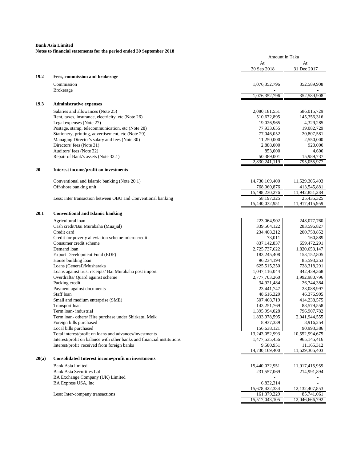|       |                                                                                            | Amount in Taka                 |                              |
|-------|--------------------------------------------------------------------------------------------|--------------------------------|------------------------------|
|       |                                                                                            | At                             | At                           |
|       |                                                                                            | 30 Sep 2018                    | 31 Dec 2017                  |
| 19.2  | Fees, commission and brokerage                                                             |                                |                              |
|       | Commission                                                                                 | 1,076,352,796                  | 352,589,908                  |
|       | <b>Brokerage</b>                                                                           |                                |                              |
|       |                                                                                            | 1,076,352,796                  | 352,589,908                  |
|       |                                                                                            |                                |                              |
| 19.3  | <b>Administrative expenses</b>                                                             |                                |                              |
|       | Salaries and allowances (Note 25)                                                          | 2,080,181,551                  | 586,015,729                  |
|       | Rent, taxes, insurance, electricity, etc (Note 26)                                         | 510,672,895                    | 145,356,316                  |
|       | Legal expenses (Note 27)                                                                   | 19,026,965                     | 4,329,285                    |
|       | Postage, stamp, telecommunication, etc (Note 28)                                           | 77,933,655                     | 19,082,729                   |
|       | Stationery, printing, advertisement, etc (Note 29)                                         | 77,046,052                     | 20,807,581                   |
|       | Managing Director's salary and fees (Note 30)                                              | 11,250,000                     | 2,550,000                    |
|       | Directors' fees (Note 31)<br>Auditors' fees (Note 32)                                      | 2,888,000                      | 920,000                      |
|       | Repair of Bank's assets (Note 33.1)                                                        | 853,000<br>50,389,001          | 4,600<br>15,989,737          |
|       |                                                                                            | 2,830,241,119                  | 795,055,977                  |
|       |                                                                                            |                                |                              |
| 20    | Interest income/profit on investments                                                      |                                |                              |
|       | Conventional and Islamic banking (Note 20.1)                                               | 14,730,169,400                 | 11,529,305,403               |
|       | Off-shore banking unit                                                                     | 768,060,876                    | 413,545,881                  |
|       |                                                                                            | 15,498,230,276                 | 11,942,851,284               |
|       | Less: inter transaction between OBU and Conventional banking                               | 58,197,325                     | 25,435,325                   |
|       |                                                                                            | 15,440,032,951                 | 11,917,415,959               |
|       |                                                                                            |                                |                              |
| 20.1  | <b>Conventional and Islamic banking</b>                                                    |                                |                              |
|       | Agricultural loan                                                                          | 223,064,902                    | 248,077,760                  |
|       | Cash credit/Bai Murabaha (Muajjal)                                                         | 339,564,122                    | 283,596,827                  |
|       | Credit card                                                                                | 234,408,212                    | 200,758,852                  |
|       | Credit for poverty alleviation scheme-micro credit                                         | 73,011                         | 160,889                      |
|       | Consumer credit scheme                                                                     | 837, 142, 837                  | 659,472,291                  |
|       | Demand loan                                                                                | 2,725,737,622                  | 1,820,653,147                |
|       | Export Development Fund (EDF)                                                              | 183,245,408                    | 153, 152, 805                |
|       | House building loan                                                                        | 96,234,194                     | 85,593,253                   |
|       | Loans (General)/Musharaka                                                                  | 625,515,250                    | 728,318,291                  |
|       | Loans against trust receipts/ Bai Murabaha post import<br>Overdrafts/ Quard against scheme | 1,047,116,044<br>2,777,703,260 | 842,439,368<br>1,992,980,796 |
|       | Packing credit                                                                             | 34,921,484                     | 26,744,384                   |
|       | Payment against documents                                                                  | 23,441,747                     | 23,088,997                   |
|       | Staff loan                                                                                 | 48,616,329                     | 46,376,905                   |
|       | Small and medium enterprise (SME)                                                          | 507,468,719                    | 414,238,575                  |
|       | Transport loan                                                                             | 143,251,769                    | 88,579,558                   |
|       | Term loan-industrial                                                                       | 1,395,994,028                  | 796,907,782                  |
|       | Term loan- others/ Hire purchase under Shirkatul Melk                                      | 1,833,978,595                  | 2,041,944,555                |
|       | Foreign bills purchased                                                                    | 8,937,339                      | 8,916,254                    |
|       | Local bills purchased                                                                      | 156,638,121                    | 90,993,386                   |
|       | Total interest/profit on loans and advances/investments                                    | 13,243,052,993                 | 10,552,994,675               |
|       | Interest/profit on balance with other banks and financial institutions                     | 1,477,535,456                  | 965,145,416                  |
|       | Interest/profit received from foreign banks                                                | 9,580,951                      | 11,165,312                   |
|       |                                                                                            | 14,730,169,400                 | 11,529,305,403               |
| 20(a) | <b>Consolidated Interest income/profit on investments</b>                                  |                                |                              |
|       | Bank Asia limited                                                                          | 15,440,032,951                 | 11,917,415,959               |
|       | Bank Asia Securities Ltd                                                                   | 231,557,069                    | 214,991,894                  |
|       | BA Exchange Company (UK) Limited                                                           |                                |                              |
|       | BA Express USA, Inc                                                                        | 6,832,314                      |                              |
|       |                                                                                            | 15,678,422,334                 | 12, 132, 407, 853            |
|       | Less: Inter-company transactions                                                           | 161,379,229                    | 85,741,061                   |
|       |                                                                                            | 15,517,043,105                 | 12,046,666,792               |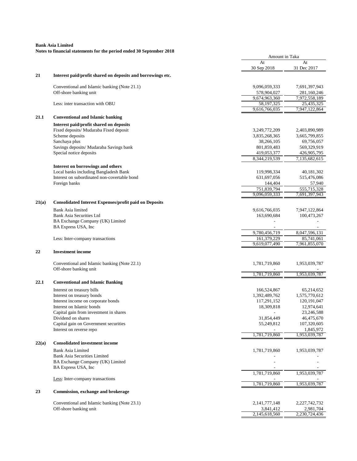|       |                                                               | Amount in Taka |               |
|-------|---------------------------------------------------------------|----------------|---------------|
|       |                                                               | At             | At            |
|       |                                                               | 30 Sep 2018    | 31 Dec 2017   |
| 21    | Interest paid/profit shared on deposits and borrowings etc.   |                |               |
|       | Conventional and Islamic banking (Note 21.1)                  | 9,096,059,333  | 7,691,397,943 |
|       | Off-shore banking unit                                        | 578,904,027    | 281,160,246   |
|       |                                                               | 9,674,963,360  | 7,972,558,189 |
|       | Less: inter transaction with OBU                              | 58,197,325     | 25,435,325    |
|       |                                                               | 9,616,766,035  | 7,947,122,864 |
| 21.1  | <b>Conventional and Islamic banking</b>                       |                |               |
|       | Interest paid/profit shared on deposits                       |                |               |
|       | Fixed deposits/ Mudaraba Fixed deposit                        | 3,249,772,209  | 2,403,890,989 |
|       | Scheme deposits                                               | 3,835,268,365  | 3,665,799,855 |
|       | Sanchaya plus                                                 | 38,266,105     | 69,756,057    |
|       | Savings deposits/ Mudaraba Savings bank                       | 801,859,483    | 569,329,919   |
|       | Special notice deposits                                       | 419,053,377    | 426,905,795   |
|       |                                                               | 8,344,219,539  | 7,135,682,615 |
|       | Interest on borrowings and others                             |                |               |
|       | Local banks including Bangladesh Bank                         | 119,998,334    | 40,181,302    |
|       | Interest on subordinated non-covertable bond                  | 631,697,056    | 515,476,086   |
|       | Foreign banks                                                 | 144,404        | 57,940        |
|       |                                                               | 751,839,794    | 555,715,328   |
|       |                                                               | 9,096,059,333  | 7,691,397,943 |
| 21(a) | <b>Consolidated Interest Expenses/profit paid on Deposits</b> |                |               |
|       | <b>Bank Asia limited</b>                                      | 9,616,766,035  | 7,947,122,864 |
|       | Bank Asia Securities Ltd                                      | 163,690,684    | 100,473,267   |
|       | BA Exchange Company (UK) Limited                              |                |               |
|       | BA Express USA, Inc                                           |                |               |
|       |                                                               | 9,780,456,719  | 8,047,596,131 |
|       | Less: Inter-company transactions                              | 161,379,229    | 85,741,061    |
|       |                                                               | 9,619,077,490  | 7,961,855,070 |
| 22    | <b>Investment income</b>                                      |                |               |
|       | Conventional and Islamic banking (Note 22.1)                  | 1,781,719,860  | 1,953,039,787 |
|       | Off-shore banking unit                                        |                |               |
|       |                                                               | 1,781,719,860  | 1,953,039,787 |
| 22.1  | <b>Conventional and Islamic Banking</b>                       |                |               |
|       | Interest on treasury bills                                    | 166,524,867    | 65,214,652    |
|       | Interest on treasury bonds                                    | 1,392,489,762  | 1,575,770,612 |
|       | Interest income on corporate bonds                            | 117,291,152    | 120, 191, 047 |
|       | Interest on Islamic bonds                                     | 18,309,818     | 12,974,641    |
|       | Capital gain from investment in shares                        |                | 23,246,588    |
|       | Dividend on shares                                            | 31,854,449     | 46,475,670    |
|       | Capital gain on Government securities                         | 55,249,812     | 107,320,605   |
|       | Interest on reverse repo                                      |                | 1,845,972     |
|       |                                                               | 1,781,719,860  | 1,953,039,787 |
| 22(a) | <b>Consolidated investment income</b>                         |                |               |
|       | <b>Bank Asia Limited</b>                                      | 1,781,719,860  | 1,953,039,787 |
|       | <b>Bank Asia Securities Limited</b>                           |                |               |
|       | BA Exchange Company (UK) Limited                              |                |               |
|       | BA Express USA, Inc.                                          |                |               |
|       |                                                               | 1,781,719,860  | 1,953,039,787 |
|       | Less: Inter-company transactions                              |                |               |
|       |                                                               | 1,781,719,860  | 1,953,039,787 |
| 23    | Commission, exchange and brokerage                            |                |               |
|       | Conventional and Islamic banking (Note 23.1)                  | 2,141,777,148  | 2,227,742,732 |
|       | Off-shore banking unit                                        | 3,841,412      | 2,981,704     |
|       |                                                               | 2,145,618,560  | 2,230,724,436 |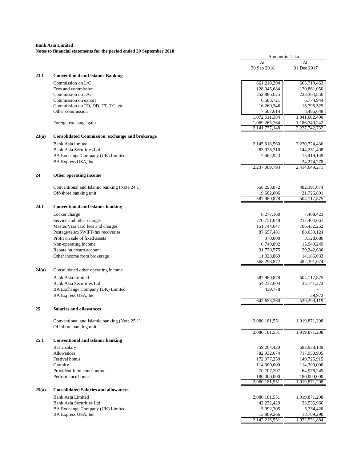|       |                                                                      | Amount in Taka                 |                                |
|-------|----------------------------------------------------------------------|--------------------------------|--------------------------------|
|       |                                                                      | At                             | At                             |
|       |                                                                      | 30 Sep 2018                    | 31 Dec 2017                    |
| 23.1  | <b>Conventional and Islamic Banking</b>                              |                                |                                |
|       | Commission on L/C                                                    | 661,218,394                    | 665,719,463                    |
|       | Fees and commission                                                  | 128,045,684                    | 120,861,050                    |
|       | Commission on L/G                                                    | 252,886,625                    | 223,364,856                    |
|       | Commission on export                                                 | 6,583,721                      | 6,774,944                      |
|       | Commission on PO, DD, TT, TC, etc                                    | 16,269,346                     | 15,796,529                     |
|       | Other commission                                                     | 7,507,614                      | 8,485,648                      |
|       |                                                                      | 1,072,511,384                  | 1,041,002,490                  |
|       | Foreign exchange gain                                                | 1,069,265,764<br>2,141,777,148 | 1,186,740,242<br>2,227,742,732 |
| 23(a) | <b>Consolidated Commission, exchange and brokerage</b>               |                                |                                |
|       | Bank Asia limited                                                    | 2,145,618,560                  | 2,230,724,436                  |
|       | Bank Asia Securities Ltd                                             | 83,928,310                     | 144,231,408                    |
|       | BA Exchange Company (UK) Limited                                     | 7,462,923                      | 15,419,149                     |
|       | BA Express USA, Inc                                                  |                                | 24, 274, 278                   |
|       |                                                                      | 2,237,009,793                  | 2,414,649,271                  |
| 24    | Other operating income                                               |                                |                                |
|       |                                                                      |                                |                                |
|       | Conventional and Islamic banking (Note 24.1)                         | 568,298,872                    | 482,391,074                    |
|       | Off-shore banking unit                                               | 19,682,006<br>587,980,878      | 21,726,801<br>504,117,875      |
| 24.1  | <b>Conventional and Islamic banking</b>                              |                                |                                |
|       |                                                                      |                                |                                |
|       | Locker charge                                                        | 8,277,160                      | 7,408,423                      |
|       | Service and other charges                                            | 270,751,048                    | 217,404,661                    |
|       | Master/Visa card fees and charges                                    | 151,744,647                    | 106,432,262<br>88,639,124      |
|       | Postage/telex/SWIFT/fax recoveries<br>Profit on sale of fixed assets | 87,657,481<br>370,000          | 3,128,686                      |
|       | Non-operating income                                                 | 6,749,092                      | 15,949,249                     |
|       | Rebate on nostro account                                             | 31,720,575                     | 29,242,636                     |
|       | Other income from brokerage                                          | 11,028,869                     | 14,186,033                     |
|       |                                                                      | 568,298,872                    | 482,391,074                    |
| 24(a) | Consolidated other operating income                                  |                                |                                |
|       |                                                                      |                                |                                |
|       | <b>Bank Asia Limited</b>                                             | 587,980,878                    | 504,117,875                    |
|       | <b>Bank Asia Securities Ltd</b>                                      | 54,232,604                     | 35, 141, 272                   |
|       | BA Exchange Company (UK) Limited<br>BA Express USA, Inc              | 439,778                        | 39,972                         |
|       |                                                                      | 642,653,260                    | 539,299,119                    |
| 25    | <b>Salaries and allowances</b>                                       |                                |                                |
|       |                                                                      |                                |                                |
|       | Conventional and Islamic banking (Note 25.1)                         | 2,080,181,551                  | 1,919,871,208                  |
|       | Off-shore banking unit                                               |                                |                                |
|       |                                                                      | 2,080,181,551                  | 1,919,871,208                  |
| 25.1  | <b>Conventional and Islamic banking</b>                              |                                |                                |
|       | Basic salary                                                         | 759,264,420                    | 692,938,139                    |
|       | Allowances                                                           | 782,932,674                    | 717,930,905                    |
|       | <b>Festival</b> bonus                                                | 172,977,250                    | 149,725,915                    |
|       | Gratuity                                                             | 114,300,000                    | 114,300,000                    |
|       | Provident fund contribution                                          | 70,707,207                     | 64,976,249                     |
|       | Performance bonus                                                    | 180,000,000<br>2,080,181,551   | 180,000,000<br>1,919,871,208   |
|       |                                                                      |                                |                                |
| 25(a) | <b>Consolidated Salaries and allowances</b>                          |                                |                                |
|       | <b>Bank Asia Limited</b>                                             | 2,080,181,551                  | 1,919,871,208                  |
|       | Bank Asia Securities Ltd                                             | 42,232,429                     | 33,536,966                     |
|       | BA Exchange Company (UK) Limited                                     | 5,992,305                      | 5,334,420                      |
|       | BA Express USA, Inc                                                  | 13,809,266<br>2,142,215,551    | 13,789,290<br>1,972,531,884    |
|       |                                                                      |                                |                                |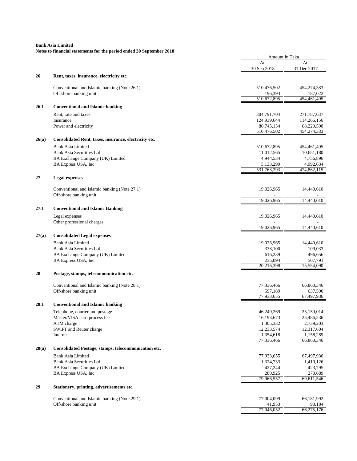|       |                                                       | Amount in Taka         |                        |
|-------|-------------------------------------------------------|------------------------|------------------------|
|       |                                                       | At<br>30 Sep 2018      | At<br>31 Dec 2017      |
| 26    | Rent, taxes, insurance, electricity etc.              |                        |                        |
|       | Conventional and Islamic banking (Note 26.1)          | 510,476,502            | 454,274,383            |
|       | Off-shore banking unit                                | 196,393<br>510,672,895 | 187,022<br>454,461,405 |
| 26.1  | <b>Conventional and Islamic banking</b>               |                        |                        |
|       | Rent, rate and taxes                                  | 304,791,704            | 271,787,637            |
|       | Insurance                                             | 124,939,644            | 114,266,156            |
|       | Power and electricity                                 | 80,745,154             | 68,220,590             |
|       |                                                       | 510,476,502            | 454,274,383            |
| 26(a) | Consolidated Rent, taxes, insurance, electricity etc. |                        |                        |
|       | <b>Bank Asia Limited</b>                              | 510,672,895            | 454,461,405            |
|       | Bank Asia Securities Ltd                              | 11,012,565             | 10,651,180             |
|       | BA Exchange Company (UK) Limited                      | 4,944,534              | 4,756,896              |
|       | BA Express USA, Inc                                   | 5,133,299              | 4,992,634              |
|       |                                                       | 531,763,293            | 474,862,115            |
| 27    | <b>Legal expenses</b>                                 |                        |                        |
|       | Conventional and Islamic banking (Note 27.1)          | 19,026,965             | 14,440,610             |
|       | Off-shore banking unit                                | 19,026,965             | 14,440,610             |
| 27.1  | <b>Conventional and Islamic Banking</b>               |                        |                        |
|       | Legal expenses                                        | 19,026,965             | 14,440,610             |
|       | Other professional charges                            |                        |                        |
|       |                                                       | 19,026,965             | 14,440,610             |
| 27(a) | <b>Consolidated Legal expenses</b>                    |                        |                        |
|       | <b>Bank Asia Limited</b>                              | 19,026,965             | 14,440,610             |
|       | Bank Asia Securities Ltd                              | 338,100                | 109,033                |
|       | BA Exchange Company (UK) Limited                      | 616,239                | 496,656                |
|       | BA Express USA, Inc                                   | 235,094                | 507,791                |
|       |                                                       | 20,216,398             | 15,554,090             |
| 28    | Postage, stamps, telecommunication etc.               |                        |                        |
|       | Conventional and Islamic banking (Note 28.1)          | 77,336,466             | 66,860,346             |
|       | Off-shore banking unit                                | 597,189                | 637,590                |
|       |                                                       | 77,933,655             | 67,497,936             |
| 28.1  | <b>Conventional and Islamic banking</b>               |                        |                        |
|       | Telephone, courier and postage                        | 46,249,269             | 25,159,014             |
|       | Master/VISA card process fee                          | 16,193,673             | 25,486,236             |
|       | ATM charge                                            | 1,305,332              | 2,739,203              |
|       | SWIFT and Reuter charge                               | 12,233,574             | 12,317,604             |
|       | Internet                                              | 1,354,618              | 1,158,289              |
|       |                                                       | 77,336,466             | 66,860,346             |
| 28(a) | Consolidated Postage, stamps, telecommunication etc.  |                        |                        |
|       | <b>Bank Asia Limited</b>                              | 77,933,655             | 67,497,936             |
|       | Bank Asia Securities Ltd                              | 1,324,733              | 1,419,126              |
|       | BA Exchange Company (UK) Limited                      | 427,244                | 423,795                |
|       | BA Express USA, Inc                                   | 280,925<br>79,966,557  | 270,689<br>69,611,546  |
| 29    | Stationery, printing, advertisements etc.             |                        |                        |
|       |                                                       |                        |                        |
|       | Conventional and Islamic banking (Note 29.1)          | 77,004,099             | 66,181,992             |
|       | Off-shore banking unit                                | 41,953<br>77,046,052   | 93,184<br>66,275,176   |
|       |                                                       |                        |                        |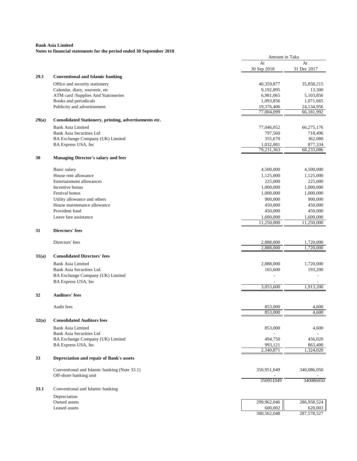|       | roles to mightig statements for the period ended so sep | Amount in Taka          |                        |
|-------|---------------------------------------------------------|-------------------------|------------------------|
|       |                                                         | At<br>30 Sep 2018       | At<br>31 Dec 2017      |
| 29.1  | <b>Conventional and Islamic banking</b>                 |                         |                        |
|       | Office and security stationery                          | 40,359,877              | 35,858,215             |
|       | Calendar, diary, souvenir, etc                          | 9,192,895               | 13,300                 |
|       | ATM card /Supplies And Stationeries                     | 6,981,065               | 5,103,856              |
|       | Books and periodicals                                   | 1,093,856               | 1,071,665              |
|       | Publicity and advertisement                             | 19,376,406              | 24,134,956             |
|       |                                                         | 77,004,099              | 66,181,992             |
| 29(a) | Consolidated Stationery, printing, advertisements etc.  |                         |                        |
|       | <b>Bank Asia Limited</b>                                | 77,046,052              | 66,275,176             |
|       | <b>Bank Asia Securities Ltd</b>                         | 797,560                 | 718,496                |
|       | BA Exchange Company (UK) Limited                        | 355,670                 | 362,080                |
|       | BA Express USA, Inc                                     | 1,032,081<br>79,231,363 | 877,334<br>68,233,086  |
| 30    | <b>Managing Director's salary and fees</b>              |                         |                        |
|       | Basic salary                                            | 4,500,000               | 4,500,000              |
|       | House rent allowance                                    | 1,125,000               | 1,125,000              |
|       | Entertainment allowances                                | 225,000                 | 225,000                |
|       | Incentive bonus                                         | 1,000,000               | 1,000,000              |
|       | Festival bonus                                          | 1,000,000               | 1,000,000              |
|       | Utility allowance and others                            | 900,000                 | 900,000                |
|       | House maintenance allowance                             | 450,000                 | 450,000                |
|       | Provident fund                                          | 450,000                 | 450,000                |
|       | Leave fare assistance                                   | 1,600,000               | 1,600,000              |
| 31    | Directors' fees                                         | 11,250,000              | 11,250,000             |
|       |                                                         |                         |                        |
|       | Directors' fees                                         | 2,888,000<br>2,888,000  | 1,720,000<br>1,720,000 |
| 31(a) | <b>Consolidated Directors' fees</b>                     |                         |                        |
|       |                                                         |                         |                        |
|       | Bank Asia Limited<br>Bank Asia Securities Ltd.          | 2,888,000               | 1,720,000              |
|       |                                                         | 165,600                 | 193,200                |
|       | BA Exchange Company (UK) Limited<br>BA Express USA, Inc |                         |                        |
|       |                                                         | 3,053,600               | 1,913,200              |
| 32    | <b>Auditors' fees</b>                                   |                         |                        |
|       | Audit fees                                              | 853,000                 | 4,600                  |
|       |                                                         | 853,000                 | 4,600                  |
| 32(a) | <b>Consolidated Auditors fees</b>                       |                         |                        |
|       | Bank Asia Limited                                       | 853,000                 | 4,600                  |
|       | Bank Asia Securities Ltd                                |                         |                        |
|       | BA Exchange Company (UK) Limited                        | 494,750                 | 456,020                |
|       | BA Express USA, Inc                                     | 993,121<br>2,340,871    | 863,400<br>1,324,020   |
| 33    | Depreciation and repair of Bank's assets                |                         |                        |
|       | Conventional and Islamic banking (Note 33.1)            | 350,951,049             | 340,086,050            |
|       | Off-shore banking unit                                  |                         |                        |
|       |                                                         | 350951049               | 340086050              |
| 33.1  | Conventional and Islamic banking                        |                         |                        |
|       | Depreciation                                            |                         |                        |
|       | Owned assets                                            | 299,962,046<br>600,002  | 286,958,524            |
|       | Leased assets                                           | 300,562,048             | 620,003<br>287,578,527 |
|       |                                                         |                         |                        |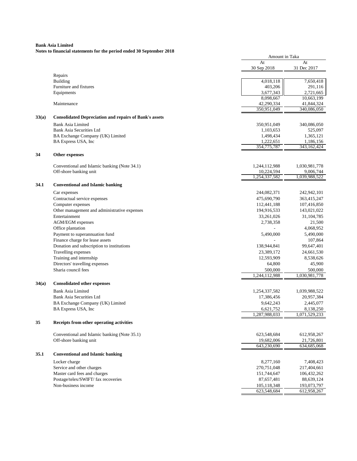|       | $\alpha$ to imancial statements for the period ended so sep   | Amount in Taka |               |
|-------|---------------------------------------------------------------|----------------|---------------|
|       |                                                               | At             | At            |
|       |                                                               | 30 Sep 2018    | 31 Dec 2017   |
|       | Repairs                                                       |                |               |
|       | <b>Building</b>                                               | 4,018,118      | 7,650,418     |
|       | Furniture and fixtures                                        | 403,206        | 291,116       |
|       | Equipments                                                    | 3,677,343      | 2,721,665     |
|       |                                                               | 8,098,667      | 10,663,199    |
|       | Maintenance                                                   | 42,290,334     | 41,844,324    |
|       |                                                               | 350,951,049    | 340,086,050   |
| 33(a) | <b>Consolidated Depreciation and repairs of Bank's assets</b> |                |               |
|       | <b>Bank Asia Limited</b>                                      | 350,951,049    | 340,086,050   |
|       | <b>Bank Asia Securities Ltd</b>                               | 1,103,653      | 525,097       |
|       | BA Exchange Company (UK) Limited                              | 1,498,434      | 1,365,121     |
|       | BA Express USA, Inc                                           | 1,222,651      | 1,186,156     |
|       |                                                               | 354,775,787    | 343,162,424   |
| 34    | Other expenses                                                |                |               |
|       | Conventional and Islamic banking (Note 34.1)                  | 1,244,112,988  | 1,030,981,778 |
|       | Off-shore banking unit                                        | 10,224,594     | 9,006,744     |
|       |                                                               | 1,254,337,582  | 1,039,988,522 |
| 34.1  | <b>Conventional and Islamic banking</b>                       |                |               |
|       | Car expenses                                                  | 244,082,371    | 242,942,101   |
|       | Contractual service expenses                                  | 475,690,790    | 363,415,247   |
|       | Computer expenses                                             | 112,441,188    | 107,416,850   |
|       | Other management and administrative expenses                  | 194,916,533    | 143,021,022   |
|       | Entertainment                                                 | 33,261,026     | 31, 104, 785  |
|       | <b>AGM/EGM</b> expenses                                       | 2,738,358      | 21,500        |
|       | Office plantation                                             |                | 4,068,952     |
|       | Payment to superannuation fund                                | 5,490,000      | 5,490,000     |
|       | Finance charge for lease assets                               |                | 107,864       |
|       | Donation and subscription to institutions                     | 138,944,841    | 99,647,401    |
|       | Travelling expenses                                           | 23,389,172     | 24,661,530    |
|       | Training and internship                                       | 12,593,909     | 8,538,626     |
|       | Directors' travelling expenses                                | 64,800         | 45,900        |
|       | Sharia council fees                                           | 500,000        | 500,000       |
|       |                                                               | 1,244,112,988  | 1,030,981,778 |
| 34(a) | <b>Consolidated other expenses</b>                            |                |               |
|       | <b>Bank Asia Limited</b>                                      | 1,254,337,582  | 1,039,988,522 |
|       | <b>Bank Asia Securities Ltd</b>                               | 17,386,456     | 20,957,384    |
|       | BA Exchange Company (UK) Limited                              | 9,642,243      | 2,445,077     |
|       | BA Express USA, Inc.                                          | 6,621,752      | 8,138,250     |
|       |                                                               | 1,287,988,033  | 1,071,529,233 |
| 35    | Receipts from other operating activities                      |                |               |
|       | Conventional and Islamic banking (Note 35.1)                  | 623,548,684    | 612,958,267   |
|       | Off-shore banking unit                                        | 19,682,006     | 21,726,801    |
|       |                                                               | 643,230,690    | 634, 685, 068 |
| 35.1  | <b>Conventional and Islamic banking</b>                       |                |               |
|       | Locker charge                                                 | 8,277,160      | 7,408,423     |
|       | Service and other charges                                     | 270,751,048    | 217,404,661   |
|       | Master card fees and charges                                  | 151,744,647    | 106,432,262   |
|       | Postage/telex/SWIFT/ fax recoveries                           | 87,657,481     | 88,639,124    |
|       | Non-business income                                           | 105,118,348    | 193,073,797   |
|       |                                                               | 623,548,684    | 612,958,267   |
|       |                                                               |                |               |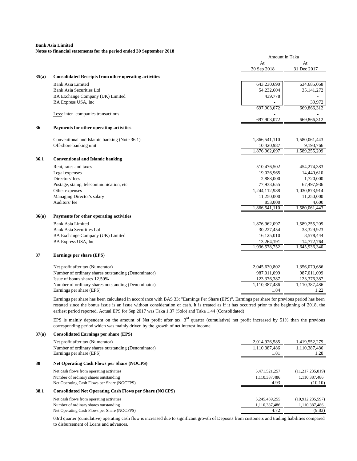#### **Notes to financial statements for the period ended 30 September 2018**

**37(a) Consolidated Earnings per share (EPS)**

|       |                                                              |               | Amount in Taka |  |
|-------|--------------------------------------------------------------|---------------|----------------|--|
|       |                                                              | At            | At             |  |
|       |                                                              | 30 Sep 2018   | 31 Dec 2017    |  |
| 35(a) | <b>Consolidated Receipts from other operating activities</b> |               |                |  |
|       | <b>Bank Asia Limited</b>                                     | 643,230,690   | 634, 685, 068  |  |
|       | <b>Bank Asia Securities Ltd</b>                              | 54,232,604    | 35, 141, 272   |  |
|       | BA Exchange Company (UK) Limited                             | 439,778       |                |  |
|       | BA Express USA, Inc                                          |               | 39,972         |  |
|       |                                                              | 697,903,072   | 669,866,312    |  |
|       | Less: inter-companies transactions                           |               |                |  |
|       |                                                              | 697,903,072   | 669,866,312    |  |
| 36    | Payments for other operating activities                      |               |                |  |
|       | Conventional and Islamic banking (Note 36.1)                 | 1,866,541,110 | 1,580,061,443  |  |
|       | Off-shore banking unit                                       | 10,420,987    | 9,193,766      |  |
|       |                                                              | 1,876,962,097 | 1,589,255,209  |  |
|       |                                                              |               |                |  |
| 36.1  | <b>Conventional and Islamic banking</b>                      |               |                |  |
|       | Rent, rates and taxes                                        | 510,476,502   | 454,274,383    |  |
|       | Legal expenses                                               | 19,026,965    | 14,440,610     |  |
|       | Directors' fees                                              | 2,888,000     | 1,720,000      |  |
|       | Postage, stamp, telecommunication, etc                       | 77,933,655    | 67,497,936     |  |
|       | Other expenses                                               | 1,244,112,988 | 1,030,873,914  |  |
|       | Managing Director's salary                                   | 11,250,000    | 11,250,000     |  |
|       | Auditors' fee                                                | 853,000       | 4,600          |  |
|       |                                                              | 1,866,541,110 | 1,580,061,443  |  |
| 36(a) | Payments for other operating activities                      |               |                |  |
|       | <b>Bank Asia Limited</b>                                     | 1,876,962,097 | 1,589,255,209  |  |
|       | <b>Bank Asia Securities Ltd</b>                              | 30,227,454    | 33,329,923     |  |
|       | BA Exchange Company (UK) Limited                             | 16,125,010    | 8,578,444      |  |
|       | BA Express USA, Inc                                          | 13,264,191    | 14,772,764     |  |
|       |                                                              | 1,936,578,752 | 1,645,936,340  |  |
| 37    | Earnings per share (EPS)                                     |               |                |  |
|       | Net profit after tax (Numerator)                             | 2,045,630,802 | 1,356,079,686  |  |
|       | Number of ordinary shares outstanding (Denominator)          | 987,011,099   | 987,011,099    |  |
|       | Issue of bonus shares 12.50%                                 | 123,376,387   | 123,376,387    |  |
|       | Number of ordinary shares outstanding (Denominator)          | 1,110,387,486 | 1,110,387,486  |  |
|       | Earnings per share (EPS)                                     | 1.84          | 1.22           |  |

Earnings per share has been calculated in accordance with BAS 33: "Earnings Per Share (EPS)". Earnings per share for previous period has been restated since the bonus issue is an issue without consideration of cash. It is treated as if it has occurred prior to the beginning of 2018, the earliest period reported. Actual EPS for Sep 2017 was Taka 1.37 (Solo) and Taka 1.44 (Consolidated)

EPS is mainly dependent on the amount of Net profit after tax.  $3<sup>rd</sup>$  quarter (cumulative) net profit increased by 51% than the previous corresponding period which was mainly driven by the growth of net interest income.

|      | Net profit after tax (Numerator)                               | 2,014,926,585 | 1,419,552,279       |
|------|----------------------------------------------------------------|---------------|---------------------|
|      | Number of ordinary shares outstanding (Denominator)            | 1,110,387,486 | 1,110,387,486       |
|      | Earnings per share (EPS)                                       | 1.81          | 1.28                |
| 38   | <b>Net Operating Cash Flows per Share (NOCPS)</b>              |               |                     |
|      | Net cash flows from operating activities                       | 5,471,521,257 | (11, 217, 235, 819) |
|      | Number of ordinary shares outstanding                          | 1.110.387.486 | 1.110.387.486       |
|      | Net Operating Cash Flows per Share (NOCFPS)                    | 4.93          | (10.10)             |
| 38.1 | <b>Consolidated Net Operating Cash Flows per Share (NOCPS)</b> |               |                     |
|      | Net cash flows from operating activities                       | 5,245,469,255 | (10,912,235,597)    |
|      | Number of ordinary shares outstanding                          | 1,110,387,486 | 1,110,387,486       |
|      | Net Operating Cash Flows per Share (NOCFPS)                    | 4.72          | (9.83)              |

03rd quarter (cumulative) operating cash flow is increased due to significant growth of Deposits from customers and trading liabilities compared to disbursement of Loans and advances.